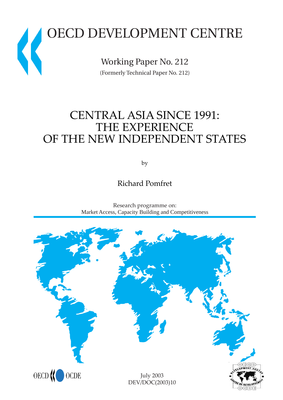# OECD DEVELOPMENT CENTRE  $\big($

Working Paper No. 212 (Formerly Technical Paper No. 212)

# CENTRAL ASIA SINCE 1991: THE EXPERIENCE OF THE NEW INDEPENDENT STATES

by

Richard Pomfret



Research programme on: Market Access, Capacity Building and Competitiveness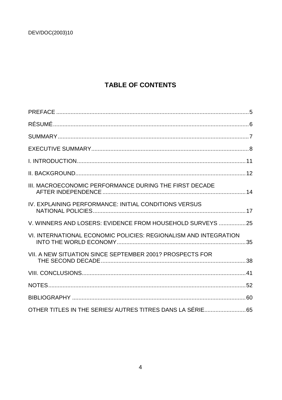# **TABLE OF CONTENTS**

| III. MACROECONOMIC PERFORMANCE DURING THE FIRST DECADE           |  |
|------------------------------------------------------------------|--|
| IV. EXPLAINING PERFORMANCE: INITIAL CONDITIONS VERSUS            |  |
| V. WINNERS AND LOSERS: EVIDENCE FROM HOUSEHOLD SURVEYS 25        |  |
| VI. INTERNATIONAL ECONOMIC POLICIES: REGIONALISM AND INTEGRATION |  |
| VII. A NEW SITUATION SINCE SEPTEMBER 2001? PROSPECTS FOR         |  |
|                                                                  |  |
|                                                                  |  |
|                                                                  |  |
| OTHER TITLES IN THE SERIES/ AUTRES TITRES DANS LA SÉRIE 65       |  |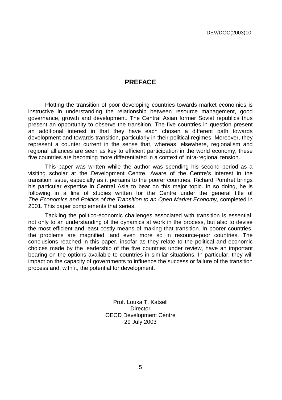# **PREFACE**

Plotting the transition of poor developing countries towards market economies is instructive in understanding the relationship between resource management, good governance, growth and development. The Central Asian former Soviet republics thus present an opportunity to observe the transition. The five countries in question present an additional interest in that they have each chosen a different path towards development and towards transition, particularly in their political regimes. Moreover, they represent a counter current in the sense that, whereas, elsewhere, regionalism and regional alliances are seen as key to efficient participation in the world economy, these five countries are becoming more differentiated in a context of intra-regional tension.

This paper was written while the author was spending his second period as a visiting scholar at the Development Centre. Aware of the Centre's interest in the transition issue, especially as it pertains to the poorer countries, Richard Pomfret brings his particular expertise in Central Asia to bear on this major topic. In so doing, he is following in a line of studies written for the Centre under the general title of The Economics and Politics of the Transition to an Open Market Economy, completed in 2001. This paper complements that series.

Tackling the politico-economic challenges associated with transition is essential, not only to an understanding of the dynamics at work in the process, but also to devise the most efficient and least costly means of making that transition. In poorer countries, the problems are magnified, and even more so in resource-poor countries. The conclusions reached in this paper, insofar as they relate to the political and economic choices made by the leadership of the five countries under review, have an important bearing on the options available to countries in similar situations. In particular, they will impact on the capacity of governments to influence the success or failure of the transition process and, with it, the potential for development.

> Prof. Louka T. Katseli **Director** OECD Development Centre 29 July 2003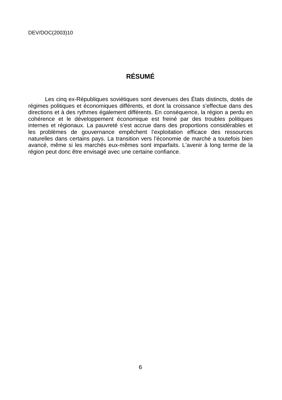# **RÉSUMÉ**

Les cinq ex-Républiques soviétiques sont devenues des États distincts, dotés de régimes politiques et économiques différents, et dont la croissance s'effectue dans des directions et à des rythmes également différents. En conséquence, la région a perdu en cohérence et le développement économique est freiné par des troubles politiques internes et régionaux. La pauvreté s'est accrue dans des proportions considérables et les problèmes de gouvernance empêchent l'exploitation efficace des ressources naturelles dans certains pays. La transition vers l'économie de marché a toutefois bien avancé, même si les marchés eux-mêmes sont imparfaits. L'avenir à long terme de la région peut donc être envisagé avec une certaine confiance.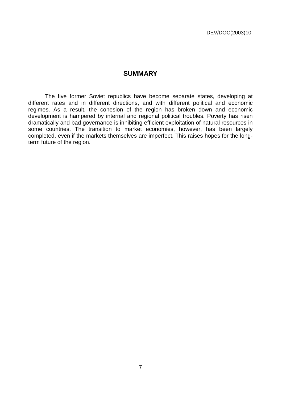## **SUMMARY**

The five former Soviet republics have become separate states, developing at different rates and in different directions, and with different political and economic regimes. As a result, the cohesion of the region has broken down and economic development is hampered by internal and regional political troubles. Poverty has risen dramatically and bad governance is inhibiting efficient exploitation of natural resources in some countries. The transition to market economies, however, has been largely completed, even if the markets themselves are imperfect. This raises hopes for the longterm future of the region.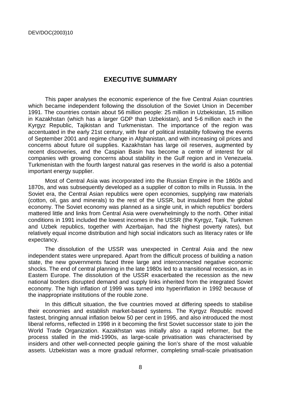## **EXECUTIVE SUMMARY**

This paper analyses the economic experience of the five Central Asian countries which became independent following the dissolution of the Soviet Union in December 1991. The countries contain about 56 million people: 25 million in Uzbekistan, 15 million in Kazakhstan (which has a larger GDP than Uzbekistan), and 5-6 million each in the Kyrgyz Republic, Tajikistan and Turkmenistan. The importance of the region was accentuated in the early 21st century, with fear of political instability following the events of September 2001 and regime change in Afghanistan, and with increasing oil prices and concerns about future oil supplies. Kazakhstan has large oil reserves, augmented by recent discoveries, and the Caspian Basin has become a centre of interest for oil companies with growing concerns about stability in the Gulf region and in Venezuela. Turkmenistan with the fourth largest natural gas reserves in the world is also a potential important energy supplier.

Most of Central Asia was incorporated into the Russian Empire in the 1860s and 1870s, and was subsequently developed as a supplier of cotton to mills in Russia. In the Soviet era, the Central Asian republics were open economies, supplying raw materials (cotton, oil, gas and minerals) to the rest of the USSR, but insulated from the global economy. The Soviet economy was planned as a single unit, in which republics' borders mattered little and links from Central Asia were overwhelmingly to the north. Other initial conditions in 1991 included the lowest incomes in the USSR (the Kyrgyz, Tajik, Turkmen and Uzbek republics, together with Azerbaijan, had the highest poverty rates), but relatively equal income distribution and high social indicators such as literacy rates or life expectancy.

The dissolution of the USSR was unexpected in Central Asia and the new independent states were unprepared. Apart from the difficult process of building a nation state, the new governments faced three large and interconnected negative economic shocks. The end of central planning in the late 1980s led to a transitional recession, as in Eastern Europe. The dissolution of the USSR exacerbated the recession as the new national borders disrupted demand and supply links inherited from the integrated Soviet economy. The high inflation of 1999 was turned into hyperinflation in 1992 because of the inappropriate institutions of the rouble zone.

In this difficult situation, the five countries moved at differing speeds to stabilise their economies and establish market-based systems. The Kyrgyz Republic moved fastest, bringing annual inflation below 50 per cent in 1995, and also introduced the most liberal reforms, reflected in 1998 in it becoming the first Soviet successor state to join the World Trade Organization. Kazakhstan was initially also a rapid reformer, but the process stalled in the mid-1990s, as large-scale privatisation was characterised by insiders and other well-connected people gaining the lion's share of the most valuable assets. Uzbekistan was a more gradual reformer, completing small-scale privatisation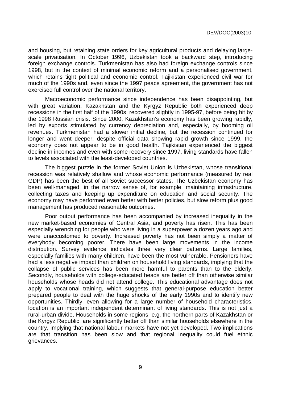and housing, but retaining state orders for key agricultural products and delaying largescale privatisation. In October 1996, Uzbekistan took a backward step, introducing foreign exchange controls. Turkmenistan has also had foreign exchange controls since 1998, but in the context of minimal economic reform and a personalised government, which retains tight political and economic control. Tajikistan experienced civil war for much of the 1990s and, even since the 1997 peace agreement, the government has not exercised full control over the national territory.

Macroeconomic performance since independence has been disappointing, but with great variation. Kazakhstan and the Kyrgyz Republic both experienced deep recessions in the first half of the 1990s, recovered slightly in 1995-97, before being hit by the 1998 Russian crisis. Since 2000, Kazakhstan's economy has been growing rapidly, led by exports stimulated by currency depreciation and, especially, by booming oil revenues. Turkmenistan had a slower initial decline, but the recession continued for longer and went deeper; despite official data showing rapid growth since 1999, the economy does not appear to be in good health. Tajikistan experienced the biggest decline in incomes and even with some recovery since 1997, living standards have fallen to levels associated with the least-developed countries.

The biggest puzzle in the former Soviet Union is Uzbekistan, whose transitional recession was relatively shallow and whose economic performance (measured by real GDP) has been the best of all Soviet successor states. The Uzbekistan economy has been well-managed, in the narrow sense of, for example, maintaining infrastructure, collecting taxes and keeping up expenditure on education and social security. The economy may have performed even better with better policies, but slow reform plus good management has produced reasonable outcomes.

Poor output performance has been accompanied by increased inequality in the new market-based economies of Central Asia, and poverty has risen. This has been especially wrenching for people who were living in a superpower a dozen years ago and were unaccustomed to poverty. Increased poverty has not been simply a matter of everybody becoming poorer. There have been large movements in the income distribution. Survey evidence indicates three very clear patterns. Large families, especially families with many children, have been the most vulnerable. Pensioners have had a less negative impact than children on household living standards, implying that the collapse of public services has been more harmful to parents than to the elderly. Secondly, households with college-educated heads are better off than otherwise similar households whose heads did not attend college. This educational advantage does not apply to vocational training, which suggests that general-purpose education better prepared people to deal with the huge shocks of the early 1990s and to identify new opportunities. Thirdly, even allowing for a large number of household characteristics, location is an important independent determinant of living standards. This is not just a rural-urban divide. Households in some regions, e.g. the northern parts of Kazakhstan or the Kyrgyz Republic, are significantly better off than similar households elsewhere in the country, implying that national labour markets have not yet developed. Two implications are that transition has been slow and that regional inequality could fuel ethnic grievances.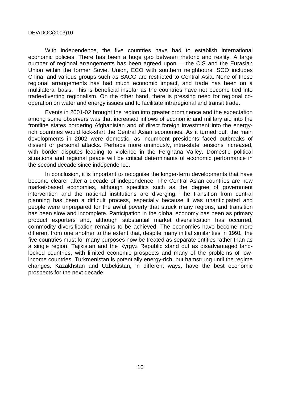With independence, the five countries have had to establish international economic policies. There has been a huge gap between rhetoric and reality. A large number of regional arrangements has been agreed upon — the CIS and the Eurasian Union within the former Soviet Union, ECO with southern neighbours, SCO includes China, and various groups such as SACO are restricted to Central Asia. None of these regional arrangements has had much economic impact, and trade has been on a multilateral basis. This is beneficial insofar as the countries have not become tied into trade-diverting regionalism. On the other hand, there is pressing need for regional cooperation on water and energy issues and to facilitate intraregional and transit trade.

Events in 2001-02 brought the region into greater prominence and the expectation among some observers was that increased inflows of economic and military aid into the frontline states bordering Afghanistan and of direct foreign investment into the energyrich countries would kick-start the Central Asian economies. As it turned out, the main developments in 2002 were domestic, as incumbent presidents faced outbreaks of dissent or personal attacks. Perhaps more ominously, intra-state tensions increased, with border disputes leading to violence in the Ferghana Valley. Domestic political situations and regional peace will be critical determinants of economic performance in the second decade since independence.

In conclusion, it is important to recognise the longer-term developments that have become clearer after a decade of independence. The Central Asian countries are now market-based economies, although specifics such as the degree of government intervention and the national institutions are diverging. The transition from central planning has been a difficult process, especially because it was unanticipated and people were unprepared for the awful poverty that struck many regions, and transition has been slow and incomplete. Participation in the global economy has been as primary product exporters and, although substantial market diversification has occurred, commodity diversification remains to be achieved. The economies have become more different from one another to the extent that, despite many initial similarities in 1991, the five countries must for many purposes now be treated as separate entities rather than as a single region. Tajikistan and the Kyrgyz Republic stand out as disadvantaged landlocked countries, with limited economic prospects and many of the problems of lowincome countries. Turkmenistan is potentially energy-rich, but hamstrung until the regime changes. Kazakhstan and Uzbekistan, in different ways, have the best economic prospects for the next decade.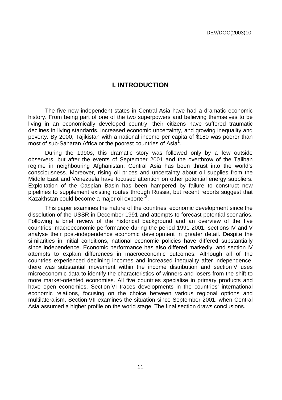# **I. INTRODUCTION**

The five new independent states in Central Asia have had a dramatic economic history. From being part of one of the two superpowers and believing themselves to be living in an economically developed country, their citizens have suffered traumatic declines in living standards, increased economic uncertainty, and growing inequality and poverty. By 2000, Tajikistan with a national income per capita of \$180 was poorer than most of sub-Saharan Africa or the poorest countries of Asia<sup>1</sup>.

During the 1990s, this dramatic story was followed only by a few outside observers, but after the events of September 2001 and the overthrow of the Taliban regime in neighbouring Afghanistan, Central Asia has been thrust into the world's consciousness. Moreover, rising oil prices and uncertainty about oil supplies from the Middle East and Venezuela have focused attention on other potential energy suppliers. Exploitation of the Caspian Basin has been hampered by failure to construct new pipelines to supplement existing routes through Russia, but recent reports suggest that .<br>Kazakhstan could become a major oil exporter<sup>2</sup>.

This paper examines the nature of the countries' economic development since the dissolution of the USSR in December 1991 and attempts to forecast potential scenarios. Following a brief review of the historical background and an overview of the five countries' macroeconomic performance during the period 1991-2001, sections IV and V analyse their post-independence economic development in greater detail. Despite the similarities in initial conditions, national economic policies have differed substantially since independence. Economic performance has also differed markedly, and section IV attempts to explain differences in macroeconomic outcomes. Although all of the countries experienced declining incomes and increased inequality after independence, there was substantial movement within the income distribution and section V uses microeconomic data to identify the characteristics of winners and losers from the shift to more market-oriented economies. All five countries specialise in primary products and have open economies. Section VI traces developments in the countries' international economic relations, focusing on the choice between various regional options and multilateralism. Section VII examines the situation since September 2001, when Central Asia assumed a higher profile on the world stage. The final section draws conclusions.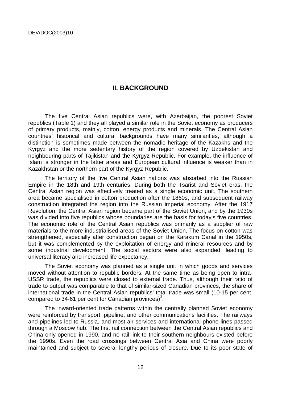# **II. BACKGROUND**

The five Central Asian republics were, with Azerbaijan, the poorest Soviet republics (Table 1) and they all played a similar role in the Soviet economy as producers of primary products, mainly, cotton, energy products and minerals. The Central Asian countries' historical and cultural backgrounds have many similarities, although a distinction is sometimes made between the nomadic heritage of the Kazakhs and the Kyrgyz and the more sedentary history of the region covered by Uzbekistan and neighbouring parts of Tajikistan and the Kyrgyz Republic. For example, the influence of Islam is stronger in the latter areas and European cultural influence is weaker than in Kazakhstan or the northern part of the Kyrgyz Republic.

The territory of the five Central Asian nations was absorbed into the Russian Empire in the 18th and 19th centuries. During both the Tsarist and Soviet eras, the Central Asian region was effectively treated as a single economic unit. The southern area became specialised in cotton production after the 1860s, and subsequent railway construction integrated the region into the Russian imperial economy. After the 1917 Revolution, the Central Asian region became part of the Soviet Union, and by the 1930s was divided into five republics whose boundaries are the basis for today's five countries. The economic role of the Central Asian republics was primarily as a supplier of raw materials to the more industrialised areas of the Soviet Union. The focus on cotton was strengthened, especially after construction began on the Karakum Canal in the 1950s, but it was complemented by the exploitation of energy and mineral resources and by some industrial development. The social sectors were also expanded, leading to universal literacy and increased life expectancy.

The Soviet economy was planned as a single unit in which goods and services moved without attention to republic borders. At the same time as being open to intra-USSR trade, the republics were closed to external trade. Thus, although their ratio of trade to output was comparable to that of similar-sized Canadian provinces, the share of international trade in the Central Asian republics' total trade was small (10-15 per cent, compared to 34-61 per cent for Canadian provinces)<sup>3</sup>.

The inward-oriented trade patterns within the centrally planned Soviet economy were reinforced by transport, pipeline, and other communications facilities. The railways and pipelines led to Russia, and most air services and international phone lines passed through a Moscow hub. The first rail connection between the Central Asian republics and China only opened in 1990, and no rail link to their southern neighbours existed before the 1990s. Even the road crossings between Central Asia and China were poorly maintained and subject to several lengthy periods of closure. Due to its poor state of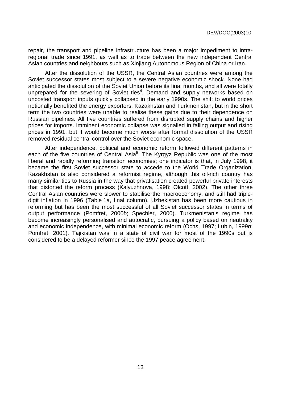repair, the transport and pipeline infrastructure has been a major impediment to intraregional trade since 1991, as well as to trade between the new independent Central Asian countries and neighbours such as Xinjiang Autonomous Region of China or Iran.

After the dissolution of the USSR, the Central Asian countries were among the Soviet successor states most subject to a severe negative economic shock. None had anticipated the dissolution of the Soviet Union before its final months, and all were totally unprepared for the severing of Soviet ties<sup>4</sup>. Demand and supply networks based on uncosted transport inputs quickly collapsed in the early 1990s. The shift to world prices notionally benefited the energy exporters, Kazakhstan and Turkmenistan, but in the short term the two countries were unable to realise these gains due to their dependence on Russian pipelines. All five countries suffered from disrupted supply chains and higher prices for imports. Imminent economic collapse was signalled in falling output and rising prices in 1991, but it would become much worse after formal dissolution of the USSR removed residual central control over the Soviet economic space.

After independence, political and economic reform followed different patterns in each of the five countries of Central Asia<sup>5</sup>. The Kyrgyz Republic was one of the most liberal and rapidly reforming transition economies; one indicator is that, in July 1998, it became the first Soviet successor state to accede to the World Trade Organization. Kazakhstan is also considered a reformist regime, although this oil-rich country has many similarities to Russia in the way that privatisation created powerful private interests that distorted the reform process (Kalyuzhnova, 1998; Olcott, 2002). The other three Central Asian countries were slower to stabilise the macroeconomy, and still had tripledigit inflation in 1996 (Table 1a, final column). Uzbekistan has been more cautious in reforming but has been the most successful of all Soviet successor states in terms of output performance (Pomfret, 2000b; Spechler, 2000). Turkmenistan's regime has become increasingly personalised and autocratic, pursuing a policy based on neutrality and economic independence, with minimal economic reform (Ochs, 1997; Lubin, 1999b; Pomfret, 2001). Tajikistan was in a state of civil war for most of the 1990s but is considered to be a delayed reformer since the 1997 peace agreement.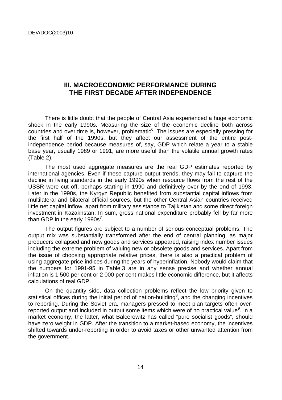# **III. MACROECONOMIC PERFORMANCE DURING THE FIRST DECADE AFTER INDEPENDENCE**

There is little doubt that the people of Central Asia experienced a huge economic shock in the early 1990s. Measuring the size of the economic decline both across countries and over time is, however, problematic<sup>6</sup>. The issues are especially pressing for the first half of the 1990s, but they affect our assessment of the entire postindependence period because measures of, say, GDP which relate a year to a stable base year, usually 1989 or 1991, are more useful than the volatile annual growth rates (Table 2).

The most used aggregate measures are the real GDP estimates reported by international agencies. Even if these capture output trends, they may fail to capture the decline in living standards in the early 1990s when resource flows from the rest of the USSR were cut off, perhaps starting in 1990 and definitively over by the end of 1993. Later in the 1990s, the Kyrgyz Republic benefited from substantial capital inflows from multilateral and bilateral official sources, but the other Central Asian countries received little net capital inflow, apart from military assistance to Tajikistan and some direct foreign investment in Kazakhstan. In sum, gross national expenditure probably fell by far more than GDP in the early 1990s<sup>7</sup>.

The output figures are subject to a number of serious conceptual problems. The output mix was substantially transformed after the end of central planning, as major producers collapsed and new goods and services appeared, raising index number issues including the extreme problem of valuing new or obsolete goods and services. Apart from the issue of choosing appropriate relative prices, there is also a practical problem of using aggregate price indices during the years of hyperinflation. Nobody would claim that the numbers for 1991-95 in Table 3 are in any sense precise and whether annual inflation is 1 500 per cent or 2 000 per cent makes little economic difference, but it affects calculations of real GDP.

On the quantity side, data collection problems reflect the low priority given to statistical offices during the initial period of nation-building<sup>8</sup>, and the changing incentives to reporting. During the Soviet era, managers pressed to meet plan targets often overreported output and included in output some items which were of no practical value<sup>9</sup>. In a market economy, the latter, what Balcerowitz has called "pure socialist goods", should have zero weight in GDP. After the transition to a market-based economy, the incentives shifted towards under-reporting in order to avoid taxes or other unwanted attention from the government.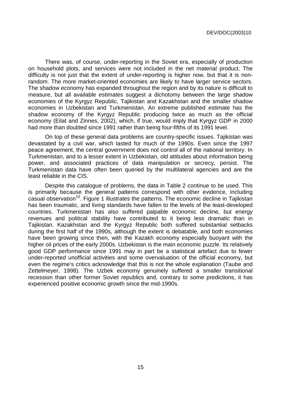There was, of course, under-reporting in the Soviet era, especially of production on household plots, and services were not included in the net material product. The difficulty is not just that the extent of under-reporting is higher now, but that it is nonrandom. The more market-oriented economies are likely to have larger service sectors. The shadow economy has expanded throughout the region and by its nature is difficult to measure, but all available estimates suggest a dichotomy between the large shadow economies of the Kyrgyz Republic, Tajikistan and Kazakhstan and the smaller shadow economies in Uzbekistan and Turkmenistan. An extreme published estimate has the shadow economy of the Kyrgyz Republic producing twice as much as the official economy (Eilat and Zinnes, 2002), which, if true, would imply that Kyrgyz GDP in 2000 had more than doubled since 1991 rather than being four-fifths of its 1991 level.

On top of these general data problems are country-specific issues. Tajikistan was devastated by a civil war, which lasted for much of the 1990s. Even since the 1997 peace agreement, the central government does not control all of the national territory. In Turkmenistan, and to a lesser extent in Uzbekistan, old attitudes about information being power, and associated practices of data manipulation or secrecy, persist. The Turkmenistan data have often been queried by the multilateral agencies and are the least reliable in the CIS.

Despite this catalogue of problems, the data in Table 2 continue to be used. This is primarily because the general patterns correspond with other evidence, including casual observation<sup>10</sup>. Figure 1 illustrates the patterns. The economic decline in Tajikistan has been traumatic, and living standards have fallen to the levels of the least-developed countries. Turkmenistan has also suffered palpable economic decline, but energy revenues and political stability have contributed to it being less dramatic than in Tajikistan. Kazakhstan and the Kyrgyz Republic both suffered substantial setbacks during the first half of the 1990s, although the extent is debatable, and both economies have been growing since then, with the Kazakh economy especially buoyant with the higher oil prices of the early 2000s. Uzbekistan is the main economic puzzle. Its relatively good GDP performance since 1991 may in part be a statistical artefact due to fewer under-reported unofficial activities and some overvaluation of the official economy, but even the regime's critics acknowledge that this is not the whole explanation (Taube and Zettelmeyer, 1998). The Uzbek economy genuinely suffered a smaller transitional recession than other former Soviet republics and, contrary to some predictions, it has experienced positive economic growth since the mid-1990s.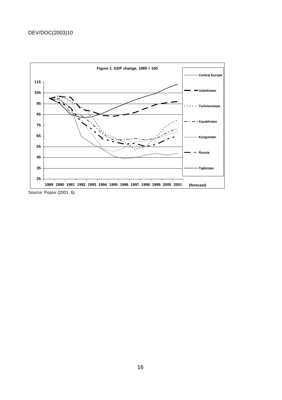

Source: Popov (2001, 6).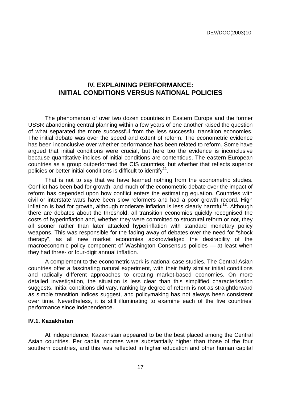# **IV. EXPLAINING PERFORMANCE: INITIAL CONDITIONS VERSUS NATIONAL POLICIES**

The phenomenon of over two dozen countries in Eastern Europe and the former USSR abandoning central planning within a few years of one another raised the question of what separated the more successful from the less successful transition economies. The initial debate was over the speed and extent of reform. The econometric evidence has been inconclusive over whether performance has been related to reform. Some have argued that initial conditions were crucial, but here too the evidence is inconclusive because quantitative indices of initial conditions are contentious. The eastern European countries as a group outperformed the CIS countries, but whether that reflects superior policies or better initial conditions is difficult to identify<sup>11</sup>.

That is not to say that we have learned nothing from the econometric studies. Conflict has been bad for growth, and much of the econometric debate over the impact of reform has depended upon how conflict enters the estimating equation. Countries with civil or interstate wars have been slow reformers and had a poor growth record. High inflation is bad for growth, although moderate inflation is less clearly harmful<sup>12</sup>. Although there are debates about the threshold, all transition economies quickly recognised the costs of hyperinflation and, whether they were committed to structural reform or not, they all sooner rather than later attacked hyperinflation with standard monetary policy weapons. This was responsible for the fading away of debates over the need for "shock therapy", as all new market economies acknowledged the desirability of the macroeconomic policy component of Washington Consensus policies — at least when they had three- or four-digit annual inflation.

A complement to the econometric work is national case studies. The Central Asian countries offer a fascinating natural experiment, with their fairly similar initial conditions and radically different approaches to creating market-based economies. On more detailed investigation, the situation is less clear than this simplified characterisation suggests. Initial conditions did vary, ranking by degree of reform is not as straightforward as simple transition indices suggest, and policymaking has not always been consistent over time. Nevertheless, it is still illuminating to examine each of the five countries' performance since independence.

#### **IV.1. Kazakhstan**

At independence, Kazakhstan appeared to be the best placed among the Central Asian countries. Per capita incomes were substantially higher than those of the four southern countries, and this was reflected in higher education and other human capital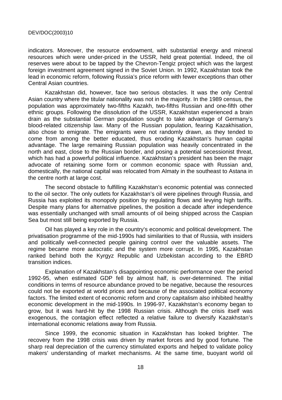indicators. Moreover, the resource endowment, with substantial energy and mineral resources which were under-priced in the USSR, held great potential. Indeed, the oil reserves were about to be tapped by the Chevron-Tengiz project which was the largest foreign investment agreement signed in the Soviet Union. In 1992, Kazakhstan took the lead in economic reform, following Russia's price reform with fewer exceptions than other Central Asian countries.

Kazakhstan did, however, face two serious obstacles. It was the only Central Asian country where the titular nationality was not in the majority. In the 1989 census, the population was approximately two-fifths Kazakh, two-fifths Russian and one-fifth other ethnic groups. Following the dissolution of the USSR, Kazakhstan experienced a brain drain as the substantial German population sought to take advantage of Germany's blood-related citizenship law. Many of the Russian population, fearing Kazakhisation, also chose to emigrate. The emigrants were not randomly drawn, as they tended to come from among the better educated, thus eroding Kazakhstan's human capital advantage. The large remaining Russian population was heavily concentrated in the north and east, close to the Russian border, and posing a potential secessionist threat, which has had a powerful political influence. Kazakhstan's president has been the major advocate of retaining some form or common economic space with Russian and, domestically, the national capital was relocated from Almaty in the southeast to Astana in the centre north at large cost.

The second obstacle to fulfilling Kazakhstan's economic potential was connected to the oil sector. The only outlets for Kazakhstan's oil were pipelines through Russia, and Russia has exploited its monopoly position by regulating flows and levying high tariffs. Despite many plans for alternative pipelines, the position a decade after independence was essentially unchanged with small amounts of oil being shipped across the Caspian Sea but most still being exported by Russia.

Oil has played a key role in the country's economic and political development. The privatisation programme of the mid-1990s had similarities to that of Russia, with insiders and politically well-connected people gaining control over the valuable assets. The regime became more autocratic and the system more corrupt. In 1995, Kazakhstan ranked behind both the Kyrgyz Republic and Uzbekistan according to the EBRD transition indices.

Explanation of Kazakhstan's disappointing economic performance over the period 1992-95, when estimated GDP fell by almost half, is over-determined. The initial conditions in terms of resource abundance proved to be negative, because the resources could not be exported at world prices and because of the associated political economy factors. The limited extent of economic reform and crony capitalism also inhibited healthy economic development in the mid-1990s. In 1996-97, Kazakhstan's economy began to grow, but it was hard-hit by the 1998 Russian crisis. Although the crisis itself was exogenous, the contagion effect reflected a relative failure to diversify Kazakhstan's international economic relations away from Russia.

Since 1999, the economic situation in Kazakhstan has looked brighter. The recovery from the 1998 crisis was driven by market forces and by good fortune. The sharp real depreciation of the currency stimulated exports and helped to validate policy makers' understanding of market mechanisms. At the same time, buoyant world oil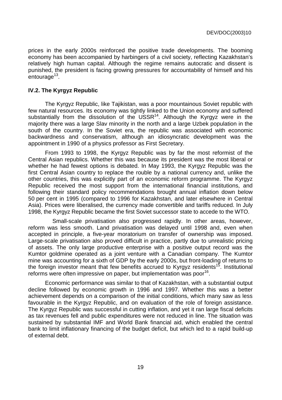prices in the early 2000s reinforced the positive trade developments. The booming economy has been accompanied by harbingers of a civil society, reflecting Kazakhstan's relatively high human capital. Although the regime remains autocratic and dissent is punished, the president is facing growing pressures for accountability of himself and his entourage<sup>13</sup>.

#### **IV.2. The Kyrgyz Republic**

The Kyrgyz Republic, like Tajikistan, was a poor mountainous Soviet republic with few natural resources. Its economy was tightly linked to the Union economy and suffered substantially from the dissolution of the  $USSR^{14}$ . Although the Kyrgyz were in the majority there was a large Slav minority in the north and a large Uzbek population in the south of the country. In the Soviet era, the republic was associated with economic backwardness and conservatism, although an idiosyncratic development was the appointment in 1990 of a physics professor as First Secretary.

From 1993 to 1998, the Kyrgyz Republic was by far the most reformist of the Central Asian republics. Whether this was because its president was the most liberal or whether he had fewest options is debated. In May 1993, the Kyrgyz Republic was the first Central Asian country to replace the rouble by a national currency and, unlike the other countries, this was explicitly part of an economic reform programme. The Kyrgyz Republic received the most support from the international financial institutions, and following their standard policy recommendations brought annual inflation down below 50 per cent in 1995 (compared to 1996 for Kazakhstan, and later elsewhere in Central Asia). Prices were liberalised, the currency made convertible and tariffs reduced. In July 1998, the Kyrgyz Republic became the first Soviet successor state to accede to the WTO.

 Small-scale privatisation also progressed rapidly. In other areas, however, reform was less smooth. Land privatisation was delayed until 1998 and, even when accepted in principle, a five-year moratorium on transfer of ownership was imposed. Large-scale privatisation also proved difficult in practice, partly due to unrealistic pricing of assets. The only large productive enterprise with a positive output record was the Kumtor goldmine operated as a joint venture with a Canadian company. The Kumtor mine was accounting for a sixth of GDP by the early 2000s, but front-loading of returns to the foreign investor meant that few benefits accrued to Kyrgyz residents<sup>15</sup>. Institutional reforms were often impressive on paper, but implementation was poor<sup>16</sup>.

Economic performance was similar to that of Kazakhstan, with a substantial output decline followed by economic growth in 1996 and 1997. Whether this was a better achievement depends on a comparison of the initial conditions, which many saw as less favourable in the Kyrgyz Republic, and on evaluation of the role of foreign assistance. The Kyrgyz Republic was successful in cutting inflation, and yet it ran large fiscal deficits as tax revenues fell and public expenditures were not reduced in line. The situation was sustained by substantial IMF and World Bank financial aid, which enabled the central bank to limit inflationary financing of the budget deficit, but which led to a rapid build-up of external debt.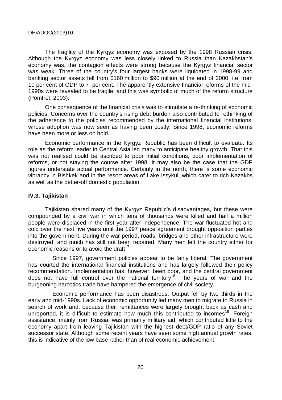The fragility of the Kyrgyz economy was exposed by the 1998 Russian crisis. Although the Kyrgyz economy was less closely linked to Russia than Kazakhstan's economy was, the contagion effects were strong because the Kyrgyz financial sector was weak. Three of the country's four largest banks were liquidated in 1998-99 and banking sector assets fell from \$160 million to \$90 million at the end of 2000, i.e. from 10 per cent of GDP to 7 per cent. The apparently extensive financial reforms of the mid-1990s were revealed to be fragile, and this was symbolic of much of the reform structure (Pomfret, 2003).

One consequence of the financial crisis was to stimulate a re-thinking of economic policies. Concerns over the country's rising debt burden also contributed to rethinking of the adherence to the policies recommended by the international financial institutions, whose adoption was now seen as having been costly. Since 1998, economic reforms have been more or less on hold.

Economic performance in the Kyrgyz Republic has been difficult to evaluate. Its role as the reform leader in Central Asia led many to anticipate healthy growth. That this was not realised could be ascribed to poor initial conditions, poor implementation of reforms, or not staying the course after 1998. It may also be the case that the GDP figures understate actual performance. Certainly in the north, there is some economic vibrancy in Bishkek and in the resort areas of Lake Issykul, which cater to rich Kazakhs as well as the better-off domestic population.

#### **IV.3. Tajikistan**

Tajikistan shared many of the Kyrgyz Republic's disadvantages, but these were compounded by a civil war in which tens of thousands were killed and half a million people were displaced in the first year after independence. The war fluctuated hot and cold over the next five years until the 1997 peace agreement brought opposition parties into the government. During the war period, roads, bridges and other infrastructure were destroyed, and much has still not been repaired. Many men left the country either for economic reasons or to avoid the draft $17$ .

 Since 1997, government policies appear to be fairly liberal. The government has courted the international financial institutions and has largely followed their policy recommendation. Implementation has, however, been poor, and the central government does not have full control over the national territory<sup>18</sup>. The years of war and the burgeoning narcotics trade have hampered the emergence of civil society.

 Economic performance has been disastrous. Output fell by two thirds in the early and mid-1990s. Lack of economic opportunity led many men to migrate to Russia in search of work and, because their remittances were largely brought back as cash and unreported, it is difficult to estimate how much this contributed to incomes<sup>19</sup>. Foreign assistance, mainly from Russia, was primarily military aid, which contributed little to the economy apart from leaving Tajikistan with the highest debt/GDP ratio of any Soviet successor state. Although some recent years have seen some high annual growth rates, this is indicative of the low base rather than of real economic achievement.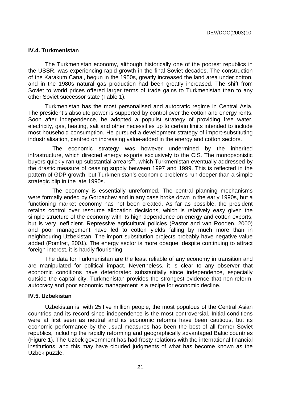#### **IV.4. Turkmenistan**

The Turkmenistan economy, although historically one of the poorest republics in the USSR, was experiencing rapid growth in the final Soviet decades. The construction of the Karakum Canal, begun in the 1950s, greatly increased the land area under cotton, and in the 1980s natural gas production had been greatly increased. The shift from Soviet to world prices offered larger terms of trade gains to Turkmenistan than to any other Soviet successor state (Table 1).

Turkmenistan has the most personalised and autocratic regime in Central Asia. The president's absolute power is supported by control over the cotton and energy rents. Soon after independence, he adopted a populist strategy of providing free water, electricity, gas, heating, salt and other necessities up to certain limits intended to include most household consumption. He pursued a development strategy of import-substituting industrialisation, centred on increasing value-added in the energy and cotton sectors.

 The economic strategy was however undermined by the inherited infrastructure, which directed energy exports exclusively to the CIS. The monopsonistic buyers quickly ran up substantial arrears<sup>20</sup>, which Turkmenistan eventually addressed by the drastic measure of ceasing supply between 1997 and 1999. This is reflected in the pattern of GDP growth, but Turkmenistan's economic problems run deeper than a simple strategic blip in the late 1990s.

 The economy is essentially unreformed. The central planning mechanisms were formally ended by Gorbachev and in any case broke down in the early 1990s, but a functioning market economy has not been created. As far as possible, the president retains control over resource allocation decisions, which is relatively easy given the simple structure of the economy with its high dependence on energy and cotton exports, but is very inefficient. Repressive agricultural policies (Pastor and van Rooden, 2000) and poor management have led to cotton yields falling by much more than in neighbouring Uzbekistan. The import substitution projects probably have negative value added (Pomfret, 2001). The energy sector is more opaque; despite continuing to attract foreign interest, it is hardly flourishing.

The data for Turkmenistan are the least reliable of any economy in transition and are manipulated for political impact. Nevertheless, it is clear to any observer that economic conditions have deteriorated substantially since independence, especially outside the capital city. Turkmenistan provides the strongest evidence that non-reform, autocracy and poor economic management is a recipe for economic decline.

#### **IV.5. Uzbekistan**

Uzbekistan is, with 25 five million people, the most populous of the Central Asian countries and its record since independence is the most controversial. Initial conditions were at first seen as neutral and its economic reforms have been cautious, but its economic performance by the usual measures has been the best of all former Soviet republics, including the rapidly reforming and geographically advantaged Baltic countries (Figure 1). The Uzbek government has had frosty relations with the international financial institutions, and this may have clouded judgments of what has become known as the Uzbek puzzle.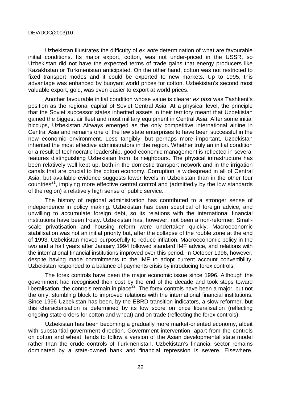Uzbekistan illustrates the difficulty of ex ante determination of what are favourable initial conditions. Its major export, cotton, was not under-priced in the USSR, so Uzbekistan did not have the expected terms of trade gains that energy producers like Kazakhstan or Turkmenistan anticipated. On the other hand, cotton was not restricted to fixed transport modes and it could be exported to new markets. Up to 1995, this advantage was enhanced by buoyant world prices for cotton. Uzbekistan's second most valuable export, gold, was even easier to export at world prices.

Another favourable initial condition whose value is clearer ex post was Tashkent's position as the regional capital of Soviet Central Asia. At a physical level, the principle that the Soviet successor states inherited assets in their territory meant that Uzbekistan gained the biggest air fleet and most military equipment in Central Asia. After some initial hiccups, Uzbekistan Airways emerged as the only competitive international airline in Central Asia and remains one of the few state enterprises to have been successful in the new economic environment. Less tangibly, but perhaps more important, Uzbekistan inherited the most effective administrators in the region. Whether truly an initial condition or a result of technocratic leadership, good economic management is reflected in several features distinguishing Uzbekistan from its neighbours. The physical infrastructure has been relatively well kept up, both in the domestic transport network and in the irrigation canals that are crucial to the cotton economy. Corruption is widespread in all of Central Asia, but available evidence suggests lower levels in Uzbekistan than in the other four countries<sup>21</sup>, implying more effective central control and (admittedly by the low standards of the region) a relatively high sense of public service.

The history of regional administration has contributed to a stronger sense of independence in policy making. Uzbekistan has been sceptical of foreign advice, and unwilling to accumulate foreign debt, so its relations with the international financial institutions have been frosty. Uzbekistan has, however, not been a non-reformer. Smallscale privatisation and housing reform were undertaken quickly. Macroeconomic stabilisation was not an initial priority but, after the collapse of the rouble zone at the end of 1993, Uzbekistan moved purposefully to reduce inflation. Macroeconomic policy in the two and a half years after January 1994 followed standard IMF advice, and relations with the international financial institutions improved over this period. In October 1996, however, despite having made commitments to the IMF to adopt current account convertibility, Uzbekistan responded to a balance of payments crisis by introducing forex controls.

The forex controls have been the major economic issue since 1996. Although the government had recognised their cost by the end of the decade and took steps toward liberalisation, the controls remain in place<sup>22</sup>. The forex controls have been a major, but not the only, stumbling block to improved relations with the international financial institutions. Since 1996 Uzbekistan has been, by the EBRD transition indicators, a slow reformer, but this characterisation is determined by its low score on price liberalisation (reflecting ongoing state orders for cotton and wheat) and on trade (reflecting the forex controls).

Uzbekistan has been becoming a gradually more market-oriented economy, albeit with substantial government direction. Government intervention, apart from the controls on cotton and wheat, tends to follow a version of the Asian developmental state model rather than the crude controls of Turkmenistan. Uzbekistan's financial sector remains dominated by a state-owned bank and financial repression is severe. Elsewhere,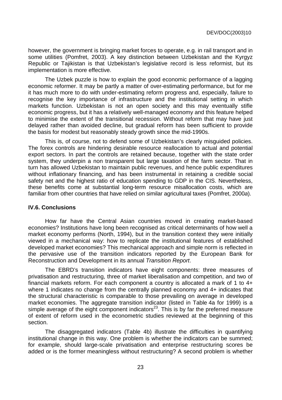however, the government is bringing market forces to operate, e.g. in rail transport and in some utilities (Pomfret, 2003). A key distinction between Uzbekistan and the Kyrgyz Republic or Tajikistan is that Uzbekistan's legislative record is less reformist, but its implementation is more effective.

The Uzbek puzzle is how to explain the good economic performance of a lagging economic reformer. It may be partly a matter of over-estimating performance, but for me it has much more to do with under-estimating reform progress and, especially, failure to recognise the key importance of infrastructure and the institutional setting in which markets function. Uzbekistan is not an open society and this may eventually stifle economic progress, but it has a relatively well-managed economy and this feature helped to minimise the extent of the transitional recession. Without reform that may have just delayed rather than avoided decline, but gradual reform has been sufficient to provide the basis for modest but reasonably steady growth since the mid-1990s.

This is, of course, not to defend some of Uzbekistan's clearly misguided policies. The forex controls are hindering desirable resource reallocation to actual and potential export sectors. In part the controls are retained because, together with the state order system, they underpin a non transparent but large taxation of the farm sector. That in turn has allowed Uzbekistan to maintain public revenues, and hence public expenditures without inflationary financing, and has been instrumental in retaining a credible social safety net and the highest ratio of education spending to GDP in the CIS. Nevertheless, these benefits come at substantial long-term resource misallocation costs, which are familiar from other countries that have relied on similar agricultural taxes (Pomfret, 2000a).

#### **IV.6. Conclusions**

How far have the Central Asian countries moved in creating market-based economies? Institutions have long been recognised as critical determinants of how well a market economy performs (North, 1994), but in the transition context they were initially viewed in a mechanical way: how to replicate the institutional features of established developed market economies? This mechanical approach and simple norm is reflected in the pervasive use of the transition indicators reported by the European Bank for Reconstruction and Development in its annual Transition Report.

The EBRD's transition indicators have eight components: three measures of privatisation and restructuring, three of market liberalisation and competition, and two of financial markets reform. For each component a country is allocated a mark of 1 to 4+ where 1 indicates no change from the centrally planned economy and 4+ indicates that the structural characteristic is comparable to those prevailing on average in developed market economies. The aggregate transition indicator (listed in Table 4a for 1999) is a simple average of the eight component indicators<sup>23</sup>. This is by far the preferred measure of extent of reform used in the econometric studies reviewed at the beginning of this section.

The disaggregated indicators (Table 4b) illustrate the difficulties in quantifying institutional change in this way. One problem is whether the indicators can be summed; for example, should large-scale privatisation and enterprise restructuring scores be added or is the former meaningless without restructuring? A second problem is whether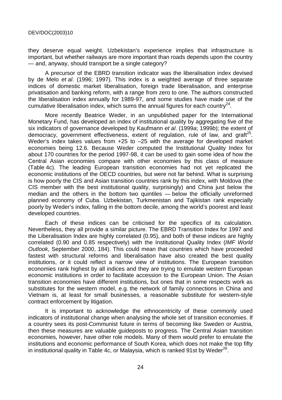they deserve equal weight. Uzbekistan's experience implies that infrastructure is important, but whether railways are more important than roads depends upon the country — and, anyway, should transport be a single category?

A precursor of the EBRD transition indicator was the liberalisation index devised by de Melo et al. (1996; 1997). This index is a weighted average of three separate indices of domestic market liberalisation, foreign trade liberalisation, and enterprise privatisation and banking reform, with a range from zero to one. The authors constructed the liberalisation index annually for 1989-97, and some studies have made use of the cumulative liberalisation index, which sums the annual figures for each country $^{24}$ .

More recently Beatrice Weder, in an unpublished paper for the International Monetary Fund, has developed an index of institutional quality by aggregating five of the six indicators of governance developed by Kaufmann et al. (1999a; 1999b); the extent of democracy, government effectiveness, extent of regulation, rule of law, and graft<sup>25</sup>. Weder's index takes values from +25 to –25 with the average for developed market economies being 12.6. Because Weder computed the Institutional Quality Index for about 170 countries for the period 1997-98, it can be used to gain some idea of how the Central Asian economies compare with other economies by this class of measure (Table 4c). The leading European transition economies had not yet replicated the economic institutions of the OECD countries, but were not far behind. What is surprising is how poorly the CIS and Asian transition countries rank by this index, with Moldova (the CIS member with the best institutional quality, surprisingly) and China just below the median and the others in the bottom two quintiles — below the officially unreformed planned economy of Cuba. Uzbekistan, Turkmenistan and Tajikistan rank especially poorly by Weder's index, falling in the bottom decile, among the world's poorest and least developed countries.

Each of these indices can be criticised for the specifics of its calculation. Nevertheless, they all provide a similar picture. The EBRD Transition Index for 1997 and the Liberalisation Index are highly correlated (0.95), and both of these indices are highly correlated (0.90 and 0.85 respectively) with the Institutional Quality Index (IMF World Outlook, September 2000, 184). This could mean that countries which have proceeded fastest with structural reforms and liberalisation have also created the best quality institutions, or it could reflect a narrow view of institutions. The European transition economies rank highest by all indices and they are trying to emulate western European economic institutions in order to facilitate accession to the European Union. The Asian transition economies have different institutions, but ones that in some respects work as substitutes for the western model, e.g. the network of family connections in China and Vietnam is, at least for small businesses, a reasonable substitute for western-style contract enforcement by litigation.

It is important to acknowledge the ethnocentricity of these commonly used indicators of institutional change when analysing the whole set of transition economies. If a country sees its post-Communist future in terms of becoming like Sweden or Austria, then these measures are valuable guideposts to progress. The Central Asian transition economies, however, have other role models. Many of them would prefer to emulate the institutions and economic performance of South Korea, which does not make the top fifty in institutional quality in Table 4c, or Malaysia, which is ranked 91st by Weder<sup>26</sup>.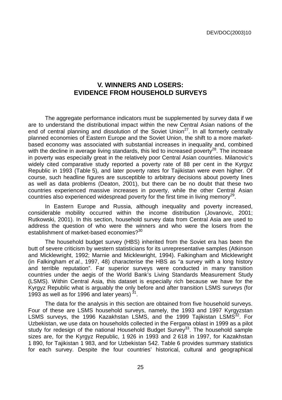# **V. WINNERS AND LOSERS: EVIDENCE FROM HOUSEHOLD SURVEYS**

The aggregate performance indicators must be supplemented by survey data if we are to understand the distributional impact within the new Central Asian nations of the end of central planning and dissolution of the Soviet Union<sup>27</sup>. In all formerly centrally planned economies of Eastern Europe and the Soviet Union, the shift to a more marketbased economy was associated with substantial increases in inequality and, combined with the decline in average living standards, this led to increased poverty<sup>28</sup>. The increase in poverty was especially great in the relatively poor Central Asian countries. Milanovic's widely cited comparative study reported a poverty rate of 88 per cent in the Kyrgyz Republic in 1993 (Table 5), and later poverty rates for Tajikistan were even higher. Of course, such headline figures are susceptible to arbitrary decisions about poverty lines as well as data problems (Deaton, 2001), but there can be no doubt that these two countries experienced massive increases in poverty, while the other Central Asian countries also experienced widespread poverty for the first time in living memory<sup>29</sup>.

In Eastern Europe and Russia, although inequality and poverty increased, considerable mobility occurred within the income distribution (Jovanovic, 2001; Rutkowski, 2001). In this section, household survey data from Central Asia are used to address the question of who were the winners and who were the losers from the establishment of market-based economies?<sup>30</sup>

The household budget survey (HBS) inherited from the Soviet era has been the butt of severe criticism by western statisticians for its unrepresentative samples (Atkinson and Micklewright, 1992; Marnie and Micklewright, 1994). Falkingham and Micklewright (in Falkingham et al., 1997, 48) characterise the HBS as "a survey with a long history and terrible reputation". Far superior surveys were conducted in many transition countries under the aegis of the World Bank's Living Standards Measurement Study (LSMS). Within Central Asia, this dataset is especially rich because we have for the Kyrgyz Republic what is arguably the only before and after transition LSMS surveys (for 1993 as well as for 1996 and later years)  $31$ .

The data for the analysis in this section are obtained from five household surveys. Four of these are LSMS household surveys, namely, the 1993 and 1997 Kyrgyzstan LSMS surveys, the 1996 Kazakhstan LSMS, and the 1999 Tajikistan LSMS<sup>32</sup>. For Uzbekistan, we use data on households collected in the Fergana oblast in 1999 as a pilot study for redesign of the national Household Budget Survey<sup>33</sup>. The household sample sizes are, for the Kyrgyz Republic, 1 926 in 1993 and 2 618 in 1997, for Kazakhstan 1 890, for Tajikistan 1 983, and for Uzbekistan 542. Table 6 provides summary statistics for each survey. Despite the four countries' historical, cultural and geographical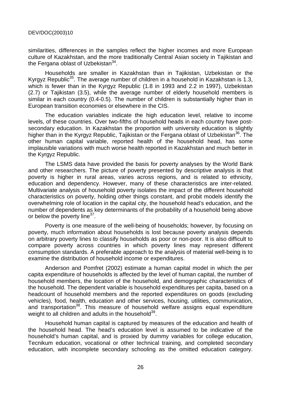similarities, differences in the samples reflect the higher incomes and more European culture of Kazakhstan, and the more traditionally Central Asian society in Tajikistan and the Fergana oblast of Uzbekistan $34$ .

Households are smaller in Kazakhstan than in Tajikistan, Uzbekistan or the Kyrgyz Republic<sup>35</sup>. The average number of children in a household in Kazakhstan is 1.3, which is fewer than in the Kyrgyz Republic (1.8 in 1993 and 2.2 in 1997), Uzbekistan (2.7) or Tajikistan (3.5), while the average number of elderly household members is similar in each country (0.4-0.5). The number of children is substantially higher than in European transition economies or elsewhere in the CIS.

The education variables indicate the high education level, relative to income levels, of these countries. Over two-fifths of household heads in each country have postsecondary education. In Kazakhstan the proportion with university education is slightly higher than in the Kyrgyz Republic, Tajikistan or the Fergana oblast of Uzbekistan<sup>36</sup>. The other human capital variable, reported health of the household head, has some implausible variations with much worse health reported in Kazakhstan and much better in the Kyrgyz Republic.

The LSMS data have provided the basis for poverty analyses by the World Bank and other researchers. The picture of poverty presented by descriptive analysis is that poverty is higher in rural areas, varies across regions, and is related to ethnicity, education and dependency. However, many of these characteristics are inter-related. Multivariate analysis of household poverty isolates the impact of the different household characteristics on poverty, holding other things constant, and probit models identify the overwhelming role of location in the capital city, the household head's education, and the number of dependents as key determinants of the probability of a household being above or below the poverty line $37$ .

Poverty is one measure of the well-being of households; however, by focusing on poverty, much information about households is lost because poverty analysis depends on arbitrary poverty lines to classify households as poor or non-poor. It is also difficult to compare poverty across countries in which poverty lines may represent different consumption standards. A preferable approach to the analysis of material well-being is to examine the distribution of household income or expenditures.

Anderson and Pomfret (2002) estimate a human capital model in which the per capita expenditure of households is affected by the level of human capital, the number of household members, the location of the household, and demographic characteristics of the household. The dependent variable is household expenditures per capita, based on a headcount of household members and the reported expenditures on goods (excluding vehicles), food, health, education and other services, housing, utilities, communication, and transportation<sup>38</sup>. This measure of household welfare assigns equal expenditure weight to all children and adults in the household $39$ .

Household human capital is captured by measures of the education and health of the household head. The head's education level is assumed to be indicative of the household's human capital, and is proxied by dummy variables for college education, Tecnikum education, vocational or other technical training, and completed secondary education, with incomplete secondary schooling as the omitted education category.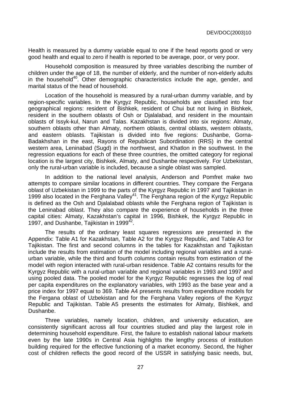Health is measured by a dummy variable equal to one if the head reports good or very good health and equal to zero if health is reported to be average, poor, or very poor.

Household composition is measured by three variables describing the number of children under the age of 18, the number of elderly, and the number of non-elderly adults in the household<sup>40</sup>. Other demographic characteristics include the age, gender, and marital status of the head of household.

Location of the household is measured by a rural-urban dummy variable, and by region-specific variables. In the Kyrgyz Republic, households are classified into four geographical regions: resident of Bishkek, resident of Chui but not living in Bishkek, resident in the southern oblasts of Osh or Djalalabad, and resident in the mountain oblasts of Issyk-kul, Narun and Talas. Kazakhstan is divided into six regions: Almaty, southern oblasts other than Almaty, northern oblasts, central oblasts, western oblasts, and eastern oblasts. Tajikistan is divided into five regions: Dushanbe, Gorna-Badakhshan in the east, Rayons of Republican Subordination (RRS) in the central western area, Leninabad (Sugd) in the northwest, and Khatlon in the southwest. In the regression equations for each of these three countries, the omitted category for regional location is the largest city, Bishkek, Almaty, and Dushanbe respectively. For Uzbekistan, only the rural-urban variable is included, because a single oblast was sampled.

In addition to the national level analysis, Anderson and Pomfret make two attempts to compare similar locations in different countries. They compare the Fergana oblast of Uzbekistan in 1999 to the parts of the Kyrgyz Republic in 1997 and Tajikistan in 1999 also located in the Ferghana Valley<sup>41</sup>. The Ferghana region of the Kyrgyz Republic is defined as the Osh and Djalalabad oblasts while the Ferghana region of Tajikistan is the Leninabad oblast. They also compare the experience of households in the three capital cities: Almaty, Kazakhstan's capital in 1996, Bishkek, the Kyrgyz Republic in 1997, and Dushanbe, Tajikistan in 1999 $42$ .

The results of the ordinary least squares regressions are presented in the Appendix: Table A1 for Kazakhstan, Table A2 for the Kyrgyz Republic, and Table A3 for Tajikistan. The first and second columns in the tables for Kazakhstan and Tajikistan include the results from estimation of the model including regional variables and a ruralurban variable, while the third and fourth columns contain results from estimation of the model with region interacted with rural-urban residence. Table A2 contains results for the Kyrgyz Republic with a rural-urban variable and regional variables in 1993 and 1997 and using pooled data. The pooled model for the Kyrgyz Republic regresses the log of real per capita expenditures on the explanatory variables, with 1993 as the base year and a price index for 1997 equal to 369. Table A4 presents results from expenditure models for the Fergana oblast of Uzbekistan and for the Ferghana Valley regions of the Kyrgyz Republic and Tajikistan. Table A5 presents the estimates for Almaty, Bishkek, and Dushanbe.

Three variables, namely location, children, and university education, are consistently significant across all four countries studied and play the largest role in determining household expenditure. First, the failure to establish national labour markets even by the late 1990s in Central Asia highlights the lengthy process of institution building required for the effective functioning of a market economy. Second, the higher cost of children reflects the good record of the USSR in satisfying basic needs, but,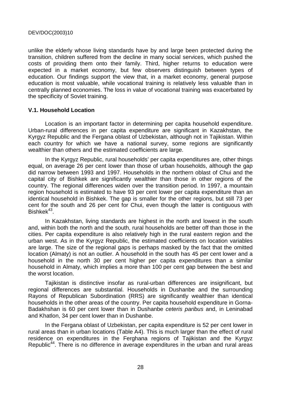unlike the elderly whose living standards have by and large been protected during the transition, children suffered from the decline in many social services, which pushed the costs of providing them onto their family. Third, higher returns to education were expected in a market economy, but few observers distinguish between types of education. Our findings support the view that, in a market economy, general purpose education is most valuable, while vocational training is relatively less valuable than in centrally planned economies. The loss in value of vocational training was exacerbated by the specificity of Soviet training.

#### **V.1. Household Location**

Location is an important factor in determining per capita household expenditure. Urban-rural differences in per capita expenditure are significant in Kazakhstan, the Kyrgyz Republic and the Fergana oblast of Uzbekistan, although not in Tajikistan. Within each country for which we have a national survey, some regions are significantly wealthier than others and the estimated coefficients are large.

In the Kyrgyz Republic, rural households' per capita expenditures are, other things equal, on average 26 per cent lower than those of urban households, although the gap did narrow between 1993 and 1997. Households in the northern oblast of Chui and the capital city of Bishkek are significantly wealthier than those in other regions of the country. The regional differences widen over the transition period. In 1997, a mountain region household is estimated to have 93 per cent lower per capita expenditure than an identical household in Bishkek. The gap is smaller for the other regions, but still 73 per cent for the south and 26 per cent for Chui, even though the latter is contiguous with  $Bishkek^{43}$ .

In Kazakhstan, living standards are highest in the north and lowest in the south and, within both the north and the south, rural households are better off than those in the cities. Per capita expenditure is also relatively high in the rural eastern region and the urban west. As in the Kyrgyz Republic, the estimated coefficients on location variables are large. The size of the regional gaps is perhaps masked by the fact that the omitted location (Almaty) is not an outlier. A household in the south has 45 per cent lower and a household in the north 30 per cent higher per capita expenditures than a similar household in Almaty, which implies a more than 100 per cent gap between the best and the worst location.

Tajikistan is distinctive insofar as rural-urban differences are insignificant, but regional differences are substantial. Households in Dushanbe and the surrounding Rayons of Republican Subordination (RRS) are significantly wealthier than identical households in the other areas of the country. Per capita household expenditure in Gorna-Badakhshan is 60 per cent lower than in Dushanbe ceteris paribus and, in Leninabad and Khatlon, 34 per cent lower than in Dushanbe.

In the Fergana oblast of Uzbekistan, per capita expenditure is 52 per cent lower in rural areas than in urban locations (Table A4). This is much larger than the effect of rural residence on expenditures in the Ferghana regions of Tajikistan and the Kyrgyz Republic<sup>44</sup>. There is no difference in average expenditures in the urban and rural areas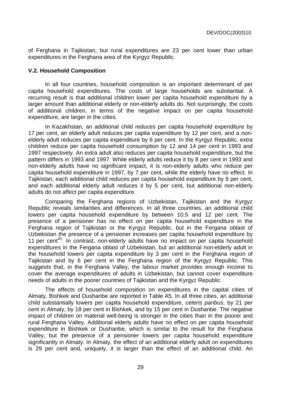of Ferghana in Tajikistan, but rural expenditures are 23 per cent lower than urban expenditures in the Ferghana area of the Kyrgyz Republic.

#### **V.2. Household Composition**

In all four countries, household composition is an important determinant of per capita household expenditures. The costs of large households are substantial. A recurring result is that additional children lower per capita household expenditure by a larger amount than additional elderly or non-elderly adults do. Not surprisingly, the costs of additional children, in terms of the negative impact on per capita household expenditure, are larger in the cities.

In Kazakhstan, an additional child reduces per capita household expenditure by 17 per cent, an elderly adult reduces per capita expenditure by 12 per cent, and a nonelderly adult reduces per capita expenditure by 6 per cent. In the Kyrgyz Republic, extra children reduce per capita household consumption by 12 and 14 per cent in 1993 and 1997 respectively. An extra adult also reduces per capita household expenditure, but the pattern differs in 1993 and 1997. While elderly adults reduce it by 8 per cent in 1993 and non-elderly adults have no significant impact, it is non-elderly adults who reduce per capita household expenditure in 1997, by 7 per cent, while the elderly have no effect. In Tajikistan, each additional child reduces per capita household expenditure by 9 per cent, and each additional elderly adult reduces it by 5 per cent, but additional non-elderly adults do not affect per capita expenditure.

Comparing the Ferghana regions of Uzbekistan, Tajikistan and the Kyrgyz Republic reveals similarities and differences. In all three countries, an additional child lowers per capita household expenditure by between 10.5 and 12 per cent. The presence of a pensioner has no effect on per capita household expenditure in the Ferghana region of Tajikistan or the Kyrgyz Republic, but in the Fergana oblast of Uzbekistan the presence of a pensioner increases per capita household expenditure by 11 per cent<sup>45</sup>. In contrast, non-elderly adults have no impact on per capita household expenditures in the Fergana oblast of Uzbekistan, but an additional non-elderly adult in the household lowers per capita expenditure by 3 per cent in the Ferghana region of Tajikistan and by 6 per cent in the Ferghana region of the Kyrgyz Republic. This suggests that, in the Ferghana Valley, the labour market provides enough income to cover the average expenditures of adults in Uzbekistan, but cannot cover expenditure needs of adults in the poorer countries of Tajikistan and the Kyrgyz Republic.

The effects of household composition on expenditures in the capital cities of Almaty, Bishkek and Dushanbe are reported in Table A5. In all three cities, an additional child substantially lowers per capita household expenditure, ceteris paribus, by 21 per cent in Almaty, by 18 per cent in Bishkek, and by 15 per cent in Dushanbe. The negative impact of children on material well-being is stronger in the cities than in the poorer and rural Ferghana Valley. Additional elderly adults have no effect on per capita household expenditure in Bishkek or Dushanbe, which is similar to the result for the Ferghana Valley, but the presence of a pensioner lowers per capita household expenditure significantly in Almaty. In Almaty, the effect of an additional elderly adult on expenditures is 29 per cent and, uniquely, it is larger than the effect of an additional child. An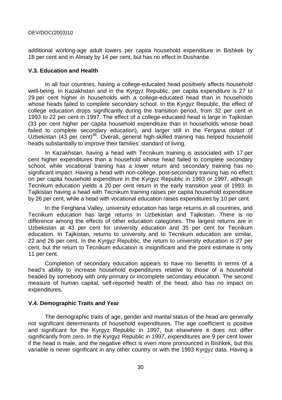additional working-age adult lowers per capita household expenditure in Bishkek by 18 per cent and in Almaty by 14 per cent, but has no effect in Dushanbe.

#### **V.3. Education and Health**

In all four countries, having a college-educated head positively affects household well-being. In Kazakhstan and in the Kyrgyz Republic, per capita expenditure is 27 to 29 per cent higher in households with a college-educated head than in households whose heads failed to complete secondary school. In the Kyrgyz Republic, the effect of college education drops significantly during the transition period, from 32 per cent in 1993 to 22 per cent in 1997. The effect of a college-educated head is large in Tajikistan (33 per cent higher per capita household expenditure than in households whose head failed to complete secondary education), and larger still in the Fergana oblast of Uzbekistan (43 per cent)<sup>46</sup>. Overall, general high-skilled training has helped household heads substantially to improve their families' standard of living.

In Kazakhstan, having a head with Tecnikum training is associated with 17 per cent higher expenditures than a household whose head failed to complete secondary school, while vocational training has a lower return and secondary training has no significant impact. Having a head with non-college, post-secondary training has no effect on per capita household expenditure in the Kyrgyz Republic in 1993 or 1997, although Tecnikum education yields a 20 per cent return in the early transition year of 1993. In Tajikistan having a head with Tecnikum training raises per capita household expenditure by 26 per cent, while a head with vocational education raises expenditures by 10 per cent.

In the Ferghana Valley, university education has large returns in all countries, and Tecnikum education has large returns in Uzbekistan and Tajikistan. There is no difference among the effects of other education categories. The largest returns are in Uzbekistan at 43 per cent for university education and 35 per cent for Tecnikum education. In Tajikistan, returns to university and to Tecnikum education are similar, 22 and 26 per cent. In the Kyrgyz Republic, the return to university education is 27 per cent, but the return to Tecnikum education is insignificant and the point estimate is only 11 per cent.

Completion of secondary education appears to have no benefits in terms of a head's ability to increase household expenditures relative to those of a household headed by somebody with only primary or incomplete secondary education. The second measure of human capital, self-reported health of the head, also has no impact on expenditures.

#### **V.4. Demographic Traits and Year**

The demographic traits of age, gender and marital status of the head are generally not significant determinants of household expenditures. The age coefficient is positive and significant for the Kyrgyz Republic in 1997, but elsewhere it does not differ significantly from zero. In the Kyrgyz Republic in 1997, expenditures are 9 per cent lower if the head is male, and the negative effect is even more pronounced in Bishkek, but this variable is never significant in any other country or with the 1993 Kyrgyz data. Having a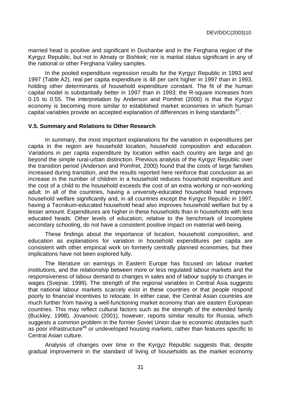married head is positive and significant in Dushanbe and in the Ferghana region of the Kyrgyz Republic, but not in Almaty or Bishkek; nor is marital status significant in any of the national or other Ferghana Valley samples.

In the pooled expenditure regression results for the Kyrgyz Republic in 1993 and 1997 (Table A2), real per capita expenditure is 48 per cent higher in 1997 than in 1993, holding other determinants of household expenditure constant. The fit of the human capital model is substantially better in 1997 than in 1993; the R-square increases from 0.15 to 0.55. The interpretation by Anderson and Pomfret (2000) is that the Kyrgyz economy is becoming more similar to established market economies in which human capital variables provide an accepted explanation of differences in living standards $47$ .

#### **V.5. Summary and Relations to Other Research**

In summary, the most important explanations for the variation in expenditures per capita in the region are household location, household composition and education. Variations in per capita expenditure by location within each country are large and go beyond the simple rural-urban distinction. Previous analysis of the Kyrgyz Republic over the transition period (Anderson and Pomfret, 2000) found that the costs of large families increased during transition, and the results reported here reinforce that conclusion as an increase in the number of children in a household reduces household expenditure and the cost of a child to the household exceeds the cost of an extra working or non-working adult. In all of the countries, having a university-educated household head improves household welfare significantly and, in all countries except the Kyrgyz Republic in 1997, having a Tecnikum-educated household head also improves household welfare but by a lesser amount. Expenditures are higher in these households than in households with less educated heads. Other levels of education, relative to the benchmark of incomplete secondary schooling, do not have a consistent positive impact on material well-being.

These findings about the importance of location, household composition, and education as explanations for variation in household expenditures per capita are consistent with other empirical work on formerly centrally planned economies, but their implications have not been explored fully.

The literature on earnings in Eastern Europe has focused on labour market institutions, and the relationship between more or less regulated labour markets and the responsiveness of labour demand to changes in sales and of labour supply to changes in wages (Svejnar, 1999). The strength of the regional variables in Central Asia suggests that national labour markets scarcely exist in these countries or that people respond poorly to financial incentives to relocate. In either case, the Central Asian countries are much further from having a well-functioning market economy than are eastern European countries. This may reflect cultural factors such as the strength of the extended family (Buckley, 1998). Jovanovic (2001), however, reports similar results for Russia, which suggests a common problem in the former Soviet Union due to economic obstacles such as poor infrastructure<sup>48</sup> or undeveloped housing markets, rather than features specific to Central Asian culture.

Analysis of changes over time in the Kyrgyz Republic suggests that, despite gradual improvement in the standard of living of households as the market economy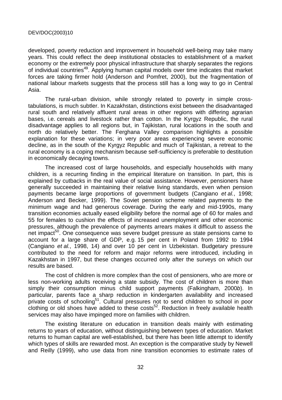developed, poverty reduction and improvement in household well-being may take many years. This could reflect the deep institutional obstacles to establishment of a market economy or the extremely poor physical infrastructure that sharply separates the regions of individual countries<sup>49</sup>. Applying human capital models over time indicates that market forces are taking firmer hold (Anderson and Pomfret, 2000), but the fragmentation of national labour markets suggests that the process still has a long way to go in Central Asia.

The rural-urban division, while strongly related to poverty in simple crosstabulations, is much subtler. In Kazakhstan, distinctions exist between the disadvantaged rural south and relatively affluent rural areas in other regions with differing agrarian bases, i.e. cereals and livestock rather than cotton. In the Kyrgyz Republic, the rural disadvantage applies to all regions but, in Tajikistan, rural locations in the south and north do relatively better. The Ferghana Valley comparison highlights a possible explanation for these variations; in very poor areas experiencing severe economic decline, as in the south of the Kyrgyz Republic and much of Tajikistan, a retreat to the rural economy is a coping mechanism because self-sufficiency is preferable to destitution in economically decaying towns.

The increased cost of large households, and especially households with many children, is a recurring finding in the empirical literature on transition. In part, this is explained by cutbacks in the real value of social assistance. However, pensioners have generally succeeded in maintaining their relative living standards, even when pension payments became large proportions of government budgets (Cangiano et al., 1998; Anderson and Becker, 1999). The Soviet pension scheme related payments to the minimum wage and had generous coverage. During the early and mid-1990s, many transition economies actually eased eligibility before the normal age of 60 for males and 55 for females to cushion the effects of increased unemployment and other economic pressures, although the prevalence of payments arrears makes it difficult to assess the net impact<sup>50</sup>. One consequence was severe budget pressure as state pensions came to account for a large share of GDP, e.g. 15 per cent in Poland from 1992 to 1994 (Cangiano et al., 1998, 14) and over 10 per cent in Uzbekistan. Budgetary pressure contributed to the need for reform and major reforms were introduced, including in Kazakhstan in 1997, but these changes occurred only after the surveys on which our results are based.

The cost of children is more complex than the cost of pensioners, who are more or less non-working adults receiving a state subsidy. The cost of children is more than simply their consumption minus child support payments (Falkingham, 2000b). In particular, parents face a sharp reduction in kindergarten availability and increased private costs of schooling<sup>51</sup>. Cultural pressures not to send children to school in poor clothing or old shoes have added to these costs<sup>52</sup>. Reduction in freely available health services may also have impinged more on families with children.

The existing literature on education in transition deals mainly with estimating returns to years of education, without distinguishing between types of education. Market returns to human capital are well-established, but there has been little attempt to identify which types of skills are rewarded most. An exception is the comparative study by Newell and Reilly (1999), who use data from nine transition economies to estimate rates of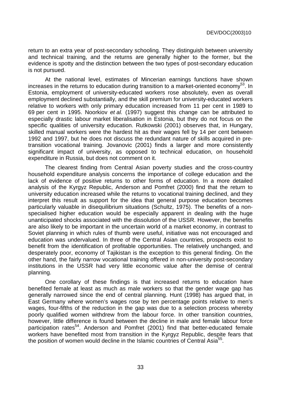return to an extra year of post-secondary schooling. They distinguish between university and technical training, and the returns are generally higher to the former, but the evidence is spotty and the distinction between the two types of post-secondary education is not pursued.

At the national level, estimates of Mincerian earnings functions have shown increases in the returns to education during transition to a market-oriented economy<sup>53</sup>. In Estonia, employment of university-educated workers rose absolutely, even as overall employment declined substantially, and the skill premium for university-educated workers relative to workers with only primary education increased from 11 per cent in 1989 to 69 per cent in 1995. Noorkiov et al. (1997) suggest this change can be attributed to especially drastic labour market liberalisation in Estonia, but they do not focus on the specific qualities of university education. Rutkowski (2001) observes that, in Hungary, skilled manual workers were the hardest hit as their wages fell by 14 per cent between 1992 and 1997, but he does not discuss the redundant nature of skills acquired in pretransition vocational training. Jovanovic (2001) finds a larger and more consistently significant impact of university, as opposed to technical education, on household expenditure in Russia, but does not comment on it.

The clearest finding from Central Asian poverty studies and the cross-country household expenditure analysis concerns the importance of college education and the lack of evidence of positive returns to other forms of education. In a more detailed analysis of the Kyrgyz Republic, Anderson and Pomfret (2000) find that the return to university education increased while the returns to vocational training declined, and they interpret this result as support for the idea that general purpose education becomes particularly valuable in disequilibrium situations (Schultz, 1975). The benefits of a nonspecialised higher education would be especially apparent in dealing with the huge unanticipated shocks associated with the dissolution of the USSR. However, the benefits are also likely to be important in the uncertain world of a market economy, in contrast to Soviet planning in which rules of thumb were useful, initiative was not encouraged and education was undervalued. In three of the Central Asian countries, prospects exist to benefit from the identification of profitable opportunities. The relatively unchanged, and desperately poor, economy of Tajikistan is the exception to this general finding. On the other hand, the fairly narrow vocational training offered in non-university post-secondary institutions in the USSR had very little economic value after the demise of central planning.

One corollary of these findings is that increased returns to education have benefited female at least as much as male workers so that the gender wage gap has generally narrowed since the end of central planning. Hunt (1998) has argued that, in East Germany where women's wages rose by ten percentage points relative to men's wages, four-fifths of the reduction in the gap was due to a selection process whereby poorly qualified women withdrew from the labour force. In other transition countries, however, little difference is found between the decline in male and female labour force participation rates<sup>54</sup>. Anderson and Pomfret (2001) find that better-educated female workers have benefited most from transition in the Kyrgyz Republic, despite fears that the position of women would decline in the Islamic countries of Central Asia<sup>55</sup>.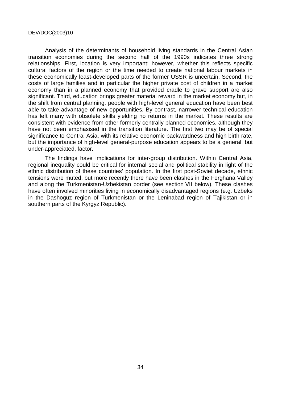Analysis of the determinants of household living standards in the Central Asian transition economies during the second half of the 1990s indicates three strong relationships. First, location is very important; however, whether this reflects specific cultural factors of the region or the time needed to create national labour markets in these economically least-developed parts of the former USSR is uncertain. Second, the costs of large families and in particular the higher private cost of children in a market economy than in a planned economy that provided cradle to grave support are also significant. Third, education brings greater material reward in the market economy but, in the shift from central planning, people with high-level general education have been best able to take advantage of new opportunities. By contrast, narrower technical education has left many with obsolete skills yielding no returns in the market. These results are consistent with evidence from other formerly centrally planned economies, although they have not been emphasised in the transition literature. The first two may be of special significance to Central Asia, with its relative economic backwardness and high birth rate, but the importance of high-level general-purpose education appears to be a general, but under-appreciated, factor.

The findings have implications for inter-group distribution. Within Central Asia, regional inequality could be critical for internal social and political stability in light of the ethnic distribution of these countries' population. In the first post-Soviet decade, ethnic tensions were muted, but more recently there have been clashes in the Ferghana Valley and along the Turkmenistan-Uzbekistan border (see section VII below). These clashes have often involved minorities living in economically disadvantaged regions (e.g. Uzbeks in the Dashoguz region of Turkmenistan or the Leninabad region of Tajikistan or in southern parts of the Kyrgyz Republic).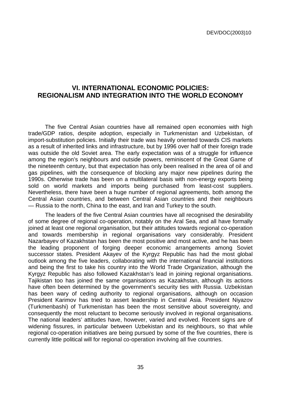# **VI. INTERNATIONAL ECONOMIC POLICIES: REGIONALISM AND INTEGRATION INTO THE WORLD ECONOMY**

The five Central Asian countries have all remained open economies with high trade/GDP ratios, despite adoption, especially in Turkmenistan and Uzbekistan, of import-substitution policies. Initially their trade was heavily oriented towards CIS markets as a result of inherited links and infrastructure, but by 1996 over half of their foreign trade was outside the old Soviet area. The early expectation was of a struggle for influence among the region's neighbours and outside powers, reminiscent of the Great Game of the nineteenth century, but that expectation has only been realised in the area of oil and gas pipelines, with the consequence of blocking any major new pipelines during the 1990s. Otherwise trade has been on a multilateral basis with non-energy exports being sold on world markets and imports being purchased from least-cost suppliers. Nevertheless, there have been a huge number of regional agreements, both among the Central Asian countries, and between Central Asian countries and their neighbours — Russia to the north, China to the east, and Iran and Turkey to the south.

The leaders of the five Central Asian countries have all recognised the desirability of some degree of regional co-operation, notably on the Aral Sea, and all have formally joined at least one regional organisation, but their attitudes towards regional co-operation and towards membership in regional organisations vary considerably. President Nazarbayev of Kazakhstan has been the most positive and most active, and he has been the leading proponent of forging deeper economic arrangements among Soviet successor states. President Akayev of the Kyrgyz Republic has had the most global outlook among the five leaders, collaborating with the international financial institutions and being the first to take his country into the World Trade Organization, although the Kyrgyz Republic has also followed Kazakhstan's lead in joining regional organisations. Tajikistan too has joined the same organisations as Kazakhstan, although its actions have often been determined by the government's security ties with Russia. Uzbekistan has been wary of ceding authority to regional organisations, although on occasion President Karimov has tried to assert leadership in Central Asia. President Niyazov (Turkmenbashi) of Turkmenistan has been the most sensitive about sovereignty, and consequently the most reluctant to become seriously involved in regional organisations. The national leaders' attitudes have, however, varied and evolved. Recent signs are of widening fissures, in particular between Uzbekistan and its neighbours, so that while regional co-operation initiatives are being pursued by some of the five countries, there is currently little political will for regional co-operation involving all five countries.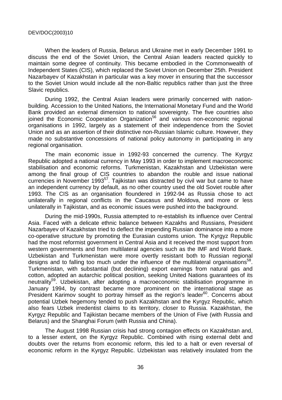When the leaders of Russia, Belarus and Ukraine met in early December 1991 to discuss the end of the Soviet Union, the Central Asian leaders reacted quickly to maintain some degree of continuity. This became embodied in the Commonwealth of Independent States (CIS), which replaced the Soviet Union on December 25th. President Nazarbayev of Kazakhstan in particular was a key mover in ensuring that the successor to the Soviet Union would include all the non-Baltic republics rather than just the three Slavic republics.

During 1992, the Central Asian leaders were primarily concerned with nationbuilding. Accession to the United Nations, the International Monetary Fund and the World Bank provided an external dimension to national sovereignty. The five countries also joined the Economic Cooperation Organization<sup>56</sup> and various non-economic regional organisations in 1992, largely as a statement of their independence from the Soviet Union and as an assertion of their distinctive non-Russian Islamic culture. However, they made no substantive concessions of national policy autonomy in participating in any regional organisation.

The main economic issue in 1992-93 concerned the currency. The Kyrgyz Republic adopted a national currency in May 1993 in order to implement macroeconomic stabilisation and economic reforms. Turkmenistan, Kazakhstan and Uzbekistan were among the final group of CIS countries to abandon the rouble and issue national currencies in November 1993<sup>57</sup>. Tajikistan was distracted by civil war but came to have an independent currency by default, as no other country used the old Soviet rouble after 1993. The CIS as an organisation floundered in 1992-94 as Russia chose to act unilaterally in regional conflicts in the Caucasus and Moldova, and more or less unilaterally in Tajikistan, and as economic issues were pushed into the background.

During the mid-1990s, Russia attempted to re-establish its influence over Central Asia. Faced with a delicate ethnic balance between Kazakhs and Russians, President Nazarbayev of Kazakhstan tried to deflect the impending Russian dominance into a more co-operative structure by promoting the Eurasian customs union. The Kyrgyz Republic had the most reformist government in Central Asia and it received the most support from western governments and from multilateral agencies such as the IMF and World Bank. Uzbekistan and Turkmenistan were more overtly resistant both to Russian regional designs and to falling too much under the influence of the multilateral organisations<sup>58</sup>. Turkmenistan, with substantial (but declining) export earnings from natural gas and cotton, adopted an autarchic political position, seeking United Nations guarantees of its neutrality<sup>59</sup>. Uzbekistan, after adopting a macroeconomic stabilisation programme in January 1994, by contrast became more prominent on the international stage as President Karimov sought to portray himself as the region's leader $60$ . Concerns about potential Uzbek hegemony tended to push Kazakhstan and the Kyrgyz Republic, which also fears Uzbek irredentist claims to its territory, closer to Russia. Kazakhstan, the Kyrgyz Republic and Tajikistan became members of the Union of Five (with Russia and Belarus) and the Shanghai Forum (with Russia and China).

The August 1998 Russian crisis had strong contagion effects on Kazakhstan and, to a lesser extent, on the Kyrgyz Republic. Combined with rising external debt and doubts over the returns from economic reform, this led to a halt or even reversal of economic reform in the Kyrgyz Republic. Uzbekistan was relatively insulated from the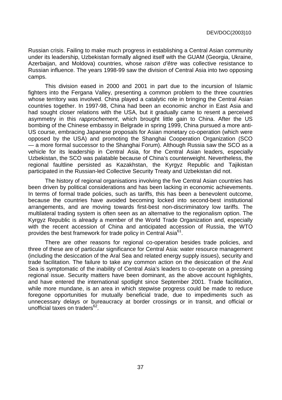Russian crisis. Failing to make much progress in establishing a Central Asian community under its leadership, Uzbekistan formally aligned itself with the GUAM (Georgia, Ukraine, Azerbaijan, and Moldova) countries, whose raison d'être was collective resistance to Russian influence. The years 1998-99 saw the division of Central Asia into two opposing camps.

This division eased in 2000 and 2001 in part due to the incursion of Islamic fighters into the Fergana Valley, presenting a common problem to the three countries whose territory was involved. China played a catalytic role in bringing the Central Asian countries together. In 1997-98, China had been an economic anchor in East Asia and had sought closer relations with the USA, but it gradually came to resent a perceived asymmetry in this rapprochement, which brought little gain to China. After the US bombing of the Chinese embassy in Belgrade in spring 1999, China pursued a more anti-US course, embracing Japanese proposals for Asian monetary co-operation (which were opposed by the USA) and promoting the Shanghai Cooperation Organization (SCO — a more formal successor to the Shanghai Forum). Although Russia saw the SCO as a vehicle for its leadership in Central Asia, for the Central Asian leaders, especially Uzbekistan, the SCO was palatable because of China's counterweight. Nevertheless, the regional faultline persisted as Kazakhstan, the Kyrgyz Republic and Tajikistan participated in the Russian-led Collective Security Treaty and Uzbekistan did not.

The history of regional organisations involving the five Central Asian countries has been driven by political considerations and has been lacking in economic achievements. In terms of formal trade policies, such as tariffs, this has been a benevolent outcome, because the countries have avoided becoming locked into second-best institutional arrangements, and are moving towards first-best non-discriminatory low tariffs. The multilateral trading system is often seen as an alternative to the regionalism option. The Kyrgyz Republic is already a member of the World Trade Organization and, especially with the recent accession of China and anticipated accession of Russia, the WTO provides the best framework for trade policy in Central Asia<sup>61</sup>.

There are other reasons for regional co-operation besides trade policies, and three of these are of particular significance for Central Asia: water resource management (including the desiccation of the Aral Sea and related energy supply issues), security and trade facilitation. The failure to take any common action on the desiccation of the Aral Sea is symptomatic of the inability of Central Asia's leaders to co-operate on a pressing regional issue. Security matters have been dominant, as the above account highlights, and have entered the international spotlight since September 2001. Trade facilitation, while more mundane, is an area in which stepwise progress could be made to reduce foregone opportunities for mutually beneficial trade, due to impediments such as unnecessary delays or bureaucracy at border crossings or in transit, and official or unofficial taxes on traders $62$ .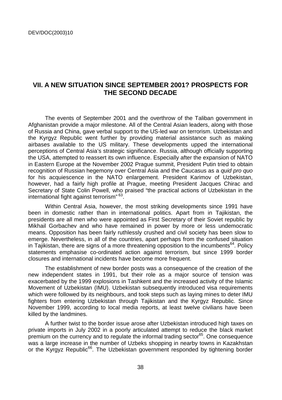# **VII. A NEW SITUATION SINCE SEPTEMBER 2001? PROSPECTS FOR THE SECOND DECADE**

The events of September 2001 and the overthrow of the Taliban government in Afghanistan provide a major milestone. All of the Central Asian leaders, along with those of Russia and China, gave verbal support to the US-led war on terrorism. Uzbekistan and the Kyrgyz Republic went further by providing material assistance such as making airbases available to the US military. These developments upped the international perceptions of Central Asia's strategic significance. Russia, although officially supporting the USA, attempted to reassert its own influence. Especially after the expansion of NATO in Eastern Europe at the November 2002 Prague summit, President Putin tried to obtain recognition of Russian hegemony over Central Asia and the Caucasus as a quid pro quo for his acquiescence in the NATO enlargement. President Karimov of Uzbekistan, however, had a fairly high profile at Prague, meeting President Jacques Chirac and Secretary of State Colin Powell, who praised "the practical actions of Uzbekistan in the international fight against terrorism" 63.

Within Central Asia, however, the most striking developments since 1991 have been in domestic rather than in international politics. Apart from in Tajikistan, the presidents are all men who were appointed as First Secretary of their Soviet republic by Mikhail Gorbachev and who have remained in power by more or less undemocratic means. Opposition has been fairly ruthlessly crushed and civil society has been slow to emerge. Nevertheless, in all of the countries, apart perhaps from the confused situation in Tajikistan, there are signs of a more threatening opposition to the incumbents<sup>64</sup>. Policy statements emphasise co-ordinated action against terrorism, but since 1999 border closures and international incidents have become more frequent.

The establishment of new border posts was a consequence of the creation of the new independent states in 1991, but their role as a major source of tension was exacerbated by the 1999 explosions in Tashkent and the increased activity of the Islamic Movement of Uzbekistan (IMU). Uzbekistan subsequently introduced visa requirements which were followed by its neighbours, and took steps such as laying mines to deter IMU fighters from entering Uzbekistan through Tajikistan and the Kyrgyz Republic. Since November 1999, according to local media reports, at least twelve civilians have been killed by the landmines.

A further twist to the border issue arose after Uzbekistan introduced high taxes on private imports in July 2002 in a poorly articulated attempt to reduce the black market premium on the currency and to regulate the informal trading sector $^{65}$ . One consequence was a large increase in the number of Uzbeks shopping in nearby towns in Kazakhstan or the Kyrgyz Republic<sup>66</sup>. The Uzbekistan government responded by tightening border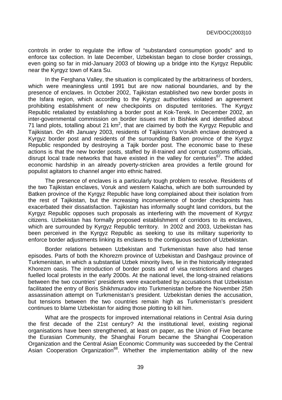controls in order to regulate the inflow of "substandard consumption goods" and to enforce tax collection. In late December, Uzbekistan began to close border crossings, even going so far in mid-January 2003 of blowing up a bridge into the Kyrgyz Republic near the Kyrgyz town of Kara Su.

In the Ferghana Valley, the situation is complicated by the arbitrariness of borders, which were meaningless until 1991 but are now national boundaries, and by the presence of enclaves. In October 2002, Tajikistan established two new border posts in the Isfara region, which according to the Kyrgyz authorities violated an agreement prohibiting establishment of new checkpoints on disputed territories. The Kyrgyz Republic retaliated by establishing a border post at Kok-Terek. In December 2002, an inter-governmental commission on border issues met in Bishkek and identified about 71 land plots, totalling about 21 km<sup>2</sup>, that are claimed by both the Kyrgyz Republic and Tajikistan. On 4th January 2003, residents of Tajikistan's Vorukh enclave destroyed a Kyrgyz border post and residents of the surrounding Batken province of the Kyrgyz Republic responded by destroying a Tajik border post. The economic base to these actions is that the new border posts, staffed by ill-trained and corrupt customs officials, disrupt local trade networks that have existed in the valley for centuries<sup>67</sup>. The added economic hardship in an already poverty-stricken area provides a fertile ground for populist agitators to channel anger into ethnic hatred.

The presence of enclaves is a particularly tough problem to resolve. Residents of the two Tajikistan enclaves, Voruk and western Kalacha, which are both surrounded by Batken province of the Kyrgyz Republic have long complained about their isolation from the rest of Tajikistan, but the increasing inconvenience of border checkpoints has exacerbated their dissatisfaction. Tajikistan has informally sought land corridors, but the Kyrgyz Republic opposes such proposals as interfering with the movement of Kyrgyz citizens. Uzbekistan has formally proposed establishment of corridors to its enclaves, which are surrounded by Kyrgyz Republic territory. In 2002 and 2003, Uzbekistan has been perceived in the Kyrgyz Republic as seeking to use its military superiority to enforce border adjustments linking its enclaves to the contiguous section of Uzbekistan.

Border relations between Uzbekistan and Turkmenistan have also had tense episodes. Parts of both the Khorezm province of Uzbekistan and Dashgauz province of Turkmenistan, in which a substantial Uzbek minority lives, lie in the historically integrated Khorezm oasis. The introduction of border posts and of visa restrictions and charges fuelled local protests in the early 2000s. At the national level, the long-strained relations between the two countries' presidents were exacerbated by accusations that Uzbekistan facilitated the entry of Boris Shikhmuradov into Turkmenistan before the November 25th assassination attempt on Turkmenistan's president. Uzbekistan denies the accusation, but tensions between the two countries remain high as Turkmenistan's president continues to blame Uzbekistan for aiding those plotting to kill him.

What are the prospects for improved international relations in Central Asia during the first decade of the 21st century? At the institutional level, existing regional organisations have been strengthened, at least on paper, as the Union of Five became the Eurasian Community, the Shanghai Forum became the Shanghai Cooperation Organization and the Central Asian Economic Community was succeeded by the Central Asian Cooperation Organization<sup>68</sup>. Whether the implementation ability of the new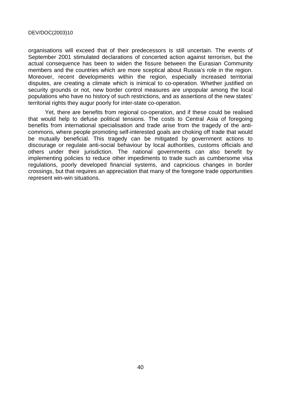organisations will exceed that of their predecessors is still uncertain. The events of September 2001 stimulated declarations of concerted action against terrorism, but the actual consequence has been to widen the fissure between the Eurasian Community members and the countries which are more sceptical about Russia's role in the region. Moreover, recent developments within the region, especially increased territorial disputes, are creating a climate which is inimical to co-operation. Whether justified on security grounds or not, new border control measures are unpopular among the local populations who have no history of such restrictions, and as assertions of the new states' territorial rights they augur poorly for inter-state co-operation.

Yet, there are benefits from regional co-operation, and if these could be realised that would help to defuse political tensions. The costs to Central Asia of foregoing benefits from international specialisation and trade arise from the tragedy of the anticommons, where people promoting self-interested goals are choking off trade that would be mutually beneficial. This tragedy can be mitigated by government actions to discourage or regulate anti-social behaviour by local authorities, customs officials and others under their jurisdiction. The national governments can also benefit by implementing policies to reduce other impediments to trade such as cumbersome visa regulations, poorly developed financial systems, and capricious changes in border crossings, but that requires an appreciation that many of the foregone trade opportunities represent win-win situations.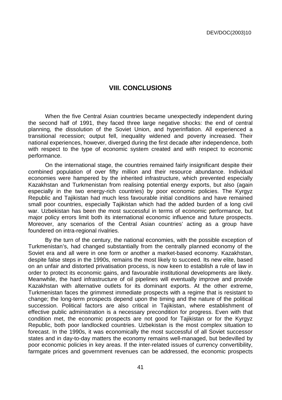# **VIII. CONCLUSIONS**

When the five Central Asian countries became unexpectedly independent during the second half of 1991, they faced three large negative shocks: the end of central planning, the dissolution of the Soviet Union, and hyperinflation. All experienced a transitional recession; output fell, inequality widened and poverty increased. Their national experiences, however, diverged during the first decade after independence, both with respect to the type of economic system created and with respect to economic performance.

On the international stage, the countries remained fairly insignificant despite their combined population of over fifty million and their resource abundance. Individual economies were hampered by the inherited infrastructure, which prevented especially Kazakhstan and Turkmenistan from realising potential energy exports, but also (again especially in the two energy-rich countries) by poor economic policies. The Kyrgyz Republic and Tajikistan had much less favourable initial conditions and have remained small poor countries, especially Tajikistan which had the added burden of a long civil war. Uzbekistan has been the most successful in terms of economic performance, but major policy errors limit both its international economic influence and future prospects. Moreover, any scenarios of the Central Asian countries' acting as a group have foundered on intra-regional rivalries.

By the turn of the century, the national economies, with the possible exception of Turkmenistan's, had changed substantially from the centrally planned economy of the Soviet era and all were in one form or another a market-based economy. Kazakhstan, despite false steps in the 1990s, remains the most likely to succeed. Its new elite, based on an unfair and distorted privatisation process, is now keen to establish a rule of law in order to protect its economic gains, and favourable institutional developments are likely. Meanwhile, the hard infrastructure of oil pipelines will eventually improve and provide Kazakhstan with alternative outlets for its dominant exports. At the other extreme, Turkmenistan faces the grimmest immediate prospects with a regime that is resistant to change; the long-term prospects depend upon the timing and the nature of the political succession. Political factors are also critical in Tajikistan, where establishment of effective public administration is a necessary precondition for progress. Even with that condition met, the economic prospects are not good for Tajikistan or for the Kyrgyz Republic, both poor landlocked countries. Uzbekistan is the most complex situation to forecast. In the 1990s, it was economically the most successful of all Soviet successor states and in day-to-day matters the economy remains well-managed, but bedevilled by poor economic policies in key areas. If the inter-related issues of currency convertibility, farmgate prices and government revenues can be addressed, the economic prospects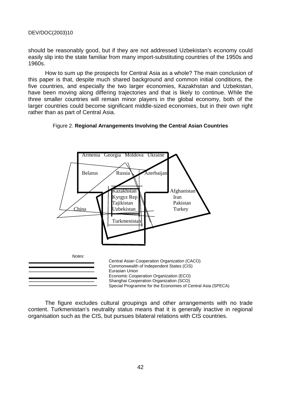should be reasonably good, but if they are not addressed Uzbekistan's economy could easily slip into the state familiar from many import-substituting countries of the 1950s and 1960s.

How to sum up the prospects for Central Asia as a whole? The main conclusion of this paper is that, despite much shared background and common initial conditions, the five countries, and especially the two larger economies, Kazakhstan and Uzbekistan, have been moving along differing trajectories and that is likely to continue. While the three smaller countries will remain minor players in the global economy, both of the larger countries could become significant middle-sized economies, but in their own right rather than as part of Central Asia.





The figure excludes cultural groupings and other arrangements with no trade content. Turkmenistan's neutrality status means that it is generally inactive in regional organisation such as the CIS, but pursues bilateral relations with CIS countries.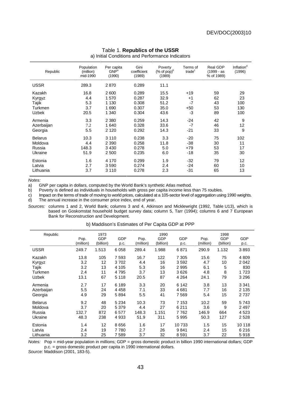| Republic       | Population<br>(million)<br>mid-1990 | Per capita<br>GNP <sup>a</sup><br>(1990) | Gini<br>coefficient<br>(1989) | Poverty<br>(% of pop) <sup>b</sup><br>(1989) | Terms of<br>trade <sup>c</sup> | Real GDP<br>$(1999 - as$<br>% of 1989) | Inflation <sup>d</sup><br>(1996) |
|----------------|-------------------------------------|------------------------------------------|-------------------------------|----------------------------------------------|--------------------------------|----------------------------------------|----------------------------------|
| <b>USSR</b>    | 289.3                               | 2870                                     | 0.289                         | 11.1                                         |                                |                                        |                                  |
| Kazakh         | 16.8                                | 2600                                     | 0.289                         | 15.5                                         | $+19$                          | 59                                     | 29                               |
| Kyrgyz         | 4.4                                 | 1570                                     | 0.287                         | 32.9                                         | $+1$                           | 62                                     | 23                               |
| Tajik          | 5.3                                 | 1 1 3 0                                  | 0.308                         | 51.2                                         | $-7$                           | 43                                     | 100                              |
| Turkmen        | 3.7                                 | 1690                                     | 0.307                         | 35.0                                         | $+50$                          | 53                                     | 130                              |
| <b>Uzbek</b>   | 20.5                                | 1 3 4 0                                  | 0.304                         | 43.6                                         | -3                             | 89                                     | 100                              |
| Armenia        | 3.3                                 | 2 3 8 0                                  | 0.259                         | 14.3                                         | $-24$                          | 42                                     | 9                                |
| Azerbaijan     | 7.2                                 | 1640                                     | 0.328                         | 33.6                                         | $-7$                           | 46                                     | 12                               |
| Georgia        | 5.5                                 | 2 1 2 0                                  | 0.292                         | 14.3                                         | -21                            | 33                                     | 9                                |
| <b>Belarus</b> | 10.3                                | 3 1 1 0                                  | 0.238                         | 3.3                                          | -20                            | 75                                     | 102                              |
| Moldova        | 4.4                                 | 2 3 9 0                                  | 0.258                         | 11.8                                         | -38                            | 30                                     | 11                               |
| Russia         | 148.3                               | 3 4 3 0                                  | 0.278                         | 5.0                                          | $+79$                          | 53                                     | 17                               |
| Ukraine        | 51.9                                | 2 500                                    | 0.235                         | 6.0                                          | -18                            | 35                                     | 30                               |
| Estonia        | 1.6                                 | 4 1 7 0                                  | 0.299                         | 1.9                                          | -32                            | 79                                     | 12                               |
| Latvia         | 2.7                                 | 3590                                     | 0.274                         | 2.4                                          | $-24$                          | 60                                     | 10                               |
| Lithuania      | 3.7                                 | 3 1 1 0                                  | 0.278                         | 2.3                                          | -31                            | 65                                     | 13                               |

#### Table 1. **Republics of the USSR**

a) Initial Conditions and Performance Indicators

Notes:

a) GNP per capita in dollars, computed by the World Bank's synthetic Atlas method.

b) Poverty is defined as individuals in households with gross per capita income less than 75 roubles.

c) Impact on the terms of trade of moving to world prices, calculated at a 105-sector level of aggregation using 1990 weights.<br>d) The annual increase in the consumer price index, end of year.

The annual increase in the consumer price index, end of year.

Sources: columns 1 and 2, World Bank; columns 3 and 4, Atkinson and Micklewright (1992, Table U13), which is based on Goskomstat household budget survey data; column 5, Tarr (1994); columns 6 and 7 European Bank for Reconstruction and Development.

b) Maddison's Estimates of Per Capita GDP at PPP

| Republic       |           | 1973      |            |           | 1990       |         |           | 1998      |         |
|----------------|-----------|-----------|------------|-----------|------------|---------|-----------|-----------|---------|
|                | Pop.      | GDP       | <b>GDP</b> | Pop.      | <b>GDP</b> | GDP     | Pop.      | GDP       | GDP     |
|                | (million) | (billion) | p.c.       | (million) | (billion)  | p.c.    | (million) | (billion) | p.c.    |
| <b>USSR</b>    | 249.7     | 1.513     | 6 0 5 8    | 289.4     | 1.988      | 6871    | 290.9     | 1.132     | 3893    |
| Kazakh         | 13.8      | 105       | 7593       | 16.7      | 122        | 7 3 0 5 | 15.6      | 75        | 4809    |
| Kyrgyz         | 3.2       | 12        | 3702       | 4.4       | 16         | 3592    | 4.7       | 10        | 2 0 4 2 |
| Tajik          | 3.2       | 13        | 4 1 0 5    | 5.3       | 16         | 2995    | 6.1       | 5         | 830     |
| Turkmen        | 2.4       | 11        | 4795       | 3.7       | 13         | 3626    | 4.8       | 8         | 1723    |
| Uzbek          | 13.1      | 67        | 5 1 1 8    | 20.5      | 87         | 4 2 6 4 | 24.1      | 79        | 3 2 9 6 |
| Armenia        | 2.7       | 17        | 6 189      | 3.3       | 20         | 6 142   | 3.8       | 13        | 3 3 4 1 |
| Azerbaijan     | 5.5       | 24        | 4 4 5 8    | 7.1       | 33         | 4681    | 7.7       | 16        | 2 1 3 5 |
| Georgia        | 4.9       | 29        | 5894       | 5.5       | 41         | 7569    | 5.4       | 15        | 2737    |
| <b>Belarus</b> | 9.2       | 48        | 5 2 3 4    | 10.3      | 73         | 7 1 5 3 | 10.2      | 59        | 5743    |
| Moldova        | 3.7       | 20        | 5 3 7 9    | 4.4       | 27         | 6 2 1 1 | 3.6       | 9         | 2497    |
| Russia         | 132.7     | 872       | 6577       | 148.3     | 1.151      | 7762    | 146.9     | 664       | 4 5 2 3 |
| Ukraine        | 48.3      | 238       | 4933       | 51.9      | 311        | 5995    | 50.3      | 127       | 2528    |
| Estonia        | 1.4       | 12        | 8656       | 1.6       | 17         | 10733   | 1.5       | 15        | 10 118  |
| Latvia         | 2.4       | 19        | 7780       | 2.7       | 26         | 9841    | 2.4       | 15        | 6 2 1 6 |
| Lithuania      | 3.2       | 25        | 7589       | 3.7       | 32         | 8591    | 3.7       | 22        | 5918    |

Notes: Pop = mid-year population in millions; GDP = gross domestic product in billion 1990 international dollars; GDP p.c. = gross domestic product per capita in 1990 international dollars.

Source: Maddison (2001, 183-5).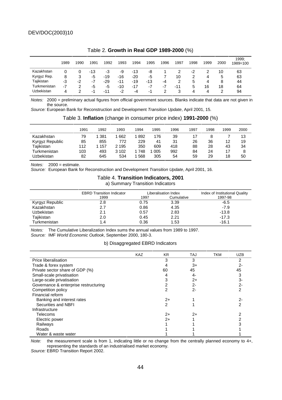|              | 1989 | 1990 | 1991 | 1992  | 1993  | 1994  | 1995 | 1996 | 1997 | 1998 | 1999 | 2000 | 1999:<br>1989=100 |
|--------------|------|------|------|-------|-------|-------|------|------|------|------|------|------|-------------------|
| Kazakhstan   | 0    |      | -13  | -3    | -9    | $-13$ | -8   |      |      | -2   |      | 10   | 63                |
| Kyrgyz Rep.  | 8    | 3    | -5   | $-19$ | -16   | -20   | -5   |      | 10   |      | 4    | 5    | 63                |
| Tajikistan   | -3   | -2   | -7   | -29   | $-11$ | -19   | -13  | -4   | 2    | 5    | 4    | 8    | 44                |
| Turkmenistan | $-7$ | 2    | -5   | -5    | -10   | -17   | -7   | -7   | -11  | 5    | 16   | 18   | 64                |
| Uzbekistan   | 4    |      | -1   | -11   | -2    | -4    | -1   |      | 3    | 4    | 4    |      | 94                |

#### Table 2. **Growth in Real GDP 1989-2000** (%)

Notes: 2000 = preliminary actual figures from official government sources. Blanks indicate that data are not given in the source.

Source: European Bank for Reconstruction and Development Transition Update, April 2001, 15.

|  | Table 3. Inflation (change in consumer price index) 1991-2000 (%) |  |  |  |
|--|-------------------------------------------------------------------|--|--|--|
|--|-------------------------------------------------------------------|--|--|--|

|                 | 1991 | 1992 | 1993    | 1994 | 1995 | 1996 | 1997 | 1998 | 1999 | 2000 |
|-----------------|------|------|---------|------|------|------|------|------|------|------|
| Kazakhstan      | 79   | 381  | 662     | 892  | 176  | 39   |      |      |      | 13   |
| Kyrgyz Republic | 85   | 855  | 772     | 229  | 41   | 31   | 26   | 36   | 12   | 19   |
| Tajikistan      | 112  | 157  | 2 1 9 5 | 350  | 609  | 418  | 88   | 28   | 43   | 34   |
| Turkmenistan    | 103  | 493  | 3 102   | 748  | 005  | 992  | 84   | 24   |      | 8    |
| Uzbekistan      | 82   | 645  | 534     | 568  | 305  | 54   | 59   | 29   | 18   | 50   |

 $Notes: 2000 = 0.00$ 

Source: European Bank for Reconstruction and Development Transition Update, April 2001, 16.

#### Table 4. **Transition Indicators, 2001**  a) Summary Transition Indicators

|                 | <b>EBRD Transition Indicator</b> |      | Liberalisation Index | Index of Institutional Quality |
|-----------------|----------------------------------|------|----------------------|--------------------------------|
|                 | 1999                             | 1997 | Cumulative           | 1997-98                        |
| Kyrgyz Republic | 2.8                              | 0.75 | 3.39                 | $-6.5$                         |
| Kazakhstan      | 2.7                              | 0.86 | 4.35                 | $-7.9$                         |
| Uzbekistan      | 2.1                              | 0.57 | 2.83                 | $-13.8$                        |
| Tajikistan      | 2.0                              | 0.45 | 2.21                 | $-17.3$                        |
| Turkmenistan    | 1.4                              | 0.36 | 1.53                 | $-16.1$                        |

Notes: The Cumulative Liberalization Index sums the annual values from 1989 to 1997. Source: IMF World Economic Outlook, September 2000, 180-3.

#### b) Disaggregated EBRD Indicators

|                                       | <b>KAZ</b> | <b>KR</b> | <b>TAJ</b> | <b>TKM</b> | <b>UZB</b> |  |
|---------------------------------------|------------|-----------|------------|------------|------------|--|
|                                       |            |           |            |            |            |  |
| Price liberalisation                  |            | 3         | 3          |            | 2          |  |
| Trade & forex system                  |            | 4         | $3+$       |            | 2-         |  |
| Private sector share of GDP (%)       |            | 60        | 45         |            | 45         |  |
| Small-scale privatisation             |            | 4         | 4-         |            |            |  |
| Large-scale privatisation             |            | 3         | $2+$       |            | 3-         |  |
| Governance & enterprise restructuring |            | 2         | $2 -$      |            | 2-         |  |
| Competition policy                    |            | 2         | $2 -$      |            |            |  |
| Financial reform                      |            |           |            |            |            |  |
| Banking and interest rates            |            | $2+$      |            |            | 2-         |  |
| Securities and NBFI                   |            | 2         |            |            | 2          |  |
| Infrastructure                        |            |           |            |            |            |  |
| <b>Telecoms</b>                       |            | $2+$      | $2+$       |            |            |  |
| Electric power                        |            | $2+$      |            |            |            |  |
| Railways                              |            |           |            |            |            |  |
| Roads                                 |            |           |            |            |            |  |
| Water & waste water                   |            |           |            |            |            |  |

Note: the measurement scale is from 1, indicating little or no change from the centrally planned economy to 4+, representing the standards of an industrialised market economy.

Source: EBRD Transition Report 2002.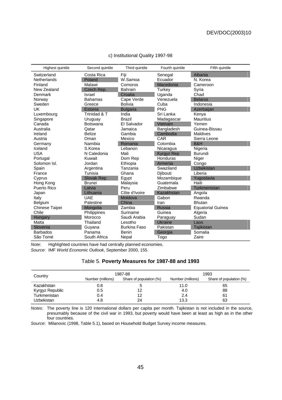| Highest quintile   | Second quintile | Third quintile      | Fourth quintile | Fifth quintile           |
|--------------------|-----------------|---------------------|-----------------|--------------------------|
| Switzerland        | Costa Rica      | Fiji                | Senegal         | Albania                  |
| <b>Netherlands</b> | Poland          | W.Samoa             | Ecuador         | N. Korea                 |
| Finland            | Malawi          | Comoros             | Macedonia       | Cameroon                 |
| New Zealand        | Czech Rep.      | <b>Bahrain</b>      | Turkey          | Syria                    |
| Denmark            | <b>Israel</b>   | Croatia             | Uganda          | Chad                     |
| Norway             | <b>Bahamas</b>  | Cape Verde          | Venezuela       | <b>Belarus</b>           |
| Sweden             | Greece          | <b>Bolivia</b>      | Cuba            | Indonesia                |
| UK                 | Estonia         | <b>Bulgaria</b>     | <b>PNG</b>      | Azerbaijan               |
| Luxembourg         | Trinidad & T    | India               | Sri Lanka       | Kenya                    |
| Singapore          | Uruguay         | Brazil              | Madagascar      | <b>Mauritius</b>         |
| Canada             | <b>Botswana</b> | El Salvador         | Vietnam         | Yemen                    |
| Australia          | Qatar           | Jamaica             | Bangladesh      | Guinea-Bissau            |
| Ireland            | <b>Belize</b>   | Gambia              | Cambodia        | Maldives                 |
| Austria            | Oman            | Mexico              | CAR             | Sierra Leone             |
| Germany            | Namibia         | Romania             | Colombia        | B&H                      |
| Iceland            | S.Korea         | Lebanon             | Nicaragua       | Nigeria                  |
| <b>USA</b>         | N Caledonia     | Mali                | Kyrgyz Rep      | <b>Burundi</b>           |
| Portugal           | Kuwait          | Dom Rep             | Honduras        | Niger                    |
| Solomon Isl.       | Jordan          | Ethiopia            | Armenia         | Congo                    |
| Spain              | Argentina       | Tanzania            | Swaziland       | <b>Uzbekistan</b>        |
| France             | Tunisia         | Ghana               | Djibouti        | Liberia                  |
| Cyprus             | Slovak Rep.     | Egypt               | Mozambique      | Yugoslavia               |
| Hong Kong          | <b>Brunei</b>   | Malaysia            | Guatemala       | Haiti                    |
| Puerto Rico        | Latvia          | Peru                | Zimbabwe        | Turkmenistan             |
| Japan              | Lithuania       | Côte d'Ivoire       | Kazakhstan      | Angola                   |
| Italy              | <b>UAE</b>      | Moldova             | Gabon           | Rwanda                   |
| Belgium            | Palestine       | China               | Iran            | <b>Bhutan</b>            |
| Chinese Taipei     | Mongolia        | Zambia              | <b>Russia</b>   | <b>Equatorial Guinea</b> |
| Chile              | Philippines     | Suriname            | Guinea          | Algeria                  |
| Hungary            | Morocco         | Saudi Arabia        | Paraguay        | Sudan                    |
| Malta              | Thailand        | Lesotho             | Ukraine         | Laos                     |
| Slovenia           | Guyana          | <b>Burkina Faso</b> | Pakistan        | Tajikistan               |
| <b>Barbados</b>    | Panama          | Benin               | Georgia         | Somalia                  |
| São Tomé           | South Africa    | Nepal               | Togo            | Zaire                    |

#### c) Institutional Quality 1997-98

Note: Highlighted countries have had centrally planned economies. Source: IMF World Economic Outlook, September 2000, 155.

j,

#### Table 5. **Poverty Measures for 1987-88 and 1993**

| Country         |                   | 1987-88                 | 1993              |                         |  |
|-----------------|-------------------|-------------------------|-------------------|-------------------------|--|
|                 | Number (millions) | Share of population (%) | Number (millions) | Share of population (%) |  |
| Kazakhstan      | 0.8               |                         | 11.0              | 65                      |  |
| Kyrgyz Republic | 0.5               |                         | 4.0               | 88                      |  |
| Turkmenistan    | 0.4               | 12                      | 2.4               | 61                      |  |
| Uzbekistan      | 4.8               | 24                      | 13.3              | 63                      |  |

Notes: The poverty line is 120 international dollars per capita per month. Tajikistan is not included in the source, presumably because of the civil war in 1993, but poverty would have been at least as high as in the other four countries.

Source: Milanovic (1998, Table 5.1), based on Household Budget Survey income measures.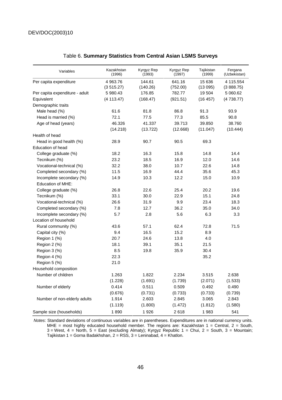| Variables                      | Kazakhstan<br>(1996)  | Kyrgyz Rep<br>(1993) | Kyrgyz Rep<br>(1997) | Tajikistan<br>(1999) | Fergana<br>(Uzbekistan) |
|--------------------------------|-----------------------|----------------------|----------------------|----------------------|-------------------------|
| Per capita expenditure         | 4 963.76<br>(3515.27) | 144.61<br>(140.26)   | 641.16<br>(752.00)   | 15 636<br>(13095)    | 4 115.554<br>(388.75)   |
| Per capita expenditure - adult | 5 980.43              | 176.85               | 782.77               | 19504                | 5 060.62                |
| Equivalent                     | (4 113.47)            | (168.47)             | (921.51)             | (16 457)             | (4738.77)               |
| Demographic traits             |                       |                      |                      |                      |                         |
| Male head (%)                  | 61.6                  | 81.8                 | 86.8                 | 91.3                 | 93.9                    |
| Head is married (%)            | 72.1                  | 77.5                 | 77.3                 | 85.5                 | 90.8                    |
| Age of head (years)            | 46.326                | 41.337               | 39.713               | 39.850               | 38.760                  |
|                                | (14.218)              | (13.722)             | (12.668)             | (11.047)             | (10.444)                |
| Health of head                 |                       |                      |                      |                      |                         |
| Head in good health (%)        | 28.9                  | 90.7                 | 90.5                 | 69.3                 |                         |
| Education of head              |                       |                      |                      |                      |                         |
| College graduate (%)           | 18.2                  | 16.3                 | 15.8                 | 14.8                 | 14.4                    |
| Tecnikum (%)                   | 23.2                  | 18.5                 | 16.9                 | 12.0                 | 14.6                    |
| Vocational-technical (%)       | 32.2                  | 38.0                 | 10.7                 | 22.6                 | 14.8                    |
| Completed secondary (%)        | 11.5                  | 16.9                 | 44.4                 | 35.6                 | 45.3                    |
| Incomplete secondary (%)       | 14.9                  | 10.3                 | 12.2                 | 15.0                 | 10.9                    |
| Education of MHE:              |                       |                      |                      |                      |                         |
| College graduate (%)           | 26.8                  | 22.6                 | 25.4                 | 20.2                 | 19.6                    |
| Tecnikum (%)                   | 33.1                  | 30.0                 | 22.9                 | 15.1                 | 24.8                    |
| Vocational-technical (%)       | 26.6                  | 31.9                 | 9.9                  | 23.4                 | 18.3                    |
| Completed secondary (%)        | 7.8                   | 12.7                 | 36.2                 | 35.0                 | 34.0                    |
| Incomplete secondary (%)       | 5.7                   | 2.8                  | 5.6                  | 6.3                  | 3.3                     |
| Location of household          |                       |                      |                      |                      |                         |
| Rural community (%)            | 43.6                  | 57.1                 | 62.4                 | 72.8                 | 71.5                    |
| Capital city (%)               | 9.4                   | 16.5                 | 15.2                 | 8.9                  |                         |
| Region 1 (%)                   | 20.7                  | 24.6                 | 13.8                 | 4.0                  |                         |
| Region 2 (%)                   | 18.1                  | 39.1                 | 35.1                 | 21.5                 |                         |
| Region 3 (%)                   | 8.5                   | 19.8                 | 35.9                 | 30.4                 |                         |
| Region 4 (%)                   | 22.3                  |                      |                      | 35.2                 |                         |
| Region 5 (%)                   | 21.0                  |                      |                      |                      |                         |
| Household composition          |                       |                      |                      |                      |                         |
| Number of children             | 1.263                 | 1.822                | 2.234                | 3.515                | 2.638                   |
|                                | (1.228)               | (1.691)              | (1.739)              | (2.071)              | (1.533)                 |
| Number of elderly              | 0.414                 | 0.511                | 0.509                | 0.492                | 0.490                   |
|                                | (0.676)               | (0.731)              | (0.733)              | (0.733)              | (0.739)                 |
| Number of non-elderly adults   | 1.914                 | 2.603                | 2.845                | 3.065                | 2.843                   |
|                                | (1.119)               | (1.800)              | (1.472)              | (1.812)              | (1.580)                 |
| Sample size (households)       | 1890                  | 1926                 | 2618                 | 1983                 | 541                     |

#### Table 6. **Summary Statistics from Central Asian LSMS Surveys**

Notes: Standard deviations of continuous variables are in parentheses. Expenditures are in national currency units. MHE = most highly educated household member. The regions are: Kazakhstan  $1 =$  Central,  $2 =$  South, 3 = West, 4 = North, 5 = East (excluding Almaty); Kyrgyz Republic 1 = Chui, 2 = South, 3 = Mountain; Tajikistan 1 = Gorna Badakhshan, 2 = RSS, 3 = Leninabad, 4 = Khatlon.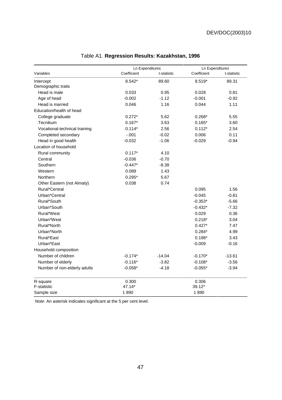|                               | <b>Ln Expenditures</b> |             | <b>Ln Expenditures</b> |             |  |
|-------------------------------|------------------------|-------------|------------------------|-------------|--|
| Variables                     | Coefficient            | t-statistic | Coefficient            | t-statistic |  |
| Intercept                     | 8.542*                 | 89.60       | 8.519*                 | 89.31       |  |
| Demographic traits            |                        |             |                        |             |  |
| Head is male                  | 0.033                  | 0.95        | 0.028                  | 0.81        |  |
| Age of head                   | $-0.002$               | $-1.12$     | $-0.001$               | $-0.92$     |  |
| Head is married               | 0.046                  | 1.16        | 0.044                  | 1.11        |  |
| Education/health of head      |                        |             |                        |             |  |
| College graduate              | $0.272*$               | 5.62        | $0.268*$               | 5.55        |  |
| Tecnikum                      | $0.167*$               | 3.63        | $0.165*$               | 3.60        |  |
| Vocational-technical training | $0.114*$               | 2.56        | $0.112*$               | 2.54        |  |
| Completed secondary           | $-.001$                | $-0.02$     | 0.006                  | 0.11        |  |
| Head in good health           | $-0.032$               | $-1.06$     | $-0.029$               | $-0.94$     |  |
| Location of household         |                        |             |                        |             |  |
| Rural community               | $0.117*$               | 4.10        |                        |             |  |
| Central                       | $-0.036$               | $-0.70$     |                        |             |  |
| Southern                      | $-0.447*$              | $-8.38$     |                        |             |  |
| Western                       | 0.089                  | 1.43        |                        |             |  |
| Northern                      | $0.295*$               | 5.67        |                        |             |  |
| Other Eastern (not Almaty)    | 0.038                  | 0.74        |                        |             |  |
| Rural*Central                 |                        |             | 0.095                  | 1.56        |  |
| Urban*Central                 |                        |             | $-0.045$               | $-0.81$     |  |
| Rural*South                   |                        |             | $-0.353*$              | $-5.66$     |  |
| Urban*South                   |                        |             | $-0.432*$              | $-7.32$     |  |
| Rural*West                    |                        |             | 0.029                  | 0.36        |  |
| Urban*West                    |                        |             | $0.218*$               | 3.04        |  |
| Rural*North                   |                        |             | $0.427*$               | 7.47        |  |
| Urban*North                   |                        |             | $0.284*$               | 4.99        |  |
| Rural*East                    |                        |             | $0.198*$               | 3.43        |  |
| Urban*East                    |                        |             | $-0.009$               | $-0.16$     |  |
| Household composition         |                        |             |                        |             |  |
| Number of children            | $-0.174*$              | $-14.04$    | $-0.170*$              | $-13.61$    |  |
| Number of elderly             | $-0.116*$              | $-3.82$     | $-0.108*$              | $-3.56$     |  |
| Number of non-elderly adults  | $-0.058*$              | $-4.18$     | $-0.055*$              | $-3.94$     |  |
| R-square                      | 0.300                  |             | 0.306                  |             |  |
| F-statistic                   | 47.14*                 |             | 39.12*                 |             |  |
| Sample size                   | 1890                   |             | 1890                   |             |  |

# Table A1. **Regression Results: Kazakhstan, 1996**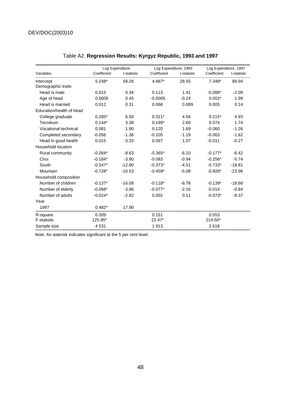|                          | Log Expenditure |             | Log Expenditure, 1993 |             | Log Expenditure, 1997 |             |
|--------------------------|-----------------|-------------|-----------------------|-------------|-----------------------|-------------|
| Variables                | Coefficient     | t-statistic | Coefficient           | t-statistic | Coefficient           | t-statistic |
| Intercept                | 5.248*          | 58.26       | 4.887*                | 28.55       | $7.348*$              | 89.94       |
| Demographic traits       |                 |             |                       |             |                       |             |
| Head is male             | 0.015           | 0.34        | 0.113                 | 1.41        | $-0.089*$             | $-2.09$     |
| Age of head              | 0.0005          | 0.45        | $-0.0005$             | $-0.24$     | $0.002*$              | 1.99        |
| Head is married          | 0.012           | 0.31        | 0.066                 | 0.089       | 0.005                 | 0.14        |
| Education/health of head |                 |             |                       |             |                       |             |
| College graduate         | $0.285*$        | 6.50        | $0.321*$              | 4.04        | $0.215*$              | 4.93        |
| <b>Tecnikum</b>          | $0.144*$        | 3.38        | $0.199*$              | 2.60        | 0.074                 | 1.74        |
| Vocational-technical     | 0.081           | 1.90        | 0.120                 | 1.69        | $-0.060$              | $-1.26$     |
| Completed secondary      | $-0.056$        | $-1.36$     | $-0.105$              | $-1.19$     | $-0.063$              | $-1.62$     |
| Head in good health      | 0.015           | 0.33        | 0.097                 | 1.07        | $-0.011$              | $-0.27$     |
| Household location       |                 |             |                       |             |                       |             |
| Rural community          | $-0.264*$       | $-8.63$     | $-0.365*$             | $-6.10$     | $-0.177*$             | $-6.42$     |
| Chui                     | $-0.184*$       | $-3.90$     | $-0.083$              | $-0.94$     | $-0.256*$             | $-5.74$     |
| South                    | $-0.547*$       | $-12.80$    | $-0.373*$             | $-4.51$     | $-0.733*$             | $-18.81$    |
| Mountain                 | $-0.728*$       | $-16.53$    | $-0.459*$             | $-5.08$     | $-0.928*$             | $-23.96$    |
| Household composition    |                 |             |                       |             |                       |             |
| Number of children       | $-0.137*$       | $-16.09$    | $-0.118*$             | $-6.78$     | $-0.139*$             | $-18.68$    |
| Number of elderly        | $-0.068*$       | $-3.86$     | $-0.077*$             | $-2.16$     | $-0.014$              | $-0.84$     |
| Number of adults         | $-0.024*$       | $-2.82$     | 0.002                 | 0.11        | $-0.073*$             | $-8.37$     |
| Year                     |                 |             |                       |             |                       |             |
| 1997                     | $0.482*$        | 17.90       |                       |             |                       |             |
| R-square                 | 0.309           |             | 0.151                 |             | 0.553                 |             |
| <b>F-statistic</b>       | 125.95*         |             | 22.47*                |             | 214.50*               |             |
| Sample size              | 4531            |             | 1913                  |             | 2618                  |             |

# Table A2. **Regression Results: Kyrgyz Republic, 1993 and 1997**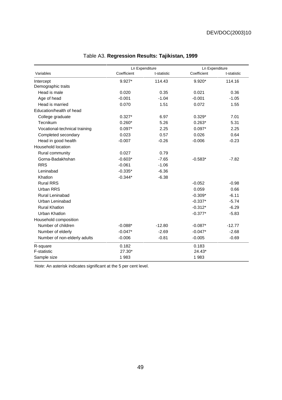|                               | Ln Expenditure |             | Ln Expenditure |             |
|-------------------------------|----------------|-------------|----------------|-------------|
| Variables                     | Coefficient    | t-statistic | Coefficient    | t-statistic |
| Intercept                     | 9.927*         | 114.43      | $9.920*$       | 114.16      |
| Demographic traits            |                |             |                |             |
| Head is male                  | 0.020          | 0.35        | 0.021          | 0.36        |
| Age of head                   | $-0.001$       | $-1.04$     | $-0.001$       | $-1.05$     |
| Head is married               | 0.070          | 1.51        | 0.072          | 1.55        |
| Education/health of head      |                |             |                |             |
| College graduate              | $0.327*$       | 6.97        | $0.329*$       | 7.01        |
| Tecnikum                      | $0.260*$       | 5.26        | $0.263*$       | 5.31        |
| Vocational-technical training | $0.097*$       | 2.25        | $0.097*$       | 2.25        |
| Completed secondary           | 0.023          | 0.57        | 0.026          | 0.64        |
| Head in good health           | $-0.007$       | $-0.26$     | $-0.006$       | $-0.23$     |
| Household location            |                |             |                |             |
| Rural community               | 0.027          | 0.79        |                |             |
| Gorna-Badakhshan              | $-0.603*$      | $-7.65$     | $-0.583*$      | $-7.82$     |
| <b>RRS</b>                    | $-0.061$       | $-1.06$     |                |             |
| Leninabad                     | $-0.335*$      | $-6.36$     |                |             |
| Khatlon                       | $-0.344*$      | $-6.38$     |                |             |
| <b>Rural RRS</b>              |                |             | $-0.052$       | $-0.98$     |
| Urban RRS                     |                |             | 0.059          | 0.66        |
| Rural Leninabad               |                |             | $-0.309*$      | $-6.11$     |
| Urban Leninabad               |                |             | $-0.337*$      | $-5.74$     |
| <b>Rural Khatlon</b>          |                |             | $-0.312*$      | $-6.29$     |
| Urban Khatlon                 |                |             | $-0.377*$      | $-5.83$     |
| Household composition         |                |             |                |             |
| Number of children            | $-0.088*$      | $-12.80$    | $-0.087*$      | $-12.77$    |
| Number of elderly             | $-0.047*$      | $-2.69$     | $-0.047*$      | $-2.68$     |
| Number of non-elderly adults  | $-0.006$       | $-0.81$     | $-0.005$       | $-0.69$     |
| R-square                      | 0.182          |             | 0.183          |             |
| F-statistic                   | 27.30*         |             | 24.43*         |             |
| Sample size                   | 1983           |             | 1983           |             |

# Table A3. **Regression Results: Tajikistan, 1999**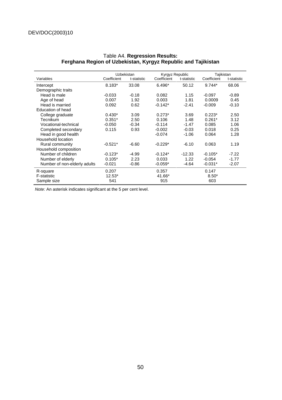|                              | Uzbekistan  |             | Kyrgyz Republic |             | Tajikistan  |             |
|------------------------------|-------------|-------------|-----------------|-------------|-------------|-------------|
| Variables                    | Coefficient | t-statistic | Coefficient     | t-statistic | Coefficient | t-statistic |
| Intercept                    | $8.183*$    | 33.08       | 6.496*          | 50.12       | $9.744*$    | 68.06       |
| Demographic traits           |             |             |                 |             |             |             |
| Head is male                 | $-0.033$    | $-0.18$     | 0.082           | 1.15        | $-0.097$    | $-0.89$     |
| Age of head                  | 0.007       | 1.92        | 0.003           | 1.81        | 0.0009      | 0.45        |
| Head is married              | 0.092       | 0.62        | $-0.142*$       | $-2.41$     | $-0.009$    | $-0.10$     |
| Education of head            |             |             |                 |             |             |             |
| College graduate             | $0.430*$    | 3.09        | $0.273*$        | 3.69        | $0.223*$    | 2.50        |
| Tecnikum                     | $0.351*$    | 2.50        | 0.106           | 1.48        | $0.261*$    | 3.12        |
| Vocational-technical         | $-0.050$    | $-0.34$     | $-0.114$        | $-1.47$     | 0.085       | 1.06        |
| Completed secondary          | 0.115       | 0.93        | $-0.002$        | $-0.03$     | 0.018       | 0.25        |
| Head in good health          |             |             | $-0.074$        | $-1.06$     | 0.064       | 1.28        |
| Household location           |             |             |                 |             |             |             |
| Rural community              | $-0.521*$   | $-6.60$     | $-0.229*$       | $-6.10$     | 0.063       | 1.19        |
| Household composition        |             |             |                 |             |             |             |
| Number of children           | $-0.123*$   | $-4.99$     | $-0.124*$       | $-12.33$    | $-0.105*$   | $-7.22$     |
| Number of elderly            | $0.105*$    | 2.23        | 0.033           | 1.22        | $-0.054$    | $-1.77$     |
| Number of non-elderly adults | $-0.021$    | $-0.86$     | $-0.059*$       | -4.64       | $-0.031*$   | $-2.07$     |
| R-square                     | 0.207       |             | 0.357           |             | 0.147       |             |
| F-statistic                  | $12.53*$    |             | 41.66*          |             | $8.50*$     |             |
| Sample size                  | 541         |             | 915             |             | 603         |             |

#### Table A4. **Regression Results: Ferghana Region of Uzbekistan, Kyrgyz Republic and Tajikistan**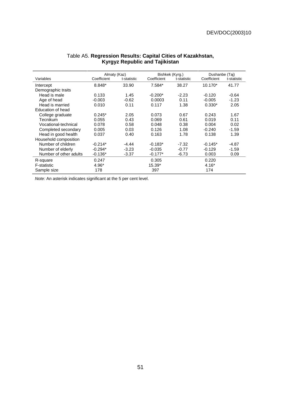|                        | Almaty (Kaz) |             | Bishkek (Kyrg.) |             | Dushanbe (Taj) |             |  |
|------------------------|--------------|-------------|-----------------|-------------|----------------|-------------|--|
| Variables              | Coefficient  | t-statistic | Coefficient     | t-statistic | Coefficient    | t-statistic |  |
| Intercept              | 8.848*       | 33.90       | 7.584*          | 38.27       | 10.170*        | 41.77       |  |
| Demographic traits     |              |             |                 |             |                |             |  |
| Head is male           | 0.133        | 1.45        | $-0.200*$       | $-2.23$     | $-0.120$       | $-0.64$     |  |
| Age of head            | $-0.003$     | $-0.62$     | 0.0003          | 0.11        | $-0.005$       | $-1.23$     |  |
| Head is married        | 0.010        | 0.11        | 0.117           | 1.38        | $0.330*$       | 2.05        |  |
| Education of head      |              |             |                 |             |                |             |  |
| College graduate       | $0.245*$     | 2.05        | 0.073           | 0.67        | 0.243          | 1.67        |  |
| Tecnikum               | 0.055        | 0.43        | 0.069           | 0.61        | 0.019          | 0.11        |  |
| Vocational-technical   | 0.078        | 0.58        | 0.048           | 0.38        | 0.004          | 0.02        |  |
| Completed secondary    | 0.005        | 0.03        | 0.126           | 1.08        | $-0.240$       | $-1.59$     |  |
| Head in good health    | 0.037        | 0.40        | 0.163           | 1.78        | 0.138          | 1.39        |  |
| Household composition  |              |             |                 |             |                |             |  |
| Number of children     | $-0.214*$    | $-4.44$     | $-0.183*$       | $-7.32$     | $-0.145*$      | $-4.87$     |  |
| Number of elderly      | $-0.294*$    | $-3.23$     | $-0.035$        | $-0.77$     | $-0.129$       | $-1.59$     |  |
| Number of other adults | $-0.136*$    | $-3.37$     | $-0.177*$       | $-6.73$     | 0.003          | 0.09        |  |
| R-square               | 0.247        |             | 0.305           |             | 0.220          |             |  |
| F-statistic            | 4.96*        |             | 15.39*          |             | $4.16*$        |             |  |
| Sample size            | 178          |             | 397             |             | 174            |             |  |

#### Table A5. **Regression Results: Capital Cities of Kazakhstan, Kyrgyz Republic and Tajikistan**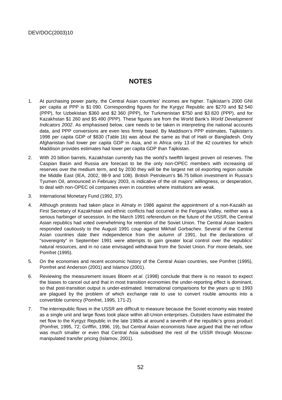# **NOTES**

- 1. At purchasing power parity, the Central Asian countries' incomes are higher. Tajikistan's 2000 GNI per capita at PPP is \$1 090. Corresponding figures for the Kyrgyz Republic are \$270 and \$2 540 (PPP), for Uzbekistan \$360 and \$2 360 (PPP), for Turkmenistan \$750 and \$3 820 (PPP), and for Kazakhstan \$1 260 and \$5 490 (PPP). These figures are from the World Bank's World Development Indicators 2002. As emphasised below, care needs to be taken in interpreting the national accounts data, and PPP conversions are even less firmly based. By Maddison's PPP estimates, Tajikistan's 1998 per capita GDP of \$830 (Table 1b) was about the same as that of Haiti or Bangladesh. Only Afghanistan had lower per capita GDP in Asia, and in Africa only 13 of the 42 countries for which Maddison provides estimates had lower per capita GDP than Tajikistan.
- 2. With 20 billion barrels, Kazakhstan currently has the world's twelfth largest proven oil reserves. The Caspian Basin and Russia are forecast to be the only non-OPEC members with increasing oil reserves over the medium term, and by 2030 they will be the largest net oil exporting region outside the Middle East (IEA, 2002, 98-9 and 108). British Petroleum's \$6.75 billion investment in Russia's Tyumen Oil, announced in February 2003, is indicative of the oil majors' willingness, or desperation, to deal with non-OPEC oil companies even in countries where institutions are weak.
- 3. International Monetary Fund (1992, 37).
- 4. Although protests had taken place in Almaty in 1986 against the appointment of a non-Kazakh as First Secretary of Kazakhstan and ethnic conflicts had occurred in the Fergana Valley, neither was a serious harbinger of secession. In the March 1991 referendum on the future of the USSR, the Central Asian republics had voted overwhelming for retention of the Soviet Union. The Central Asian leaders responded cautiously to the August 1991 coup against Mikhail Gorbachev. Several of the Central Asian countries date their independence from the autumn of 1991, but the declarations of "sovereignty" in September 1991 were attempts to gain greater local control over the republics' natural resources, and in no case envisaged withdrawal from the Soviet Union. For more details, see Pomfret (1995).
- 5. On the economies and recent economic history of the Central Asian countries, see Pomfret (1995), Pomfret and Anderson (2001) and Islamov (2001).
- 6. Reviewing the measurement issues Bloem et al. (1998) conclude that there is no reason to expect the biases to cancel out and that in most transition economies the under-reporting effect is dominant, so that post-transition output is under-estimated. International comparisons for the years up to 1993 are plagued by the problem of which exchange rate to use to convert rouble amounts into a convertible currency (Pomfret, 1995, 171-2).
- 7. The interrepublic flows in the USSR are difficult to measure because the Soviet economy was treated as a single unit and large flows took place within all-Union enterprises. Outsiders have estimated the net flow to the Kyrgyz Republic in the late 1980s at around a seventh of the republic's gross product (Pomfret, 1995, 72; Grifffin, 1996, 19), but Central Asian economists have argued that the net inflow was much smaller or even that Central Asia subsidised the rest of the USSR through Moscowmanipulated transfer pricing (Islamov, 2001).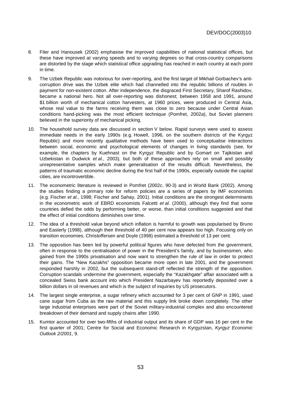- 8. Filer and Hanousek (2002) emphasise the improved capabilities of national statistical offices, but these have improved at varying speeds and to varying degrees so that cross-country comparisons are distorted by the stage which statistical office upgrading has reached in each country at each point in time.
- 9. The Uzbek Republic was notorious for over-reporting, and the first target of Mikhail Gorbachev's anticorruption drive was the Uzbek elite which had channelled into the republic billions of roubles in payment for non-existent cotton. After independence, the disgraced First Secretary, Sharof Rashidov, became a national hero. Not all over-reporting was dishonest; between 1958 and 1991, around \$1 billion worth of mechanical cotton harvesters, at 1960 prices, were produced in Central Asia, whose real value to the farms receiving them was close to zero because under Central Asian conditions hand-picking was the most efficient technique (Pomfret, 2002a), but Soviet planners believed in the superiority of mechanical picking.
- 10. The household survey data are discussed in section V below. Rapid surveys were used to assess immediate needs in the early 1990s (e.g. Howell, 1996, on the southern districts of the Kyrgyz Republic) and more recently qualitative methods have been used to conceptualise interactions between social, economic and psychological elements of changes in living standards (see, for example, the chapters by Kuehnast on the Kyrgyz Republic and by Gomart on Tajikistan and Uzbekistan in Dudwick et al., 2003), but both of these approaches rely on small and possibly unrepresentative samples which make generalisation of the results difficult. Nevertheless, the patterns of traumatic economic decline during the first half of the 1990s, especially outside the capital cities, are incontrovertible.
- 11. The econometric literature is reviewed in Pomfret (2002c, 90-3) and in World Bank (2002). Among the studies finding a primary role for reform policies are a series of papers by IMF economists (e.g. Fischer et al., 1998; Fischer and Sahay, 2001). Initial conditions are the strongest determinants in the econometric work of EBRD economists Falcetti et al. (2000), although they find that some countries defied the odds by performing better, or worse, than initial conditions suggested and that the effect of initial conditions diminishes over time.
- 12. The idea of a threshold value beyond which inflation is harmful to growth was popularised by Bruno and Easterly (1998), although their threshold of 40 per cent now appears too high. Focusing only on transition economies, Christoffersen and Doyle (1998) estimated a threshold of 13 per cent.
- 13. The opposition has been led by powerful political figures who have defected from the government, often in response to the centralisation of power in the President's family, and by businessmen, who gained from the 1990s privatisation and now want to strengthen the rule of law in order to protect their gains. The "New Kazakhs" opposition became more open in late 2001, and the government responded harshly in 2002, but the subsequent stand-off reflected the strength of the opposition. Corruption scandals undermine the government, especially the "Kazakhgate" affair associated with a concealed Swiss bank account into which President Nazarbayev has reportedly deposited over a billion dollars in oil revenues and which is the subject of inquiries by US prosecutors.
- 14. The largest single enterprise, a sugar refinery which accounted for 3 per cent of GNP in 1991, used cane sugar from Cuba as the raw material and this supply link broke down completely. The other large industrial enterprises were part of the Soviet military-industrial complex and also encountered breakdown of their demand and supply chains after 1990.
- 15. Kumtor accounted for over two-fifths of industrial output and its share of GDP was 16 per cent in the first quarter of 2001; Centre for Social and Economic Research in Kyrgyzstan, Kyrgyz Economic Outlook 2/2001, 9.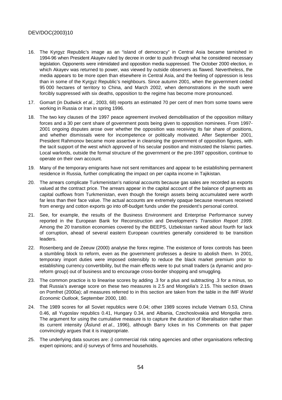- 16. The Kyrgyz Republic's image as an "island of democracy" in Central Asia became tarnished in 1994-96 when President Akayev ruled by decree in order to push through what he considered necessary legislation. Opponents were intimidated and opposition media suppressed. The October 2000 election, in which Akayev was returned to power, was viewed by outside observers as flawed. Nevertheless, the media appears to be more open than elsewhere in Central Asia, and the feeling of oppression is less than in some of the Kyrgyz Republic's neighbours. Since autumn 2001, when the government ceded 95 000 hectares of territory to China, and March 2002, when demonstrations in the south were forcibly suppressed with six deaths, opposition to the regime has become more pronounced.
- 17. Gomart (in Dudwick et al., 2003, 68) reports an estimated 70 per cent of men from some towns were working in Russia or Iran in spring 1996.
- 18. The two key clauses of the 1997 peace agreement involved demobilisation of the opposition military forces and a 30 per cent share of government posts being given to opposition nominees. From 1997- 2001 ongoing disputes arose over whether the opposition was receiving its fair share of positions, and whether dismissals were for incompetence or politically motivated. After September 2001, President Rahmonov became more assertive in cleansing the government of opposition figures, with the tacit support of the west which approved of his secular position and mistrusted the Islamic parties. Local warlords, outside the formal structure of the government or the pre-1997 opposition, continue to operate on their own account.
- 19. Many of the temporary emigrants have not sent remittances and appear to be establishing permanent residence in Russia, further complicating the impact on per capita income in Tajikistan.
- 20. The arrears complicate Turkmenistan's national accounts because gas sales are recorded as exports valued at the contract price. The arrears appear in the capital account of the balance of payments as capital outflows from Turkmenistan, even though the foreign assets being accumulated were worth far less than their face value. The actual accounts are extremely opaque because revenues received from energy and cotton exports go into off-budget funds under the president's personal control.
- 21. See, for example, the results of the Business Environment and Enterprise Performance survey reported in the European Bank for Reconstruction and Development's Transition Report 1999. Among the 20 transition economies covered by the BEEPS, Uzbekistan ranked about fourth for lack of corruption, ahead of several eastern European countries generally considered to be transition leaders.
- 22. Rosenberg and de Zeeuw (2000) analyse the forex regime. The existence of forex controls has been a stumbling block to reform, even as the government professes a desire to abolish them. In 2001, temporary import duties were imposed ostensibly to reduce the black market premium prior to establishing currency convertibility, but the main effects were to put small traders (a dynamic and proreform group) out of business and to encourage cross-border shopping and smuggling.
- 23. The common practice is to linearise scores by adding .3 for a plus and subtracting .3 for a minus, so that Russia's average score on these two measures is 2.5 and Mongolia's 2.15. This section draws on Pomfret (2000a); all measures referred to in this section are taken from the table in the IMF World Economic Outlook, September 2000, 180.
- 24. The 1989 scores for all Soviet republics were 0.04; other 1989 scores include Vietnam 0.53, China 0.46, all Yugoslav republics 0.41, Hungary 0.34, and Albania, Czechoslovakia and Mongolia zero. The argument for using the cumulative measure is to capture the duration of liberalisation rather than its current intensity (Åslund et al., 1996), although Barry Ickes in his Comments on that paper convincingly argues that it is inappropriate.
- 25. The underlying data sources are: i) commercial risk rating agencies and other organisations reflecting expert opinions; and *ii*) surveys of firms and households.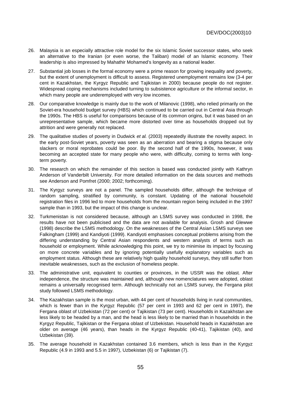- 26. Malaysia is an especially attractive role model for the six Islamic Soviet successor states, who seek an alternative to the Iranian (or even worse, the Taliban) model of an Islamic economy. Their leadership is also impressed by Mahathir Mohamed's longevity as a national leader.
- 27. Substantial job losses in the formal economy were a prime reason for growing inequality and poverty, but the extent of unemployment is difficult to assess. Registered unemployment remains low (3-4 per cent in Kazakhstan, the Kyrgyz Republic and Tajikistan in 2000) because people do not register. Widespread coping mechanisms included turning to subsistence agriculture or the informal sector, in which many people are underemployed with very low incomes.
- 28. Our comparative knowledge is mainly due to the work of Milanovic (1998), who relied primarily on the Soviet-era household budget survey (HBS) which continued to be carried out in Central Asia through the 1990s. The HBS is useful for comparisons because of its common origins, but it was based on an unrepresentative sample, which became more distorted over time as households dropped out by attrition and were generally not replaced.
- 29. The qualitative studies of poverty in Dudwick et al. (2003) repeatedly illustrate the novelty aspect. In the early post-Soviet years, poverty was seen as an aberration and bearing a stigma because only slackers or moral reprobates could be poor. By the second half of the 1990s, however, it was becoming an accepted state for many people who were, with difficulty, coming to terms with longterm poverty.
- 30. The research on which the remainder of this section is based was conducted jointly with Kathryn Anderson of Vanderbilt University. For more detailed information on the data sources and methods see Anderson and Pomfret (2000; 2002; forthcoming).
- 31. The Kyrgyz surveys are not a panel. The sampled households differ, although the technique of random sampling, stratified by community, is constant. Updating of the national household registration files in 1996 led to more households from the mountain region being included in the 1997 sample than in 1993, but the impact of this change is unclear.
- 32. Turkmenistan is not considered because, although an LSMS survey was conducted in 1998, the results have not been publicised and the data are not available for analysis. Grosh and Glewwe (1998) describe the LSMS methodology. On the weaknesses of the Central Asian LSMS surveys see Falkingham (1999) and Kandiyoti (1999). Kandiyoti emphasises conceptual problems arising from the differing understanding by Central Asian respondents and western analysts of terms such as household or employment. While acknowledging this point, we try to minimise its impact by focusing on more concrete variables and by ignoring potentially usefully explanatory variables such as employment status. Although these are relatively high quality household surveys, they still suffer from inevitable weaknesses, such as the exclusion of homeless people.
- 33. The administrative unit, equivalent to counties or provinces, in the USSR was the oblast. After independence, the structure was maintained and, although new nomenclatures were adopted, oblast remains a universally recognised term. Although technically not an LSMS survey, the Fergana pilot study followed LSMS methodology.
- 34. The Kazakhstan sample is the most urban, with 44 per cent of households living in rural communities, which is fewer than in the Kyrgyz Republic (57 per cent in 1993 and 62 per cent in 1997), the Fergana oblast of Uzbekistan (72 per cent) or Tajikistan (73 per cent). Households in Kazakhstan are less likely to be headed by a man, and the head is less likely to be married than in households in the Kyrgyz Republic, Tajikistan or the Fergana oblast of Uzbekistan. Household heads in Kazakhstan are older on average (46 years), than heads in the Kyrgyz Republic (40-41), Tajikistan (40), and Uzbekistan (39).
- 35. The average household in Kazakhstan contained 3.6 members, which is less than in the Kyrgyz Republic (4.9 in 1993 and 5.5 in 1997), Uzbekistan (6) or Tajikistan (7).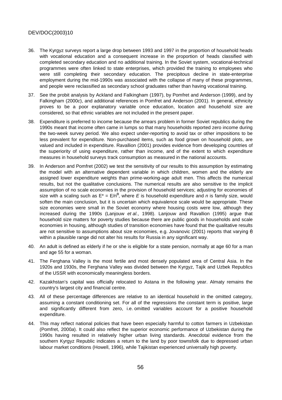- 36. The Kyrgyz surveys report a large drop between 1993 and 1997 in the proportion of household heads with vocational education and a consequent increase in the proportion of heads classified with completed secondary education and no additional training. In the Soviet system, vocational-technical programmes were often linked to state enterprises, which provided the training to employees who were still completing their secondary education. The precipitous decline in state-enterprise employment during the mid-1990s was associated with the collapse of many of these programmes, and people were reclassified as secondary school graduates rather than having vocational training.
- 37. See the probit analysis by Ackland and Falkingham (1997), by Pomfret and Anderson (1999), and by Falkingham (2000c), and additional references in Pomfret and Anderson (2001). In general, ethnicity proves to be a poor explanatory variable once education, location and household size are considered, so that ethnic variables are not included in the present paper.
- 38. Expenditure is preferred to income because the arrears problem in former Soviet republics during the 1990s meant that income often came in lumps so that many households reported zero income during the two-week survey period. We also expect under-reporting to avoid tax or other impositions to be less prevalent for expenditure. Non-purchased items, such as food grown on household plots, are valued and included in expenditure. Ravallion (2001) provides evidence from developing countries of the superiority of using expenditure, rather than income, and of the extent to which expenditure measures in household surveys track consumption as measured in the national accounts.
- 39. In Anderson and Pomfret (2002) we test the sensitivity of our results to this assumption by estimating the model with an alternative dependent variable in which children, women and the elderly are assigned lower expenditure weights than prime-working-age adult men. This affects the numerical results, but not the qualitative conclusions. The numerical results are also sensitive to the implicit assumption of no scale economies in the provision of household services; adjusting for economies of size with a scaling such as  $E^* = E/n^{\theta}$ , where E is household expenditure and n is family size, would soften the main conclusion, but it is uncertain which equivalence scale would be appropriate. These size economies were small in the Soviet economy where housing costs were low, although they increased during the 1990s (Lanjouw et al., 1998). Lanjouw and Ravallion (1995) argue that household size matters for poverty studies because there are public goods in households and scale economies in housing, although studies of transition economies have found that the qualitative results are not sensitive to assumptions about size economies, e.g. Jovanovic (2001) reports that varying within a plausible range did not alter his results for Russia in any significant way.
- 40. An adult is defined as elderly if he or she is eligible for a state pension, normally at age 60 for a man and age 55 for a woman.
- 41. The Ferghana Valley is the most fertile and most densely populated area of Central Asia. In the 1920s and 1930s, the Ferghana Valley was divided between the Kyrgyz, Tajik and Uzbek Republics of the USSR with economically meaningless borders.
- 42. Kazakhstan's capital was officially relocated to Astana in the following year. Almaty remains the country's largest city and financial centre.
- 43. All of these percentage differences are relative to an identical household in the omitted category, assuming a constant conditioning set. For all of the regressions the constant term is positive, large and significantly different from zero, i.e. omitted variables account for a positive household expenditure.
- 44. This may reflect national policies that have been especially harmful to cotton farmers in Uzbekistan (Pomfret, 2000a). It could also reflect the superior economic performance of Uzbekistan during the 1990s having resulted in relatively higher urban living standards. Anecdotal evidence from the southern Kyrgyz Republic indicates a return to the land by poor townsfolk due to depressed urban labour market conditions (Howell, 1996), while Tajikistan experienced universally high poverty.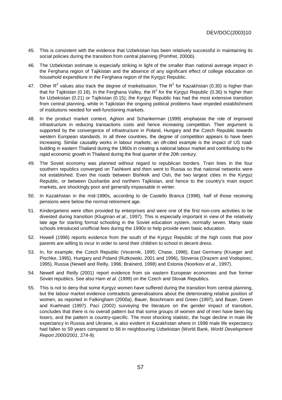- 45. This is consistent with the evidence that Uzbekistan has been relatively successful in maintaining its social policies during the transition from central planning (Pomfret, 2000b).
- 46. The Uzbekistan estimate is especially striking in light of the smaller than national average impact in the Ferghana region of Tajikistan and the absence of any significant effect of college education on household expenditure in the Ferghana region of the Kyrgyz Republic.
- 47. Other R<sup>2</sup> values also track the degree of marketisation. The R<sup>2</sup> for Kazakhstan (0.30) is higher than that for Tajikistan (0.18). In the Ferghana Valley, the R<sup>2</sup> for the Kyrgyz Republic (0.36) is higher than for Uzbekistan (0.21) or Tajikistan (0.15); the Kyrgyz Republic has had the most extensive transition from central planning, while in Tajikistan the ongoing political problems have impeded establishment of institutions needed for well-functioning markets.
- 48. In the product market context, Aghion and Schankerman (1999) emphasise the role of improved infrastructure in reducing transactions costs and hence increasing competition. Their argument is supported by the convergence of infrastructure in Poland, Hungary and the Czech Republic towards western European standards. In all three countries, the degree of competition appears to have been increasing. Similar causality works in labour markets; an oft-cited example is the impact of US roadbuilding in eastern Thailand during the 1960s in creating a national labour market and contributing to the rapid economic growth in Thailand during the final quarter of the 20th century.
- 49. The Soviet economy was planned without regard to republican borders. Train lines in the four southern republics converged on Tashkent and then went to Russia so that national networks were not established. Even the roads between Bishkek and Osh, the two largest cities in the Kyrgyz Republic, or between Dushanbe and northern Tajikistan, and hence to the country's main export markets, are shockingly poor and generally impassable in winter.
- 50. In Kazakhstan in the mid-1990s, according to de Castello Branca (1998), half of those receiving pensions were below the normal retirement age.
- 51. Kindergartens were often provided by enterprises and were one of the first non-core activities to be divested during transition (Klugman et al., 1997). This is especially important in view of the relatively late age for starting formal schooling in the Soviet education system, normally seven. Many state schools introduced unofficial fees during the 1990s to help provide even basic education.
- 52. Howell (1996) reports evidence from the south of the Kyrgyz Republic of the high costs that poor parents are willing to incur in order to send their children to school in decent dress.
- 53. In, for example, the Czech Republic (Vecernik, 1995; Chase, 1998), East Germany (Krueger and Pischke, 1995), Hungary and Poland (Rutkowski, 2001 and 1996), Slovenia (Orazem and Vodopivec, 1995), Russia (Newell and Reilly, 1996; Brainerd, 1998) and Estonia (Noorkiov et al., 1997).
- 54. Newell and Reilly (2001) report evidence from six eastern European economies and five former Soviet republics. See also Ham et al. (1999) on the Czech and Slovak Republics.
- 55. This is not to deny that some Kyrgyz women have suffered during the transition from central planning, but the labour market evidence contradicts generalisations about the deteriorating relative position of women, as reported in Falkingham (2000a), Bauer, Boschmann and Green (1997), and Bauer, Green and Kuehnast (1997). Paci (2002) surveying the literature on the gender impact of transition, concludes that there is no overall pattern but that some groups of women and of men have been big losers, and the pattern is country-specific. The most shocking statistic, the huge decline in male life expectancy in Russia and Ukraine, is also evident in Kazakhstan where in 1998 male life expectancy had fallen to 59 years compared to 66 in neighbouring Uzbekistan (World Bank, World Development Report 2000/2001, 274-9).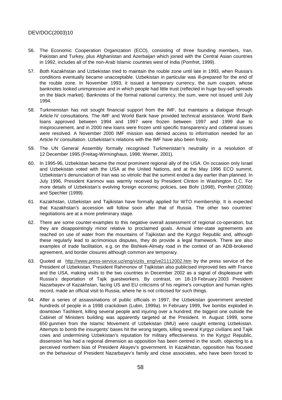- 56. The Economic Cooperation Organization (ECO), consisting of three founding members, Iran, Pakistan and Turkey, plus Afghanistan and Azerbaijan which joined with the Central Asian countries in 1992, includes all of the non-Arab Islamic countries west of India (Pomfret, 1999).
- 57. Both Kazakhstan and Uzbekistan tried to maintain the rouble zone until late in 1993, when Russia's conditions eventually became unacceptable. Uzbekistan in particular was ill-prepared for the end of the rouble zone. In November 1993, it issued a temporary currency, the sum coupon, whose banknotes looked unimpressive and in which people had little trust (reflected in huge buy-sell spreads on the black market). Banknotes of the formal national currency, the sum, were not issued until July 1994.
- 58. Turkmenistan has not sought financial support from the IMF, but maintains a dialogue through Article IV consultations. The IMF and World Bank have provided technical assistance. World Bank loans approved between 1994 and 1997 were frozen between 1997 and 1999 due to misprocurement, and in 2000 new loans were frozen until specific transparency and collateral issues were resolved. A November 2000 IMF mission was denied access to information needed for an Article IV consultation. Uzbekistan's relations with the IMF have also been frosty.
- 59. The UN General Assembly formally recognised Turkmenistan's neutrality in a resolution of 12 December 1995 (Freitag-Wirminghaus, 1998; Werner, 2001).
- 60. In 1995-96, Uzbekistan became the most prominent regional ally of the USA. On occasion only Israel and Uzbekistan voted with the USA at the United Nations, and at the May 1996 ECO summit, Uzbekistan's denunciation of Iran was so vitriolic that the summit ended a day earlier than planned. In July 1996, President Karimov was warmly received by President Clinton in Washington D.C. For more details of Uzbekistan's evolving foreign economic policies, see Bohr (1998), Pomfret (2000b) and Spechler (1999).
- 61. Kazakhstan, Uzbekistan and Tajikistan have formally applied for WTO membership. It is expected that Kazakhstan's accession will follow soon after that of Russia. The other two countries' negotiations are at a more preliminary stage.
- 62. There are some counter-examples to this negative overall assessment of regional co-operation, but they are disappointingly minor relative to proclaimed goals. Annual inter-state agreements are reached on use of water from the mountains of Tajikistan and the Kyrgyz Republic and, although these regularly lead to acrimonious disputes, they do provide a legal framework. There are also examples of trade facilitation, e.g. on the Bishkek-Almaty road in the context of an ADB-brokered agreement, and border closures although common are temporary.
- 63. Quoted at http://www.press-service.uz/eng/vizits\_eng/ve21112002.htm by the press service of the President of Uzbekistan. President Rahmonov of Tajikistan also publicised improved ties with France and the USA, making visits to the two countries in December 2002 as a signal of displeasure with Russia's deportation of Tajik guestworkers. By contrast, on 18-19 February 2003 President Nazarbayev of Kazakhstan, facing US and EU criticisms of his regime's corruption and human rights record, made an official visit to Russia, where he is not criticised for such things.
- 64. After a series of assassinations of public officials in 1997, the Uzbekistan government arrested hundreds of people in a 1998 crackdown (Lubin, 1999a). In February 1999, five bombs exploded in downtown Tashkent, killing several people and injuring over a hundred; the biggest one outside the Cabinet of Ministers building was apparently targeted at the President. In August 1999, some 650 gunmen from the Islamic Movement of Uzbekistan (IMU) were caught entering Uzbekistan. Attempts to bomb the insurgents' bases hit the wrong targets, killing several Kyrgyz civilians and Tajik cows and undermining Uzbekistan's reputation for military effectiveness. In the Kyrgyz Republic, dissension has had a regional dimension as opposition has been centred in the south, objecting to a perceived northern bias of President Akayev's government. In Kazakhstan, opposition has focused on the behaviour of President Nazarbayev's family and close associates, who have been forced to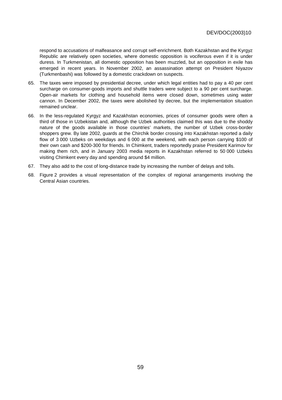respond to accusations of malfeasance and corrupt self-enrichment. Both Kazakhstan and the Kyrgyz Republic are relatively open societies, where domestic opposition is vociferous even if it is under duress. In Turkmenistan, all domestic opposition has been muzzled, but an opposition in exile has emerged in recent years. In November 2002, an assassination attempt on President Niyazov (Turkmenbashi) was followed by a domestic crackdown on suspects.

- 65. The taxes were imposed by presidential decree, under which legal entities had to pay a 40 per cent surcharge on consumer-goods imports and shuttle traders were subject to a 90 per cent surcharge. Open-air markets for clothing and household items were closed down, sometimes using water cannon. In December 2002, the taxes were abolished by decree, but the implementation situation remained unclear.
- 66. In the less-regulated Kyrgyz and Kazakhstan economies, prices of consumer goods were often a third of those in Uzbekistan and, although the Uzbek authorities claimed this was due to the shoddy nature of the goods available in those countries' markets, the number of Uzbek cross-border shoppers grew. By late 2002, guards at the Chirchik border crossing into Kazakhstan reported a daily flow of 3 000 Uzbeks on weekdays and 6 000 at the weekend, with each person carrying \$100 of their own cash and \$200-300 for friends. In Chimkent, traders reportedly praise President Karimov for making them rich, and in January 2003 media reports in Kazakhstan referred to 50 000 Uzbeks visiting Chimkent every day and spending around \$4 million.
- 67. They also add to the cost of long-distance trade by increasing the number of delays and tolls.
- 68. Figure 2 provides a visual representation of the complex of regional arrangements involving the Central Asian countries.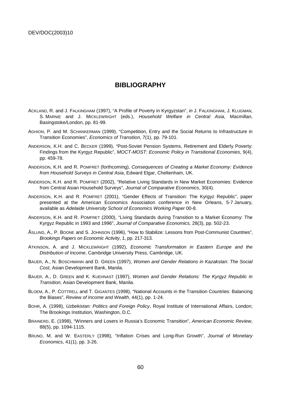## **BIBLIOGRAPHY**

- ACKLAND, R. and J. FALKINGHAM (1997), "A Profile of Poverty in Kyrgyzstan", in J. FALKINGHAM, J. KLUGMAN, S. MARNIE and J. MICKLEWRIGHT (eds.), Household Welfare in Central Asia, Macmillan, Basingstoke/London, pp. 81-99.
- AGHION, P. and M. SCHANKERMAN (1999), "Competition, Entry and the Social Returns to Infrastructure in Transition Economies", Economics of Transition, 7(1), pp. 79-101.
- ANDERSON, K.H. and C. BECKER (1999), "Post-Soviet Pension Systems, Retirement and Elderly Poverty: Findings from the Kyrgyz Republic", MOCT-MOST: Economic Policy in Transitional Economies, 9(4), pp. 459-78.
- ANDERSON, K.H. and R. POMFRET (forthcoming), Consequences of Creating a Market Economy: Evidence from Household Surveys in Central Asia, Edward Elgar, Cheltenham, UK.
- ANDERSON, K.H. and R. POMFRET (2002), "Relative Living Standards in New Market Economies: Evidence from Central Asian Household Surveys", Journal of Comparative Economics, 30(4).
- ANDERSON, K.H. and R. POMFRET (2001), "Gender Effects of Transition: The Kyrgyz Republic", paper presented at the American Economics Association conference in New Orleans, 5-7 January, available as Adelaide University School of Economics Working Paper 00-8.
- ANDERSON, K.H. and R. POMFRET (2000), "Living Standards during Transition to a Market Economy: The Kyrgyz Republic in 1993 and 1996", Journal of Comparative Economics, 28(3), pp. 502-23.
- ÅSLUND, A., P. BOONE and S. JOHNSON (1996), "How to Stabilize: Lessons from Post-Communist Countries", Brookings Papers on Economic Activity, 1, pp. 217-313.
- ATKINSON, A. and J. MICKLEWRIGHT (1992), Economic Transformation in Eastern Europe and the Distribution of Income, Cambridge University Press, Cambridge, UK.
- BAUER, A., N. BOSCHMANN and D. GREEN (1997), Women and Gender Relations in Kazakstan: The Social Cost, Asian Development Bank, Manila.
- BAUER, A., D. GREEN and K. KUEHNAST (1997), Women and Gender Relations: The Kyrgyz Republic in Transition, Asian Development Bank, Manila.
- BLOEM, A., P. COTTRELL and T. GIGANTES (1998), "National Accounts in the Transition Countries: Balancing the Biases", Review of Income and Wealth, 44(1), pp. 1-24.
- BOHR, A. (1998), Uzbekistan: Politics and Foreign Policy, Royal Institute of International Affairs, London; The Brookings Institution, Washington, D.C.
- BRAINERD, E. (1998), "Winners and Losers in Russia's Economic Transition", American Economic Review, 88(5), pp. 1094-1115.
- BRUNO, M. and W. EASTERLY (1998), "Inflation Crises and Long-Run Growth", Journal of Monetary Economics, 41(1), pp. 3-26.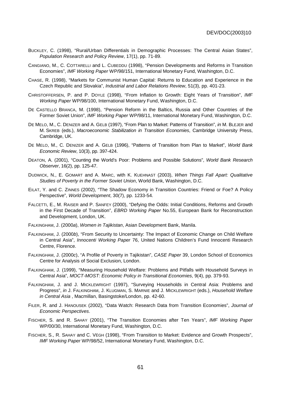- BUCKLEY, C. (1998), "Rural/Urban Differentials in Demographic Processes: The Central Asian States", Population Research and Policy Review, 17(1), pp. 71-89.
- CANGIANO, M., C. COTTARELLI and L. CUBEDDU (1998), "Pension Developments and Reforms in Transition Economies", IMF Working Paper WP/98/151, International Monetary Fund, Washington, D.C.
- CHASE, R. (1998), "Markets for Communist Human Capital: Returns to Education and Experience in the Czech Republic and Slovakia", Industrial and Labor Relations Review, 51(3), pp. 401-23.
- CHRISTOFFERSEN, P. and P. DOYLE (1998), "From Inflation to Growth: Eight Years of Transition", IMF Working Paper WP/98/100, International Monetary Fund, Washington, D.C.
- DE CASTELLO BRANCA, M. (1998), "Pension Reform in the Baltics, Russia and Other Countries of the Former Soviet Union", IMF Working Paper WP/98/11, International Monetary Fund, Washington, D.C.
- DE MELO, M., C. DENIZER and A. GELB (1997), "From Plan to Market: Patterns of Transition", in M. BLEJER and M. SKREB (eds.), Macroeconomic Stabilization in Transition Economies, Cambridge University Press, Cambridge, UK.
- DE MELO, M., C. DENIZER and A. GELB (1996), "Patterns of Transition from Plan to Market", World Bank Economic Review, 10(3), pp. 397-424.
- DEATON, A. (2001), "Counting the World's Poor: Problems and Possible Solutions", World Bank Research Observer, 16(2), pp. 125-47.
- DUDWICK, N., E. GOMART and A. MARC, with K. KUEHNAST (2003), When Things Fall Apart: Qualitative Studies of Poverty in the Former Soviet Union, World Bank, Washington, D.C.
- EILAT, Y. and C. ZINNES (2002), "The Shadow Economy in Transition Countries: Friend or Foe? A Policy Perspective", World Development, 30(7), pp. 1233-54.
- FALCETTI, E., M. RAISER and P. SANFEY (2000), "Defying the Odds: Initial Conditions, Reforms and Growth in the First Decade of Transition", EBRD Working Paper No.55, European Bank for Reconstruction and Development, London, UK.
- FALKINGHAM, J. (2000a), Women in Tajikistan, Asian Development Bank, Manila.
- FALKINGHAM, J. (2000b), "From Security to Uncertainty: The Impact of Economic Change on Child Welfare in Central Asia", Innocenti Working Paper 76, United Nations Children's Fund Innocenti Research Centre, Florence.
- FALKINGHAM, J. (2000c), "A Profile of Poverty in Tajikistan", CASE Paper 39, London School of Economics Centre for Analysis of Social Exclusion, London.
- FALKINGHAM, J. (1999), "Measuring Household Welfare: Problems and Pitfalls with Household Surveys in Central Asia", MOCT-MOST: Economic Policy in Transitional Economies, 9(4), pp. 379-93.
- FALKINGHAM, J. and J. MICKLEWRIGHT (1997), "Surveying Households in Central Asia: Problems and Progress", in J. FALKINGHAM, J. KLUGMAN, S. MARNIE and J. MICKLEWRIGHT (eds.), Household Welfare in Central Asia , Macmillan, Basingstoke/London, pp. 42-60.
- FILER, R. and J. HANOUSEK (2002), "Data Watch: Research Data from Transition Economies", Journal of Economic Perspectives.
- FISCHER, S. and R. SAHAY (2001), "The Transition Economies after Ten Years", IMF Working Paper WP/00/30, International Monetary Fund, Washington, D.C.
- FISCHER, S., R. SAHAY and C. VÉGH (1998), "From Transition to Market: Evidence and Growth Prospects", IMF Working Paper WP/98/52, International Monetary Fund, Washington, D.C.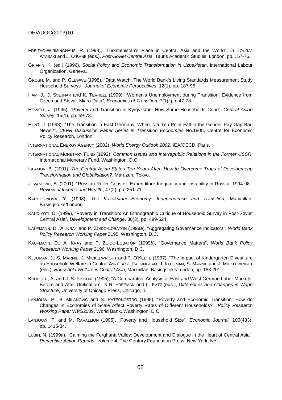- FREITAG-WIRMINGHAUS, R. (1998), "Turkmenistan's Place in Central Asia and the World", in TOURAJ ATABAKI and J. O'KANE (eds.), Post-Soviet Central Asia, Tauris Academic Studies, London, pp. 157-76.
- GRIFFIN, K. (ed.) (1996), Social Policy and Economic Transformation in Uzbekistan, International Labour Organization, Geneva.
- GROSH, M. and P. GLEWWE (1998), "Data Watch: The World Bank's Living Standards Measurement Study Household Surveys", Journal of Economic Perspectives, 12(1), pp. 187-96.
- HAM, J., J. SVEJNAR and K. TERRELL (1999), "Women's Unemployment during Transition: Evidence from Czech and Slovak Micro-Data", Economics of Transition, 7(1), pp. 47-78.
- HOWELL, J. (1996), "Poverty and Transition in Kyrgyzstan: How Some Households Cope", Central Asian Survey, 15(1), pp. 59-73.
- HUNT, J. (1998), "The Transition in East Germany: When is a Ten Point Fall in the Gender Pay Gap Bad News?", CEPR Discussion Paper Series in Transition Economies No.1805, Centre for Economic Policy Research, London.
- INTERNATIONAL ENERGY AGENCY (2002), World Energy Outlook 2002, IEA/OECD, Paris.
- INTERNATIONAL MONETARY FUND (1992), Common Issues and Interrepublic Relations in the Former USSR, International Monetary Fund, Washington, D.C.
- ISLAMOV, B. (2001), The Central Asian States Ten Years After: How to Overcome Traps of Development, Transformation and Globalisation?, Maruzen, Tokyo.
- JOVANOVIC, B. (2001), "Russian Roller Coaster: Expenditure Inequality and Instability in Russia, 1994-98", Review of Income and Wealth, 47(2), pp. 251-71.
- KALYUZHNOVA, Y. (1998), The Kazakstani Economy: Independence and Transition, Macmillan, Basingstoke/London.
- KANDIYOTI, D. (1999), "Poverty in Transition: An Ethnographic Critique of Household Survey in Post-Soviet Central Asia", Development and Change, 30(3), pp. 499-524.
- KAUFMANN, D., A. KRAY and P. ZOIDO-LOBATÓN (1999a), "Aggregating Governance Indicators", World Bank Policy Research Working Paper 2195, Washington, D.C.
- KAUFMANN, D., A. KRAY and P. ZOIDO-LOBATÓN (1999b), "Governance Matters", World Bank Policy Research Working Paper 2196, Washington, D.C.
- KLUGMAN, J., S. MARNIE, J. MICKLEWRIGHT and P. O'KEEFE (1997), "The Impact of Kindergarten Divestiture on Household Welfare in Central Asia", in J. FALKINGHAM, J. KLUGMAN, S. MARNIE and J. MICKLEWRIGHT (eds.), Household Welfare in Central Asia, Macmillan, Basingstoke/London, pp. 183-201.
- KRUEGER, A. and J.-S. PISCHKE (1995), "A Comparative Analysis of East and West German Labor Markets: Before and After Unification", in R. FREEMAN and L. KATZ (eds.), Differences and Changes in Wage Structure, University of Chicago Press, Chicago, IL.
- LANJOUW, P., B. MILANOVIC and S. PATERNOSTRO (1998), "Poverty and Economic Transition: How do Changes in Economies of Scale Affect Poverty Rates of Different Households?", Policy Research Working Paper WPS2009, World Bank, Washington, D.C.
- LANJOUW, P. and M. RAVALLION (1995), "Poverty and Household Size", Economic Journal, 105(433), pp. 1415-34.
- LUBIN, N. (1999a), "Calming the Ferghana Valley: Development and Dialogue in the Heart of Central Asia", Preventive Action Reports: Volume 4, The Century Foundation Press, New York, NY.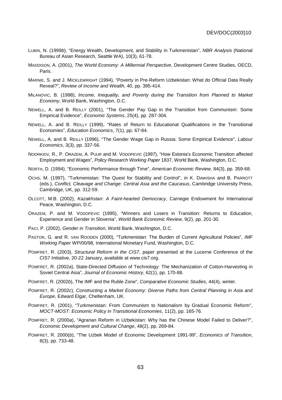- LUBIN, N. (1999b), "Energy Wealth, Development, and Stability in Turkmenistan", NBR Analysis (National Bureau of Asian Research, Seattle WA), 10(3), 61-78.
- MADDISON, A. (2001), The World Economy: A Millennial Perspective, Development Centre Studies, OECD, Paris.
- MARNIE, S. and J. MICKLEWRIGHT (1994), "Poverty in Pre-Reform Uzbekistan: What do Official Data Really Reveal?", Review of Income and Wealth, 40, pp. 395-414.
- MILANOVIC, B. (1998), Income, Inequality, and Poverty during the Transition from Planned to Market Economy, World Bank, Washington, D.C.
- NEWELL, A. and B. REILLY (2001), "The Gender Pay Gap in the Transition from Communism: Some Empirical Evidence", Economic Systems, 25(4), pp. 287-304.
- NEWELL, A. and B. REILLY (1999), "Rates of Return to Educational Qualifications in the Transitional Economies", Education Economics, 7(1), pp. 67-84.
- NEWELL, A. and B. REILLY (1996), "The Gender Wage Gap in Russia: Some Empirical Evidence", Labour Economics, 3(3), pp. 337-56.
- NOORKIOV, R., P. ORAZEM, A. PUUR and M. VODOPEVIC (1997), "How Estonia's Economic Transition affected Employment and Wages", Policy Research Working Paper 1837, World Bank, Washington, D.C.
- NORTH, D. (1994), "Economic Performance through Time", American Economic Review, 84(3), pp. 359-68.
- OCHS, M. (1997), "Turkmenistan: The Quest for Stability and Control", in K. DAWISHA and B. PARROTT (eds.), Conflict, Cleavage and Change: Central Asia and the Caucasus, Cambridge University Press, Cambridge, UK, pp. 312-59.
- OLCOTT, M.B. (2002), Kazakhstan: A Faint-hearted Democracy, Carnegie Endowment for International Peace, Washington, D.C.
- ORAZEM, P. and M. VODOPEVIC (1995), "Winners and Losers in Transition: Returns to Education, Experience and Gender in Slovenia", World Bank Economic Review, 9(2), pp. 201-30.
- PACI, P. (2002), Gender in Transition, World Bank, Washington, D.C.
- PASTOR, G. and R. VAN ROODEN (2000), "Turkmenistan: The Burden of Current Agricultural Policies", IMF Working Paper WP/00/98, International Monetary Fund, Washington, D.C.
- POMFRET, R. (2003), Structural Reform in the CIS7, paper presented at the Lucerne Conference of the CIS7 Initiative, 20-22 January, available at www.cis7.org.
- POMFRET, R. (2002a), State-Directed Diffusion of Technology: The Mechanization of Cotton-Harvesting in Soviet Central Asia", Journal of Economic History, 62(1), pp. 170-88.
- POMFRET, R. (2002b), The IMF and the Ruble Zone", Comparative Economic Studies, 44(4), winter.
- POMFRET, R. (2002c), Constructing a Market Economy: Diverse Paths from Central Planning in Asia and Europe, Edward Elgar, Cheltenham, UK.
- POMFRET, R. (2001), "Turkmenistan: From Communism to Nationalism by Gradual Economic Reform", MOCT-MOST: Economic Policy in Transitional Economies, 11(2), pp. 165-76.
- POMFRET, R. (2000a), "Agrarian Reform in Uzbekistan: Why has the Chinese Model Failed to Deliver?", Economic Development and Cultural Change, 48(2), pp. 269-84.
- POMFRET, R. 2000(b), "The Uzbek Model of Economic Development 1991-99", Economics of Transition, 8(3), pp. 733-48.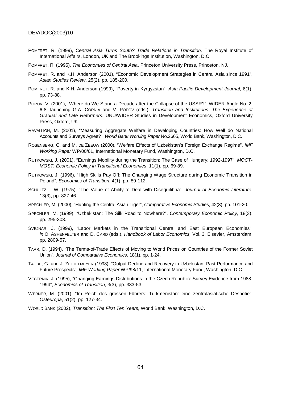- POMFRET, R. (1999), Central Asia Turns South? Trade Relations in Transition, The Royal Institute of International Affairs, London, UK and The Brookings Institution, Washington, D.C.
- POMFRET, R. (1995), The Economies of Central Asia, Princeton University Press, Princeton, NJ.
- POMFRET, R. and K.H. Anderson (2001), "Economic Development Strategies in Central Asia since 1991", Asian Studies Review, 25(2), pp. 185-200.
- POMFRET, R. and K.H. Anderson (1999), "Poverty in Kyrgyzstan", Asia-Pacific Development Journal, 6(1), pp. 73-88.
- POPOV, V. (2001), "Where do We Stand a Decade after the Collapse of the USSR?", WIDER Angle No. 2, 6-8, launching G.A. CORNIA and V. POPOV (eds.), Transition and Institutions: The Experience of Gradual and Late Reformers, UNU/WIDER Studies in Development Economics, Oxford University Press, Oxford, UK.
- RAVALLION, M. (2001), "Measuring Aggregate Welfare in Developing Countries: How Well do National Accounts and Surveys Agree?", World Bank Working Paper No.2665, World Bank, Washington, D.C.
- ROSENBERG, C. and M. DE ZEEUW (2000), "Welfare Effects of Uzbekistan's Foreign Exchange Regime", IMF Working Paper WP/00/61, International Monetary Fund, Washington, D.C.
- RUTKOWSKI, J. (2001), "Earnings Mobility during the Transition: The Case of Hungary: 1992-1997", MOCT-MOST: Economic Policy in Transitional Economies, 11(1), pp. 69-89.
- RUTKOWSKI, J. (1996), "High Skills Pay Off: The Changing Wage Structure during Economic Transition in Poland", Economics of Transition, 4(1), pp. 89-112.
- SCHULTZ, T.W. (1975), "The Value of Ability to Deal with Disequilibria", Journal of Economic Literature, 13(3), pp. 827-46.
- SPECHLER, M. (2000), "Hunting the Central Asian Tiger", Comparative Economic Studies, 42(3), pp. 101-20.
- SPECHLER, M. (1999), "Uzbekistan: The Silk Road to Nowhere?", Contemporary Economic Policy, 18(3), pp. 295-303.
- SVEJNAR, J. (1999), "Labor Markets in the Transitional Central and East European Economies", in O. ASHENFELTER and D. CARD (eds.), Handbook of Labor Economics, Vol. 3, Elsevier, Amsterdam, pp. 2809-57.
- TARR, D. (1994), "The Terms-of-Trade Effects of Moving to World Prices on Countries of the Former Soviet Union", Journal of Comparative Economics, 18(1), pp. 1-24.
- TAUBE, G. and J. ZETTELMEYER (1998), "Output Decline and Recovery in Uzbekistan: Past Performance and Future Prospects", IMF Working Paper WP/98/11, International Monetary Fund, Washington, D.C.
- VECERNIK, J. (1995), "Changing Earnings Distributions in the Czech Republic: Survey Evidence from 1988- 1994", Economics of Transition, 3(3), pp. 333-53.
- WERNER, M. (2001), "Im Reich des grossen Führers: Turkmenistan: eine zentralasiatische Despotie", Osteuropa, 51(2), pp. 127-34.

WORLD BANK (2002), Transition: The First Ten Years, World Bank, Washington, D.C.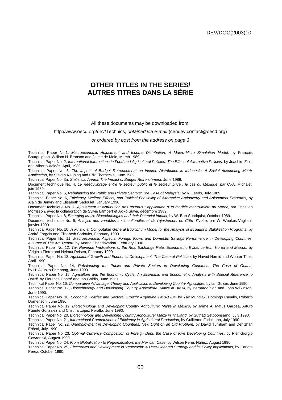# **OTHER TITLES IN THE SERIES/ AUTRES TITRES DANS LA SÉRIE**

#### All these documents may be downloaded from:

#### http://www.oecd.org/dev/Technics, obtained via e-mail (cendev.contact@oecd.org)

#### or ordered by post from the address on page 3

Technical Paper No.1, Macroeconomic Adjustment and Income Distribution: A Macro-Micro Simulation Model, by François Bourguignon, William H. Branson and Jaime de Melo, March 1989.

Technical Paper No. 2, International Interactions in Food and Agricultural Policies: The Effect of Alternative Policies, by Joachim Zietz and Alberto Valdés, April, 1989.

Technical Paper No. 3, The Impact of Budget Retrenchment on Income Distribution in Indonesia: A Social Accounting Matrix Application, by Steven Keuning and Erik Thorbecke, June 1989.

Technical Paper No. 3a, Statistical Annex: The Impact of Budget Retrenchment, June 1989.

Document technique No. 4, Le Rééquilibrage entre le secteur public et le secteur privé : le cas du Mexique, par C.-A. Michalet, juin 1989.

Technical Paper No. 5, Rebalancing the Public and Private Sectors: The Case of Malaysia, by R. Leeds, July 1989.

Technical Paper No. 6, Efficiency, Welfare Effects, and Political Feasibility of Alternative Antipoverty and Adjustment Programs, by Alain de Janvry and Elisabeth Sadoulet, January 1990.

Document technique No. 7, Ajustement et distribution des revenus : application d'un modèle macro-micro au Maroc, par Christian Morrisson, avec la collaboration de Sylvie Lambert et Akiko Suwa, décembre 1989.

Technical Paper No. 8, Emerging Maize Biotechnologies and their Potential Impact, by W. Burt Sundquist, October 1989.

Document technique No. 9, Analyse des variables socio-culturelles et de l'ajustement en Côte d'Ivoire, par W. Weekes-Vagliani, janvier 1990.

Technical Paper No. 10, A Financial Computable General Equilibrium Model for the Analysis of Ecuador's Stabilization Programs, by André Fargeix and Elisabeth Sadoulet, February 1990.

Technical Paper No. 11, Macroeconomic Aspects, Foreign Flows and Domestic Savings Performance in Developing Countries: A "State of The Art" Report, by Anand Chandavarkar, February 1990.

Technical Paper No. 12, Tax Revenue Implications of the Real Exchange Rate: Econometric Evidence from Korea and Mexico, by Viriginia Fierro and Helmut Reisen, February 1990.

Technical Paper No. 13, Agricultural Growth and Economic Development: The Case of Pakistan, by Naved Hamid and Wouter Tims, April 1990.

Technical Paper No. 14, Rebalancing the Public and Private Sectors in Developing Countries: The Case of Ghana, by H. Akuoko-Frimpong, June 1990.

Technical Paper No. 15, Agriculture and the Economic Cycle: An Economic and Econometric Analysis with Special Reference to Brazil, by Florence Contré and Ian Goldin, June 1990.

Technical Paper No. 16, Comparative Advantage: Theory and Application to Developing Country Agriculture, by Ian Goldin, June 1990. Technical Paper No. 17, Biotechnology and Developing Country Agriculture: Maize in Brazil, by Bernardo Sorj and John Wilkinson, June 1990.

Technical Paper No. 18, Economic Policies and Sectoral Growth: Argentina 1913-1984, by Yair Mundlak, Domingo Cavallo, Roberto Domenech, June 1990.

Technical Paper No. 19, Biotechnology and Developing Country Agriculture: Maize In Mexico, by Jaime A. Matus Gardea, Arturo Puente Gonzalez and Cristina Lopez Peralta, June 1990.

Technical Paper No. 20, Biotechnology and Developing Country Agriculture: Maize in Thailand, by Suthad Setboonsarng, July 1990.

Technical Paper No. 21, International Comparisons of Efficiency in Agricultural Production, by Guillermo Flichmann, July 1990.

Technical Paper No. 22, Unemployment in Developing Countries: New Light on an Old Problem, by David Turnham and Denizhan Eröcal, July 1990.

Technical Paper No. 23, Optimal Currency Composition of Foreign Debt: the Case of Five Developing Countries, by Pier Giorgio Gawronski, August 1990.

Technical Paper No. 24, From Globalization to Regionalization: the Mexican Case, by Wilson Peres Núñez, August 1990.

Technical Paper No. 25, Electronics and Development in Venezuela: A User-Oriented Strategy and its Policy Implications, by Carlota Perez, October 1990.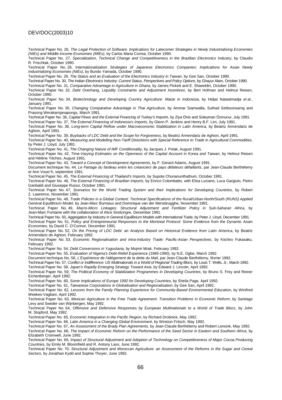Technical Paper No. 26, The Legal Protection of Software: Implications for Latecomer Strategies in Newly Industrialising Economies (NIEs) and Middle-Income Economies (MIEs), by Carlos Maria Correa, October 1990.

Technical Paper No. 27, Specialization, Technical Change and Competitiveness in the Brazilian Electronics Industry, by Claudio R. Frischtak, October 1990.

Technical Paper No. 28, Internationalization Strategies of Japanese Electronics Companies: Implications for Asian Newly Industrializing Economies (NIEs), by Bundo Yamada, October 1990.

Technical Paper No. 29, The Status and an Evaluation of the Electronics Industry in Taiwan, by Gee San, October 1990.

Technical Paper No. 30, The Indian Electronics Industry: Current Status, Perspectives and Policy Options, by Ghayur Alam, October 1990.

Technical Paper No. 31, Comparative Advantage in Agriculture in Ghana, by James Pickett and E. Shaeeldin, October 1990.

Technical Paper No. 32, Debt Overhang, Liquidity Constraints and Adjustment Incentives, by Bert Hofman and Helmut Reisen, October 1990.

Technical Paper No. 34, Biotechnology and Developing Country Agriculture: Maize in Indonesia, by Hidjat Nataatmadja et al., January 1991.

Technical Paper No. 35, Changing Comparative Advantage in Thai Agriculture, by Ammar Siamwalla, Suthad Setboonsarng and Prasong Werakarnjanapongs, March 1991.

Technical Paper No. 36, Capital Flows and the External Financing of Turkey's Imports, by Ziya Önis and Süleyman Özmucur, July 1991. Technical Paper No. 37, The External Financing of Indonesia's Imports, by Glenn P. Jenkins and Henry B.F. Lim, July 1991.

Technical Paper No. 38, Long-term Capital Reflow under Macroeconomic Stabilization in Latin America, by Beatriz Armendariz de Aghion, April 1991.

Technical Paper No. 39, Buybacks of LDC Debt and the Scope for Forgiveness, by Beatriz Armendariz de Aghion, April 1991.

Technical Paper No. 40, Measuring and Modelling Non-Tariff Distortions with Special Reference to Trade in Agricultural Commodities, by Peter J. Lloyd, July 1991.

Technical Paper No. 41, The Changing Nature of IMF Conditionality, by Jacques J. Polak, August 1991.

Technical Paper No. 42, Time-Varying Estimates on the Openness of the Capital Account in Korea and Taiwan, by Helmut Reisen and Hélène Yèches, August 1991.

Technical Paper No. 43, Toward a Concept of Development Agreements, by F. Gerard Adams, August 1991.

Document technique No. 44, Le Partage du fardeau entre les créanciers de pays débiteurs défaillants, par Jean-Claude Berthélemy et Ann Vourc'h, septembre 1991.

Technical Paper No. 45, The External Financing of Thailand's Imports, by Supote Chunanunthathum, October 1991.

Technical Paper No. 46, The External Financing of Brazilian Imports, by Enrico Colombatto, with Elisa Luciano, Luca Gargiulo, Pietro Garibaldi and Giuseppe Russo, October 1991.

Technical Paper No. 47, Scenarios for the World Trading System and their Implications for Developing Countries, by Robert Z. Lawrence, November 1991.

Technical Paper No. 48, Trade Policies in a Global Context: Technical Specifications of the Rural/Urban-North/South (RUNS) Applied General Equilibrium Model, by Jean-Marc Burniaux and Dominique van der Mensbrugghe, November 1991.

Technical Paper No. 49, Macro-Micro Linkages: Structural Adjustment and Fertilizer Policy in Sub-Saharan Africa, by Jean-Marc Fontaine with the collaboration of Alice Sindzingre, December 1991.

Technical Paper No. 50, Aggregation by Industry in General Equilibrium Models with International Trade, by Peter J. Lloyd, December 1991. Technical Paper No. 51, Policy and Entrepreneurial Responses to the Montreal Protocol: Some Evidence from the Dynamic Asian Economies, by David C. O'Connor, December 1991.

Technical Paper No. 52, On the Pricing of LDC Debt: an Analysis Based on Historical Evidence from Latin America, by Beatriz Armendariz de Aghion, February 1992.

Technical Paper No. 53, Economic Regionalisation and Intra-Industry Trade: Pacific-Asian Perspectives, by Kiichiro Fukasaku, February 1992.

Technical Paper No. 54, Debt Conversions in Yugoslavia, by Mojmir Mrak, February 1992.

Technical Paper No. 55, Evaluation of Nigeria's Debt-Relief Experience (1985-1990), by N.E. Ogbe, March 1992.

Document technique No. 56, L'Expérience de l'allégement de la dette du Mali, par Jean-Claude Berthélemy, février 1992.

Technical Paper No. 57, Conflict or Indifference: US Multinationals in a World of Regional Trading Blocs, by Louis T. Wells, Jr., March 1992.

Technical Paper No. 58, Japan's Rapidly Emerging Strategy Toward Asia, by Edward J. Lincoln, April 1992.

Technical Paper No. 59, The Political Economy of Stabilization Programmes in Developing Countries, by Bruno S. Frey and Reiner Eichenberger, April 1992.

Technical Paper No. 60, Some Implications of Europe 1992 for Developing Countries, by Sheila Page, April 1992.

Technical Paper No. 61, Taiwanese Corporations in Globalisation and Regionalisation, by Gee San, April 1992.

Technical Paper No. 62, Lessons from the Family Planning Experience for Community-Based Environmental Education, by Winifred Weekes-Vagliani, April 1992.

Technical Paper No. 63, Mexican Agriculture in the Free Trade Agreement: Transition Problems in Economic Reform, by Santiago Levy and Sweder van Wijnbergen, May 1992.

Technical Paper No. 64, Offensive and Defensive Responses by European Multinationals to a World of Trade Blocs, by John M. Stopford, May 1992.

Technical Paper No. 65, Economic Integration in the Pacific Region, by Richard Drobnick, May 1992.

Technical Paper No. 66, Latin America in a Changing Global Environment, by Winston Fritsch, May 1992.

Technical Paper No. 67, An Assessment of the Brady Plan Agreements, by Jean-Claude Berthélemy and Robert Lensink, May 1992.

Technical Paper No. 68, The Impact of Economic Reform on the Performance of the Seed Sector in Eastern and Southern Africa, by Elizabeth Cromwell, June 1992.

Technical Paper No. 69, Impact of Structural Adjustment and Adoption of Technology on Competitiveness of Major Cocoa Producing Countries, by Emily M. Bloomfield and R. Antony Lass, June 1992.

Technical Paper No. 70, Structural Adjustment and Moroccan Agriculture: an Assessment of the Reforms in the Sugar and Cereal Sectors, by Jonathan Kydd and Sophie Thoyer, June 1992.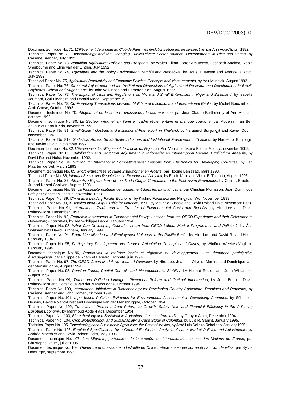Document technique No. 71, L'Allégement de la dette au Club de Paris : les évolutions récentes en perspective, par Ann Vourc'h, juin 1992. Technical Paper No. 72, Biotechnology and the Changing Public/Private Sector Balance: Developments in Rice and Cocoa, by Carliene Brenner, July 1992.

Technical Paper No. 73, Namibian Agriculture: Policies and Prospects, by Walter Elkan, Peter Amutenya, Jochbeth Andima, Robin Sherbourne and Eline van der Linden, July 1992.

Technical Paper No. 74, Agriculture and the Policy Environment: Zambia and Zimbabwe, by Doris J. Jansen and Andrew Rukovo, July 1992.

Technical Paper No. 75, Agricultural Productivity and Economic Policies: Concepts and Measurements, by Yair Mundlak, August 1992.

Technical Paper No. 76, Structural Adjustment and the Institutional Dimensions of Agricultural Research and Development in Brazil: Soybeans, Wheat and Sugar Cane, by John Wilkinson and Bernardo Sorj, August 1992.

Technical Paper No. 77, The Impact of Laws and Regulations on Micro and Small Enterprises in Niger and Swaziland, by Isabelle Joumard, Carl Liedholm and Donald Mead, September 1992.

Technical Paper No. 78, Co-Financing Transactions between Multilateral Institutions and International Banks, by Michel Bouchet and Amit Ghose, October 1992.

Document technique No. 79, Allégement de la dette et croissance : le cas mexicain, par Jean-Claude Berthélemy et Ann Vourc'h, octobre 1992.

Document technique No. 80, Le Secteur informel en Tunisie : cadre réglementaire et pratique courante, par Abderrahman Ben Zakour et Farouk Kria, novembre 1992.

Technical Paper No. 81, Small-Scale Industries and Institutional Framework in Thailand, by Naruemol Bunjongjit and Xavier Oudin, November 1992.

Technical Paper No. 81a, Statistical Annex: Small-Scale Industries and Institutional Framework in Thailand, by Naruemol Bunjongjit and Xavier Oudin, November 1992.

Document technique No. 82, L'Expérience de l'allégement de la dette du Niger, par Ann Vourc'h et Maina Boukar Moussa, novembre 1992. Technical Paper No. 83, Stabilization and Structural Adjustment in Indonesia: an Intertemporal General Equilibrium Analysis, by David Roland-Holst, November 1992.

Technical Paper No. 84, Striving for International Competitiveness: Lessons from Electronics for Developing Countries, by Jan Maarten de Vet, March 1993.

Document technique No. 85, Micro-entreprises et cadre institutionnel en Algérie, par Hocine Benissad, mars 1993.

Technical Paper No. 86, Informal Sector and Regulations in Ecuador and Jamaica, by Emilio Klein and Victor E. Tokman, August 1993. Technical Paper No. 87, Alternative Explanations of the Trade-Output Correlation in the East Asian Economies, by Colin I. Bradford

Jr. and Naomi Chakwin, August 1993.

Document technique No. 88, La Faisabilité politique de l'ajustement dans les pays africains, par Christian Morrisson, Jean-Dominique Lafay et Sébastien Dessus, novembre 1993.

Technical Paper No. 89, China as a Leading Pacific Economy, by Kiichiro Fukasaku and Mingyuan Wu, November 1993.

Technical Paper No. 90, A Detailed Input-Output Table for Morocco, 1990, by Maurizio Bussolo and David Roland-Holst November 1993. Technical Paper No. 91, International Trade and the Transfer of Environmental Costs and Benefits, by Hiro Lee and David Roland-Holst, December 1993.

Technical Paper No. 92, Economic Instruments in Environmental Policy: Lessons from the OECD Experience and their Relevance to Developing Economies, by Jean-Philippe Barde, January 1994.

Technical Paper No. 93, What Can Developing Countries Learn from OECD Labour Market Programmes and Policies?, by Åsa Sohlman with David Turnham, January 1994.

Technical Paper No. 94, Trade Liberalization and Employment Linkages in the Pacific Basin, by Hiro Lee and David Roland-Holst, February 1994.

Technical Paper No. 95, Participatory Development and Gender: Articulating Concepts and Cases, by Winifred Weekes-Vagliani, February 1994.

Document technique No. 96, Promouvoir la maîtrise locale et régionale du développement : une démarche participative à Madagascar, par Philippe de Rham et Bernard Lecomte, juin 1994.

Technical Paper No. 97, The OECD Green Model: an Updated Overview, by Hiro Lee, Joaquim Oliveira-Martins and Dominique van der Mensbrugghe, August 1994.

Technical Paper No. 98, Pension Funds, Capital Controls and Macroeconomic Stability, by Helmut Reisen and John Williamson August 1994.

Technical Paper No. 99, Trade and Pollution Linkages: Piecemeal Reform and Optimal Intervention, by John Beghin, David Roland-Holst and Dominique van der Mensbrugghe, October 1994.

Technical Paper No. 100, International Initiatives in Biotechnology for Developing Country Agriculture: Promises and Problems, by Carliene Brenner and John Komen, October 1994.

Technical Paper No. 101, Input-based Pollution Estimates for Environmental Assessment in Developing Countries, by Sébastien Dessus, David Roland-Holst and Dominique van der Mensbrugghe, October 1994.

Technical Paper No. 102, Transitional Problems from Reform to Growth: Safety Nets and Financial Efficiency in the Adjusting Egyptian Economy, by Mahmoud Abdel-Fadil, December 1994.

Technical Paper No. 103, Biotechnology and Sustainable Agriculture: Lessons from India, by Ghayur Alam, December 1994. Technical Paper No. 104, Crop Biotechnology and Sustainability: a Case Study of Colombia, by Luis R. Sanint, January 1995.

Technical Paper No. 105, Biotechnology and Sustainable Agriculture: the Case of Mexico, by José Luis Solleiro Rebolledo, January 1995. Technical Paper No. 106, Empirical Specifications for a General Equilibrium Analysis of Labor Market Policies and Adjustments, by Andréa Maechler and David Roland-Holst, May 1995.

Document technique No. 107, Les Migrants, partenaires de la coopération internationale : le cas des Maliens de France, par Christophe Daum, juillet 1995.

Document technique No. 108, Ouverture et croissance industrielle en Chine : étude empirique sur un échantillon de villes, par Sylvie Démurger, septembre 1995.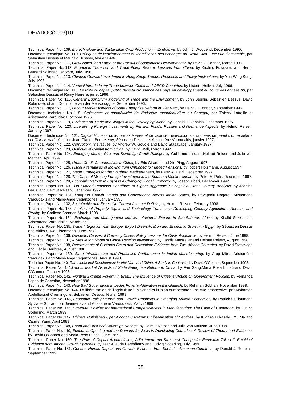Technical Paper No. 109, Biotechnology and Sustainable Crop Production in Zimbabwe, by John J. Woodend, December 1995. Document technique No. 110, Politiques de l'environnement et libéralisation des échanges au Costa Rica : une vue d'ensemble, par Sébastien Dessus et Maurizio Bussolo, février 1996.

Technical Paper No. 111, Grow Now/Clean Later, or the Pursuit of Sustainable Development?, by David O'Connor, March 1996.

Technical Paper No. 112, Economic Transition and Trade-Policy Reform: Lessons from China, by Kiichiro Fukasaku and Henri-Bernard Solignac Lecomte, July 1996.

Technical Paper No. 113, Chinese Outward Investment in Hong Kong: Trends, Prospects and Policy Implications, by Yun-Wing Sung, July 1996.

Technical Paper No. 114, Vertical Intra-industry Trade between China and OECD Countries, by Lisbeth Hellvin, July 1996.

Document technique No. 115, Le Rôle du capital public dans la croissance des pays en développement au cours des années 80, par Sébastien Dessus et Rémy Herrera, juillet 1996.

Technical Paper No. 116, General Equilibrium Modelling of Trade and the Environment, by John Beghin, Sébastien Dessus, David Roland-Holst and Dominique van der Mensbrugghe, September 1996.

Technical Paper No. 117, Labour Market Aspects of State Enterprise Reform in Viet Nam, by David O'Connor, September 1996.

Document technique No. 118, Croissance et compétitivité de l'industrie manufacturière au Sénégal, par Thierry Latreille et Aristomène Varoudakis, octobre 1996.

Technical Paper No. 119, Evidence on Trade and Wages in the Developing World, by Donald J. Robbins, December 1996.

Technical Paper No. 120, Liberalising Foreign Investments by Pension Funds: Positive and Normative Aspects, by Helmut Reisen, January 1997.

Document technique No. 121, Capital Humain, ouverture extérieure et croissance : estimation sur données de panel d'un modèle à coefficients variables, par Jean-Claude Berthélemy, Sébastien Dessus et Aristomène Varoudakis, janvier 1997.

Technical Paper No. 122, Corruption: The Issues, by Andrew W. Goudie and David Stasavage, January 1997.

Technical Paper No. 123, Outflows of Capital from China, by David Wall, March 1997.

Technical Paper No. 124, Emerging Market Risk and Sovereign Credit Ratings, by Guillermo Larraín, Helmut Reisen and Julia von Maltzan, April 1997.

Technical Paper No. 125, Urban Credit Co-operatives in China, by Eric Girardin and Xie Ping, August 1997.

Technical Paper No. 126, Fiscal Alternatives of Moving from Unfunded to Funded Pensions, by Robert Holzmann, August 1997.

Technical Paper No. 127, Trade Strategies for the Southern Mediterranean, by Peter A. Petri, December 1997.

Technical Paper No. 128, The Case of Missing Foreign Investment in the Southern Mediterranean, by Peter A. Petri, December 1997. Technical Paper No. 129, Economic Reform in Egypt in a Changing Global Economy, by Joseph Licari, December 1997.

Technical Paper No. 130, Do Funded Pensions Contribute to Higher Aggregate Savings? A Cross-Country Analysis, by Jeanine Bailliu and Helmut Reisen, December 1997.

Technical Paper No. 131, Long-run Growth Trends and Convergence Across Indian States, by Rayaprolu Nagaraj, Aristomène Varoudakis and Marie-Ange Véganzonès, January 1998.

Technical Paper No. 132, Sustainable and Excessive Current Account Deficits, by Helmut Reisen, February 1998.

Technical Paper No. 133, Intellectual Property Rights and Technology Transfer in Developing Country Agriculture: Rhetoric and Reality, by Carliene Brenner, March 1998.

Technical Paper No. 134, Exchange-rate Management and Manufactured Exports in Sub-Saharan Africa, by Khalid Sekkat and Aristomène Varoudakis, March 1998.

Technical Paper No. 135, Trade Integration with Europe, Export Diversification and Economic Growth in Egypt, by Sébastien Dessus and Akiko Suwa-Eisenmann, June 1998.

Technical Paper No. 136, Domestic Causes of Currency Crises: Policy Lessons for Crisis Avoidance, by Helmut Reisen, June 1998.

Technical Paper No. 137, A Simulation Model of Global Pension Investment, by Landis MacKellar and Helmut Reisen, August 1998. Technical Paper No. 138, Determinants of Customs Fraud and Corruption: Evidence from Two African Countries, by David Stasavage and Cécile Daubrée, August 1998.

Technical Paper No. 139, State Infrastructure and Productive Performance in Indian Manufacturing, by Arup Mitra, Aristomène Varoudakis and Marie-Ange Véganzonès, August 1998.

Technical Paper No. 140, Rural Industrial Development in Viet Nam and China: A Study in Contrasts, by David O'Connor, September 1998.

Technical Paper No. 141, Labour Market Aspects of State Enterprise Reform in China, by Fan Gang, Maria Rosa Lunati and David O'Connor, October 1998.

Technical Paper No. 142, Fighting Extreme Poverty in Brazil: The Influence of Citizens' Action on Government Policies, by Fernanda Lopes de Carvalho, November 1998.

Technical Paper No. 143, How Bad Governance Impedes Poverty Alleviation in Bangladesh, by Rehman Sobhan, November 1998.

Document technique No. 144, La libéralisation de l'agriculture tunisienne et l'Union européenne : une vue prospective, par Mohamed Abdelbasset Chemingui et Sébastien Dessus, février 1999.

Technical Paper No. 145, Economic Policy Reform and Growth Prospects in Emerging African Economies, by Patrick Guillaumont, Sylviane Guillaumont Jeanneney and Aristomène Varoudakis, March 1999.

Technical Paper No. 146, Structural Policies for International Competitiveness in Manufacturing: The Case of Cameroon, by Ludvig Söderling, March 1999.

Technical Paper No. 147, China's Unfinished Open-Economy Reforms: Liberalisation of Services, by Kiichiro Fukasaku, Yu Ma and Qiumei Yang, April 1999.

Technical Paper No. 148**,** Boom and Bust and Sovereign Ratings, by Helmut Reisen and Julia von Maltzan, June 1999.

Technical Paper No. 149, Economic Opening and the Demand for Skills in Developing Countries: A Review of Theory and Evidence, by David O'Connor and Maria Rosa Lunati, June 1999.

Technical Paper No. 150, The Role of Capital Accumulation, Adjustment and Structural Change for Economic Take-off: Empirical Evidence from African Growth Episodes, by Jean-Claude Berthélemy and Ludvig Söderling, July 1999.

Technical Paper No. 151, Gender, Human Capital and Growth: Evidence from Six Latin American Countries, by Donald J. Robbins, September 1999.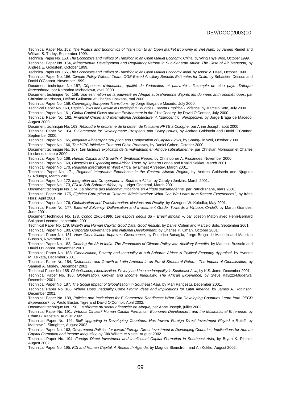Technical Paper No. 152, The Politics and Economics of Transition to an Open Market Economy in Viet Nam, by James Riedel and William S. Turley, September 1999.

Technical Paper No. 153, The Economics and Politics of Transition to an Open Market Economy: China, by Wing Thye Woo, October 1999. Technical Paper No. 154, Infrastructure Development and Regulatory Reform in Sub-Saharan Africa: The Case of Air Transport, by Andrea E. Goldstein, October 1999.

Technical Paper No. 155, The Economics and Politics of Transition to an Open Market Economy: India, by Ashok V. Desai, October 1999. Technical Paper No. 156, Climate Policy Without Tears: CGE-Based Ancillary Benefits Estimates for Chile, by Sébastien Dessus and David O'Connor, November 1999.

Document technique No. 157, Dépenses d'éducation, qualité de l'éducation et pauvreté : l'exemple de cinq pays d'Afrique francophone, par Katharina Michaelowa, avril 2000.

Document technique No. 158, Une estimation de la pauvreté en Afrique subsaharienne d'après les données anthropométriques, par Christian Morrisson, Hélène Guilmeau et Charles Linskens, mai 2000.

Technical Paper No. 159, Converging European Transitions, by Jorge Braga de Macedo, July 2000.

Technical Paper No. 160, Capital Flows and Growth in Developing Countries: Recent Empirical Evidence, by Marcelo Soto, July 2000.

Technical Paper No. 161, Global Capital Flows and the Environment in the 21st Century, by David O'Connor, July 2000.

Technical Paper No. 162, Financial Crises and International Architecture: A "Eurocentric" Perspective, by Jorge Braga de Macedo, August 2000.

Document technique No. 163, Résoudre le problème de la dette : de l'initiative PPTE à Cologne, par Anne Joseph, août 2000. Technical Paper No. 164, E-Commerce for Development: Prospects and Policy Issues, by Andrea Goldstein and David O'Connor,

September 2000. Technical Paper No. 165, Negative Alchemy? Corruption and Composition of Capital Flows, by Shang-Jin Wei, October 2000.

Technical Paper No. 166, The HIPC Initiative: True and False Promises, by Daniel Cohen, October 2000.

Document technique No. 167, Les facteurs explicatifs de la malnutrition en Afrique subsaharienne, par Christian Morrisson et Charles Linskens, octobre 2000.

Technical Paper No. 168, Human Capital and Growth: A Synthesis Report, by Christopher A. Pissarides, November 2000.

Technical Paper No. 169, Obstacles to Expanding Intra-African Trade, by Roberto Longo and Khalid Sekkat, March 2001.

Technical Paper No. 170, Regional Integration In West Africa, by Ernest Aryeetey, March 2001.

Technical Paper No. 171, Regional Integration Experience in the Eastern African Region, by Andrea Goldstein and Njuguna S. Ndung'u, March 2001.

Technical Paper No. 172, Integration and Co-operation in Southern Africa, by Carolyn Jenkins, March 2001.

Technical Paper No. 173, FDI in Sub-Saharan Africa, by Ludger Odenthal, March 2001

Document technique No. 174, La réforme des télécommunications en Afrique subsaharienne, par Patrick Plane, mars 2001.

Technical Paper No. 175, Fighting Corruption in Customs Administration: What Can We Learn from Recent Experiences?, by Irène Hors; April 2001.

Technical Paper No. 176, Globalisation and Transformation: Illusions and Reality, by Grzegorz W. Kolodko, May 2001.

Technical Paper No. 177, External Solvency, Dollarisation and Investment Grade: Towards a Virtuous Circle?, by Martin Grandes, June 2001.

Document technique No. 178, Congo 1965-1999: Les espoirs déçus du « Brésil africain », par Joseph Maton avec Henri-Bernard Solignac Lecomte, septembre 2001.

Technical Paper No. 179, Growth and Human Capital: Good Data, Good Results, by Daniel Cohen and Marcelo Soto, September 2001.

Technical Paper No. 180, Corporate Governance and National Development, by Charles P. Oman, October 2001.

Technical Paper No. 181, How Globalisation Improves Governance, by Federico Bonaglia, Jorge Braga de Macedo and Maurizio Bussolo, November 2001.

Technical Paper No. 182, Clearing the Air in India: The Economics of Climate Policy with Ancillary Benefits, by Maurizio Bussolo and David O'Connor, November 2001.

Technical Paper No. 183, Globalisation, Poverty and Inequality in sub-Saharan Africa: A Political Economy Appraisal, by Yvonne M. Tsikata, December 2001.

Technical Paper No. 184, Distribution and Growth in Latin America in an Era of Structural Reform: The Impact of Globalisation, by Samuel A. Morley, December 2001.

Technical Paper No. 185, Globalisation, Liberalisation, Poverty and Income Inequality in Southeast Asia, by K.S. Jomo, December 2001.

Technical Paper No. 186, Globalisation, Growth and Income Inequality: The African Experience, by Steve Kayizzi-Mugerwa, December 2001.

Technical Paper No. 187, The Social Impact of Globalisation in Southeast Asia, by Mari Pangestu, December 2001.

Technical Paper No. 188, Where Does Inequality Come From? Ideas and Implications for Latin America, by James A. Robinson, December 2001.

Technical Paper No. 189, Policies and Institutions for E-Commerce Readiness: What Can Developing Countries Learn from OECD Experience?, by Paulo Bastos Tigre and David O'Connor, April 2002.

Document technique No. 190, La réforme du secteur financier en Afrique, par Anne Joseph, juillet 2002.

Technical Paper No. 191, Virtuous Circles? Human Capital Formation, Economic Development and the Multinational Enterprise, by Ethan B. Kapstein, August 2002.

Technical Paper No. 192, Skill Upgrading in Developing Countries: Has Inward Foreign Direct Investment Played a Role?, by Matthew J. Slaughter, August 2002.

Technical Paper No. 193, Government Policies for Inward Foreign Direct Investment in Developing Countries: Implications for Human Capital Formation and Income Inequality, by Dirk Willem te Velde, August 2002.

Technical Paper No. 194, Foreign Direct Investment and Intellectual Capital Formation in Southeast Asia, by Bryan K. Ritchie, August 2002.

Technical Paper No. 195, FDI and Human Capital: A Research Agenda, by Magnus Blomström and Ari Kokko, August 2002.